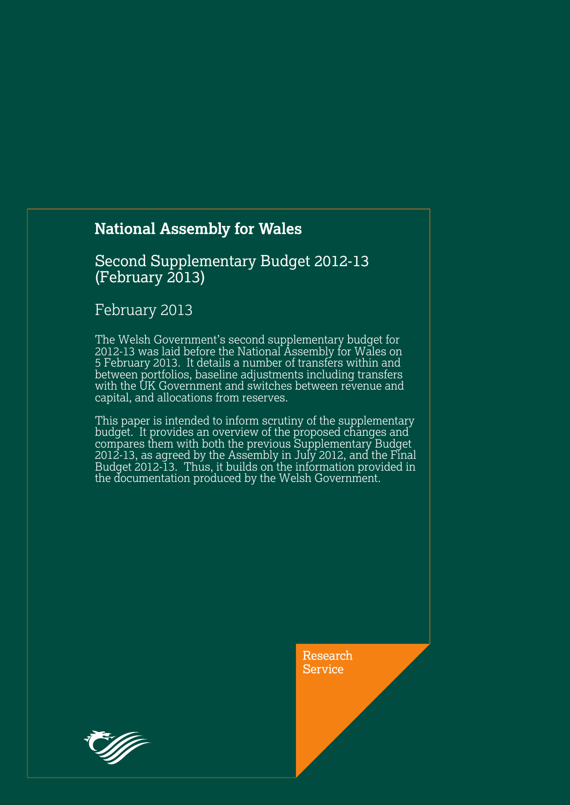# **National Assembly for Wales**

### Second Supplementary Budget 2012-13  $(February 2013)$

### February 2013

The Welsh Government's second supplementary budget for 2012-13 was laid before the National Assembly for Wales on 5 February 2013. It details a number of transfers within and between portfolios, baseline adjustments including transfers with the UK Government and switches between revenue and capital, and allocations from reserves.

This paper is intended to inform scrutiny of the supplementary budget. It provides an overview of the proposed changes and compares them with both the previous Supplementary Budget 2012-13, as agreed by the Assembly in July 2012, and the Final Budget 2012-13. Thus, it builds on the information provided in the documentation produced by the Welsh Government.

> Research **Service**

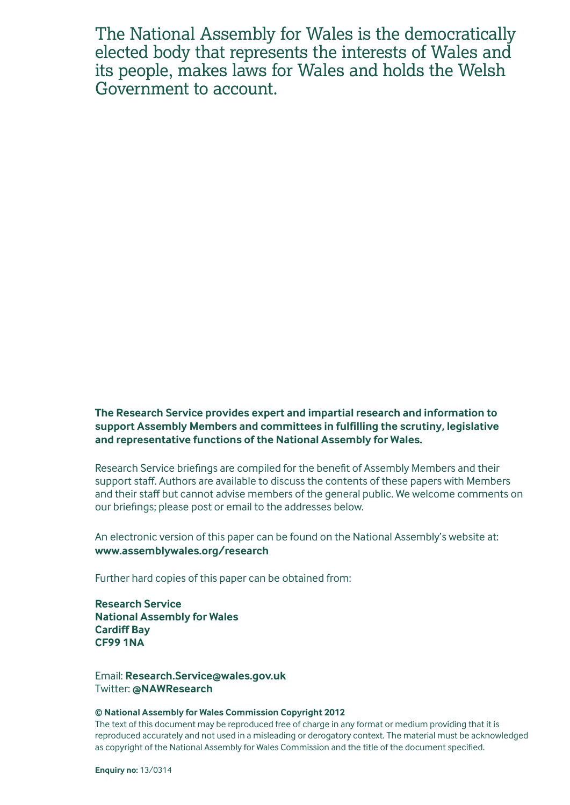The National Assembly for Wales is the democratically elected body that represents the interests of Wales and its people, makes laws for Wales and holds the Welsh Government to account.

**The Research Service provides expert and impartial research and information to support Assembly Members and committees in fulfilling the scrutiny, legislative and representative functions of the National Assembly for Wales.**

Research Service briefings are compiled for the benefit of Assembly Members and their support staff. Authors are available to discuss the contents of these papers with Members and their staff but cannot advise members of the general public. We welcome comments on our briefings; please post or email to the addresses below.

An electronic version of this paper can be found on the National Assembly's website at: **www.assemblywales.org/research**

Further hard copies of this paper can be obtained from:

**Research Service National Assembly for Wales Cardiff Bay CF99 1NA**

Email: **[Research.Service@wales.gov.u](mailto:Research.Service@wales.gov.uk)k** Twitter: **@NAWResearch** 

#### **© National Assembly for Wales Commission Copyright 2012**

The text of this document may be reproduced free of charge in any format or medium providing that it is reproduced accurately and not used in a misleading or derogatory context. The material must be acknowledged as copyright of the National Assembly for Wales Commission and the title of the document specified.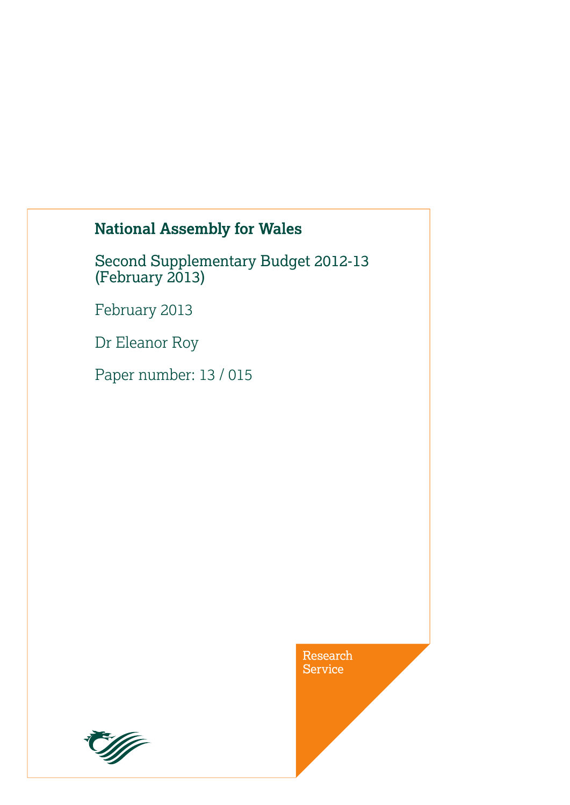# **National Assembly for Wales**

Second Supplementary Budget 2012-13 (February 2013)

February 2013

Dr Eleanor Roy

Paper number: 13 / 015

Research Service

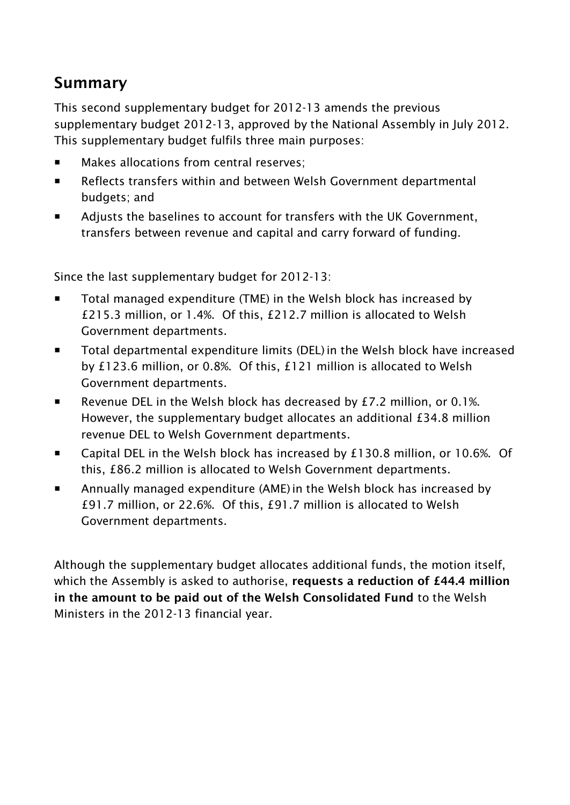# **Summary**

This second supplementary budget for 2012-13 amends the previous supplementary budget 2012-13, approved by the National Assembly in July 2012. This supplementary budget fulfils three main purposes:

- **Makes allocations from central reserves;**
- Reflects transfers within and between Welsh Government departmental budgets; and
- Adjusts the baselines to account for transfers with the UK Government, transfers between revenue and capital and carry forward of funding.

Since the last supplementary budget for 2012-13:

- Total managed expenditure (TME) in the Welsh block has increased by £215.3 million, or 1.4%. Of this, £212.7 million is allocated to Welsh Government departments.
- Total departmental expenditure limits (DEL) in the Welsh block have increased by £123.6 million, or 0.8%. Of this, £121 million is allocated to Welsh Government departments.
- Revenue DEL in the Welsh block has decreased by  $E$ 7.2 million, or 0.1%. However, the supplementary budget allocates an additional £34.8 million revenue DEL to Welsh Government departments.
- Capital DEL in the Welsh block has increased by £130.8 million, or 10.6%. Of this, £86.2 million is allocated to Welsh Government departments.
- Annually managed expenditure (AME)in the Welsh block has increased by £91.7 million, or 22.6%. Of this, £91.7 million is allocated to Welsh Government departments.

Although the supplementary budget allocates additional funds, the motion itself, which the Assembly is asked to authorise, **requests a reduction of £44.4 million in the amount to be paid out of the Welsh Consolidated Fund** to the Welsh Ministers in the 2012-13 financial year.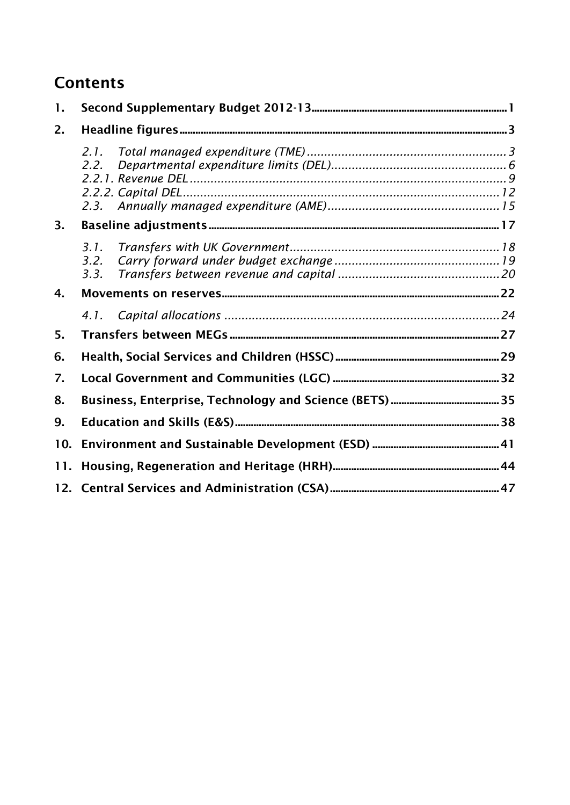# **Contents**

| 1.  |                      |  |
|-----|----------------------|--|
| 2.  |                      |  |
|     | 2.1.<br>2.2.         |  |
| 3.  |                      |  |
|     | 3.1.<br>3.2.<br>3.3. |  |
| 4.  |                      |  |
|     | 4.1.                 |  |
| 5.  |                      |  |
| 6.  |                      |  |
| 7.  |                      |  |
| 8.  |                      |  |
| 9.  |                      |  |
| 10. |                      |  |
| 11. |                      |  |
|     |                      |  |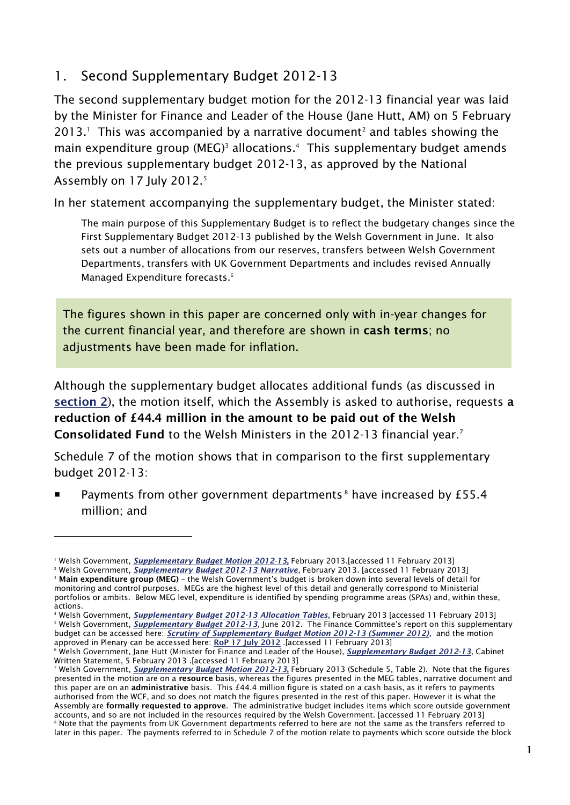## <span id="page-8-0"></span>1. Second Supplementary Budget 2012-13

The second supplementary budget motion for the 2012-13 financial year was laid by the Minister for Finance and Leader of the House (Jane Hutt, AM) on 5 February 2013. $<sup>1</sup>$  This was accompanied by a narrative document<sup>2</sup> and tables showing the</sup> main expenditure group (MEG)<sup>3</sup> allocations.<sup>4</sup> This supplementary budget amends the previous supplementary budget 2012-13, as approved by the National Assembly on 17 July 2012.<sup>5</sup>

In her statement accompanying the supplementary budget, the Minister stated:

The main purpose of this Supplementary Budget is to reflect the budgetary changes since the First Supplementary Budget 2012-13 published by the Welsh Government in June. It also sets out a number of allocations from our reserves, transfers between Welsh Government Departments, transfers with UK Government Departments and includes revised Annually Managed Expenditure forecasts.<sup>6</sup>

The figures shown in this paper are concerned only with in-year changes for the current financial year, and therefore are shown in **cash terms**; no adjustments have been made for inflation.

Although the supplementary budget allocates additional funds (as discussed in **[section 2](#page-10-0)**), the motion itself, which the Assembly is asked to authorise, requests **a reduction of £44.4 million in the amount to be paid out of the Welsh Consolidated Fund** to the Welsh Ministers in the 2012-13 financial year.<sup>7</sup> 

Schedule 7 of the motion shows that in comparison to the first supplementary budget 2012-13:

Payments from other government departments<sup>8</sup> have increased by £55.4 million; and

<sup>1</sup> Welsh Government, *[Supplementary Budget Motion 2012-13](http://wales.gov.uk/docs/caecd/publications/130205motionen.pdf)***,** February 2013.[accessed 11 February 2013]

<sup>&</sup>lt;sup>2</sup> Welsh Government, **[Supplementary Budget 2012-13 Narrative](http://wales.gov.uk/docs/caecd/publications/130205explanatory2en.pdf)**, February 2013. [accessed 11 February 2013]

<sup>3</sup> **Main expenditure group (MEG)** – the Welsh Government's budget is broken down into several levels of detail for monitoring and control purposes. MEGs are the highest level of this detail and generally correspond to Ministerial portfolios or ambits. Below MEG level, expenditure is identified by spending programme areas (SPAs) and, within these, actions.

<sup>4</sup> Welsh Government, *[Supplementary Budget 2012-13 Allocation Tables](http://wales.gov.uk/docs/caecd/publications/130205megsen.pdf)*, February 2013 [accessed 11 February 2013] <sup>5</sup> Welsh Government, *[Supplementary Budget 2012-13](http://wales.gov.uk/funding/budget/suppbudget1213/?lang=en)*, June 2012. The Finance Committee's report on this supplementary budget can be accessed here: *[Scrutiny of Supplementary Budget Motion 2012-13 \(Summer 2012\)](http://abms/documents/s9291/Scrutiny%20of%20Supplementary%20Budget%20Motion%202012-2013%20Summer%202012%20-%20July%202012.pdf),* and the motion approved in Plenary can be accessed here: **[RoP 17 July 2012](http://www.assemblywales.org/bus-home/bus-chamber-fourth-assembly-rop/rop20120717qv.pdf?langoption=3&ttl=The%20Record%20%28PDF%2C%201-60MB%29)** .[accessed 11 February 2013]

<sup>6</sup> Welsh Government, Jane Hutt (Minister for Finance and Leader of the House), *[Supplementary Budget 2012-13](http://wales.gov.uk/about/cabinet/cabinetstatements/2013/suppbudget1213/?lang=en)*, Cabinet Written Statement, 5 February 2013 .[accessed 11 February 2013]

<sup>7</sup> Welsh Government, *[Supplementary Budget Motion 2012-13](http://wales.gov.uk/docs/caecd/publications/130205motionen.pdf)***,** February 2013 (Schedule 5, Table 2). Note that the figures presented in the motion are on a **resource** basis, whereas the figures presented in the MEG tables, narrative document and this paper are on an **administrative** basis. This £44.4 million figure is stated on a cash basis, as it refers to payments authorised from the WCF, and so does not match the figures presented in the rest of this paper. However it is what the Assembly are **formally requested to approve**. The administrative budget includes items which score outside government accounts, and so are not included in the resources required by the Welsh Government. [accessed 11 February 2013] <sup>8</sup> Note that the payments from UK Government departments referred to here are not the same as the transfers referred to later in this paper. The payments referred to in Schedule 7 of the motion relate to payments which score outside the block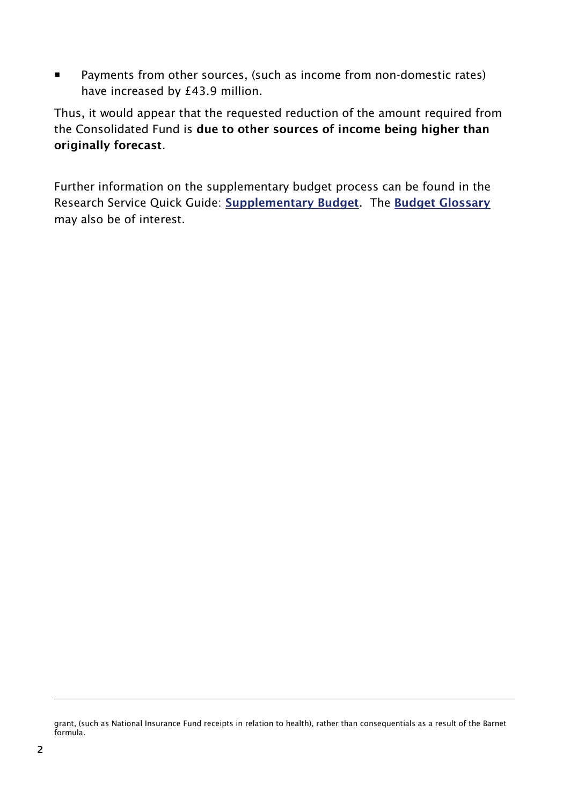**Payments from other sources, (such as income from non-domestic rates)** have increased by £43.9 million.

Thus, it would appear that the requested reduction of the amount required from the Consolidated Fund is **due to other sources of income being higher than originally forecast**.

Further information on the supplementary budget process can be found in the Research Service Quick Guide: **[Supplementary Budget](http://www.assemblywales.org/qg11-0020.pdf)**. The **[Budget Glossary](http://www.assemblywales.org/qg11-0021.pdf)** may also be of interest.

grant, (such as National Insurance Fund receipts in relation to health), rather than consequentials as a result of the Barnet formula.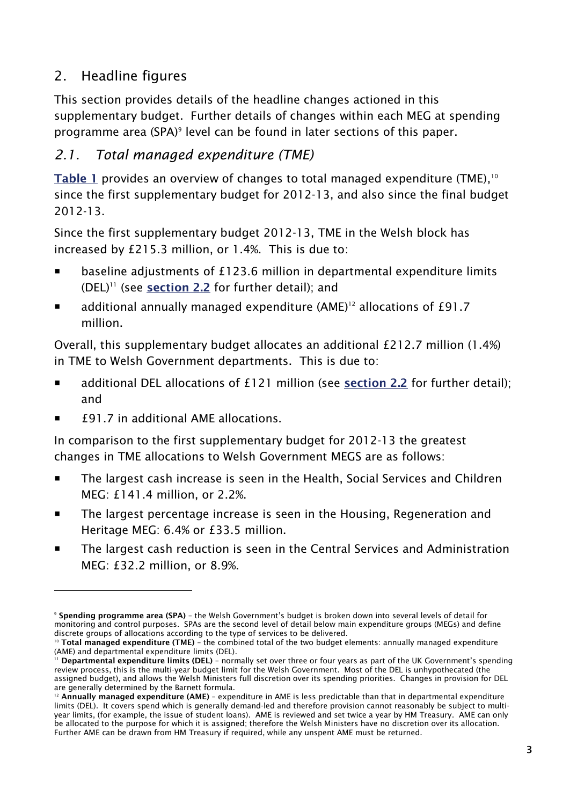# <span id="page-10-0"></span>2. Headline figures

This section provides details of the headline changes actioned in this supplementary budget. Further details of changes within each MEG at spending programme area (SPA)<sup>9</sup> level can be found in later sections of this paper.

# <span id="page-10-1"></span>*2.1. Total managed expenditure (TME)*

**[Table 1](#page-12-0)** provides an overview of changes to total managed expenditure (TME), 10 since the first supplementary budget for 2012-13, and also since the final budget 2012-13.

Since the first supplementary budget 2012-13, TME in the Welsh block has increased by £215.3 million, or 1.4%. This is due to:

- baseline adjustments of £123.6 million in departmental expenditure limits (DEL)<sup>11</sup> (see **[section 2.2](#page-13-0)** for further detail); and
- $\blacksquare$  additional annually managed expenditure (AME)<sup>12</sup> allocations of £91.7 million.

Overall, this supplementary budget allocates an additional £212.7 million (1.4%) in TME to Welsh Government departments. This is due to:

- additional DEL allocations of £121 million (see **[section 2.2](#page-13-0)** for further detail); and
- £91.7 in additional AME allocations.

-

In comparison to the first supplementary budget for 2012-13 the greatest changes in TME allocations to Welsh Government MEGS are as follows:

- **The largest cash increase is seen in the Health, Social Services and Children** MEG: £141.4 million, or 2.2%.
- The largest percentage increase is seen in the Housing, Regeneration and Heritage MEG: 6.4% or £33.5 million.
- The largest cash reduction is seen in the Central Services and Administration MEG: £32.2 million, or 8.9%.

<sup>9</sup> **Spending programme area (SPA)** – the Welsh Government's budget is broken down into several levels of detail for monitoring and control purposes. SPAs are the second level of detail below main expenditure groups (MEGs) and define discrete groups of allocations according to the type of services to be delivered.

<sup>10</sup> **Total managed expenditure (TME)** – the combined total of the two budget elements: annually managed expenditure (AME) and departmental expenditure limits (DEL).

<sup>11</sup> **Departmental expenditure limits (DEL)** – normally set over three or four years as part of the UK Government's spending review process, this is the multi-year budget limit for the Welsh Government. Most of the DEL is unhypothecated (the assigned budget), and allows the Welsh Ministers full discretion over its spending priorities. Changes in provision for DEL are generally determined by the Barnett formula.

<sup>12</sup> **Annually managed expenditure (AME)** – expenditure in AME is less predictable than that in departmental expenditure limits (DEL). It covers spend which is generally demand-led and therefore provision cannot reasonably be subject to multiyear limits, (for example, the issue of student loans). AME is reviewed and set twice a year by HM Treasury. AME can only be allocated to the purpose for which it is assigned; therefore the Welsh Ministers have no discretion over its allocation. Further AME can be drawn from HM Treasury if required, while any unspent AME must be returned.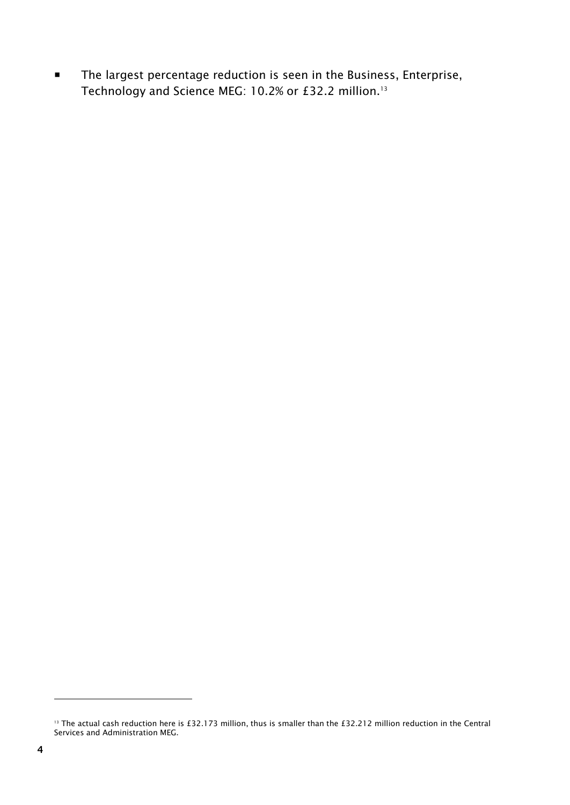**The largest percentage reduction is seen in the Business, Enterprise,** Technology and Science MEG: 10.2% or £32.2 million.<sup>13</sup>

<sup>&</sup>lt;sup>13</sup> The actual cash reduction here is £32.173 million, thus is smaller than the £32.212 million reduction in the Central Services and Administration MEG.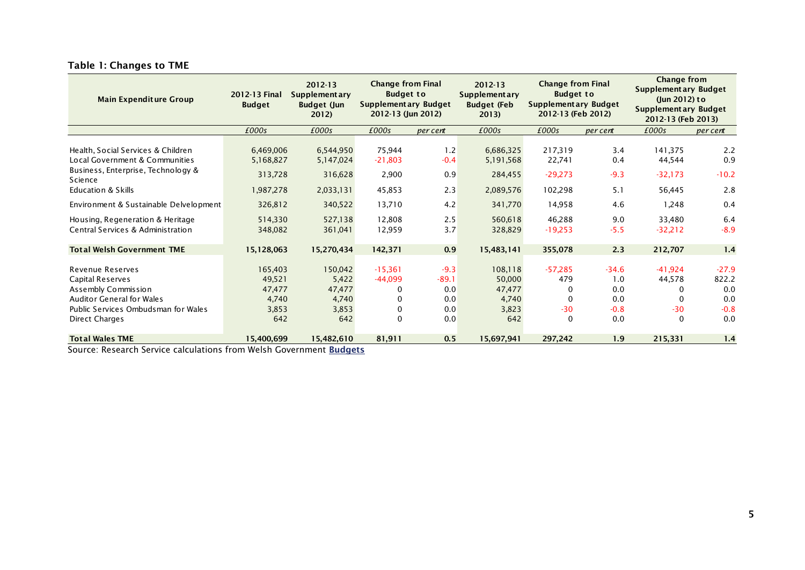<span id="page-12-0"></span>

| <b>Main Expenditure Group</b>                                                                                                                                                                    | 2012-13 Final<br><b>Budget</b>                            | $2012 - 13$<br><b>Supplementary</b><br><b>Budget (Jun</b><br>2012) | <b>Change from Final</b><br><b>Budget to</b><br><b>Supplementary Budget</b><br>2012-13 (Jun 2012) |                                               | $2012 - 13$<br><b>Supplementary</b><br><b>Budget (Feb</b><br>2013) | <b>Change from Final</b><br><b>Budget to</b><br>Supplementary Budget<br>2012-13 (Feb 2012) |                                               | <b>Change from</b><br><b>Supplementary Budget</b><br>(Jun 2012) to<br><b>Supplementary Budget</b><br>2012-13 (Feb 2013) |                                                 |
|--------------------------------------------------------------------------------------------------------------------------------------------------------------------------------------------------|-----------------------------------------------------------|--------------------------------------------------------------------|---------------------------------------------------------------------------------------------------|-----------------------------------------------|--------------------------------------------------------------------|--------------------------------------------------------------------------------------------|-----------------------------------------------|-------------------------------------------------------------------------------------------------------------------------|-------------------------------------------------|
|                                                                                                                                                                                                  | £000s                                                     | £000s                                                              | £000s                                                                                             | per cent                                      | £000s                                                              | £000s                                                                                      | per cent                                      | £000s                                                                                                                   | per cent                                        |
| Health, Social Services & Children<br>Local Government & Communities<br>Business, Enterprise, Technology &<br>Science<br><b>Education &amp; Skills</b><br>Environment & Sustainable Delvelopment | 6,469,006<br>5,168,827<br>313,728<br>1,987,278<br>326,812 | 6,544,950<br>5,147,024<br>316,628<br>2,033,131<br>340,522          | 75,944<br>$-21,803$<br>2,900<br>45,853<br>13,710                                                  | 1.2<br>$-0.4$<br>0.9<br>2.3<br>4.2            | 6,686,325<br>5,191,568<br>284,455<br>2,089,576<br>341,770          | 217,319<br>22,741<br>$-29,273$<br>102,298<br>14,958                                        | 3.4<br>0.4<br>$-9.3$<br>5.1<br>4.6            | 141,375<br>44,544<br>$-32,173$<br>56,445<br>1,248                                                                       | 2.2<br>0.9<br>$-10.2$<br>2.8<br>0.4             |
| Housing, Regeneration & Heritage<br>Central Services & Administration                                                                                                                            | 514,330<br>348,082                                        | 527,138<br>361,041                                                 | 12,808<br>12,959                                                                                  | 2.5<br>3.7                                    | 560,618<br>328,829                                                 | 46,288<br>$-19,253$                                                                        | 9.0<br>$-5.5$                                 | 33,480<br>$-32,212$                                                                                                     | 6.4<br>$-8.9$                                   |
| <b>Total Welsh Government TME</b>                                                                                                                                                                | 15,128,063                                                | 15,270,434                                                         | 142,371                                                                                           | 0.9                                           | 15,483,141                                                         | 355,078                                                                                    | 2.3                                           | 212,707                                                                                                                 | 1.4                                             |
| <b>Revenue Reserves</b><br><b>Capital Reserves</b><br>Assembly Commission<br><b>Auditor General for Wales</b><br>Public Services Ombudsman for Wales<br>Direct Charges                           | 165,403<br>49,521<br>47,477<br>4,740<br>3,853<br>642      | 150,042<br>5,422<br>47,477<br>4,740<br>3,853<br>642                | $-15,361$<br>-44,099<br>0<br>0<br>0<br>0                                                          | $-9.3$<br>$-89.1$<br>0.0<br>0.0<br>0.0<br>0.0 | 108,118<br>50,000<br>47,477<br>4,740<br>3,823<br>642               | $-57,285$<br>479<br>0<br>$\Omega$<br>$-30$<br>$\mathbf 0$                                  | $-34.6$<br>1.0<br>0.0<br>0.0<br>$-0.8$<br>0.0 | $-41,924$<br>44,578<br>0<br>0<br>$-30$<br>0                                                                             | $-27.9$<br>822.2<br>0.0<br>0.0<br>$-0.8$<br>0.0 |
| <b>Total Wales TME</b><br>$\mathbf{r}$ $\mathbf{r}$ $\mathbf{r}$                                                                                                                                 | 15,400,699<br><b>AAA L</b> L<br>$\overline{\phantom{0}}$  | 15,482,610<br><b>CONTRACTOR</b>                                    | 81,911                                                                                            | 0.5                                           | 15,697,941                                                         | 297,242                                                                                    | 1.9                                           | 215,331                                                                                                                 | 1.4                                             |

#### **Table 1: Changes to TME**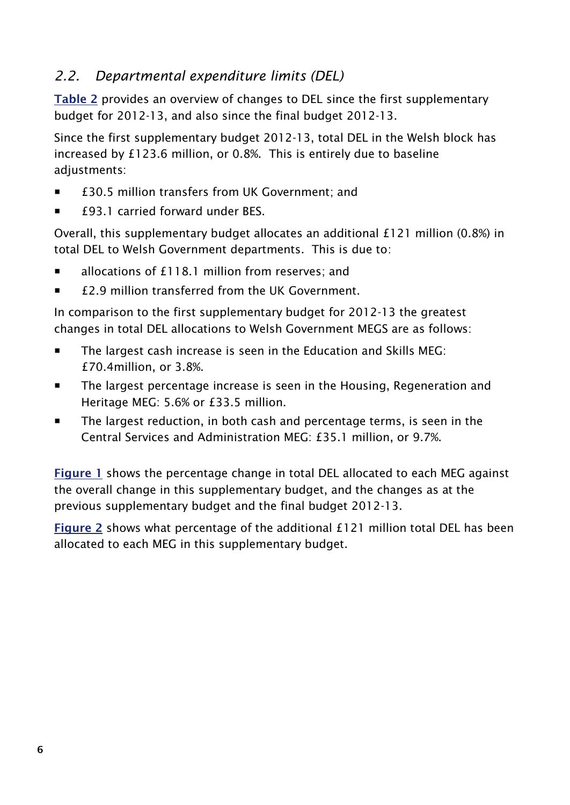## <span id="page-13-0"></span>*2.2. Departmental expenditure limits (DEL)*

**[Table](#page-14-0) 2** provides an overview of changes to DEL since the first supplementary budget for 2012-13, and also since the final budget 2012-13.

Since the first supplementary budget 2012-13, total DEL in the Welsh block has increased by £123.6 million, or 0.8%. This is entirely due to baseline adjustments:

- £30.5 million transfers from UK Government; and
- £93.1 carried forward under BES.

Overall, this supplementary budget allocates an additional £121 million (0.8%) in total DEL to Welsh Government departments. This is due to:

- allocations of £118.1 million from reserves; and
- £2.9 million transferred from the UK Government.

In comparison to the first supplementary budget for 2012-13 the greatest changes in total DEL allocations to Welsh Government MEGS are as follows:

- The largest cash increase is seen in the Education and Skills MEG: £70.4million, or 3.8%.
- The largest percentage increase is seen in the Housing, Regeneration and Heritage MEG: 5.6% or £33.5 million.
- **The largest reduction, in both cash and percentage terms, is seen in the** Central Services and Administration MEG: £35.1 million, or 9.7%.

**[Figure](#page-15-0) 1** shows the percentage change in total DEL allocated to each MEG against the overall change in this supplementary budget, and the changes as at the previous supplementary budget and the final budget 2012-13.

**[Figure](#page-15-1) 2** shows what percentage of the additional £121 million total DEL has been allocated to each MEG in this supplementary budget.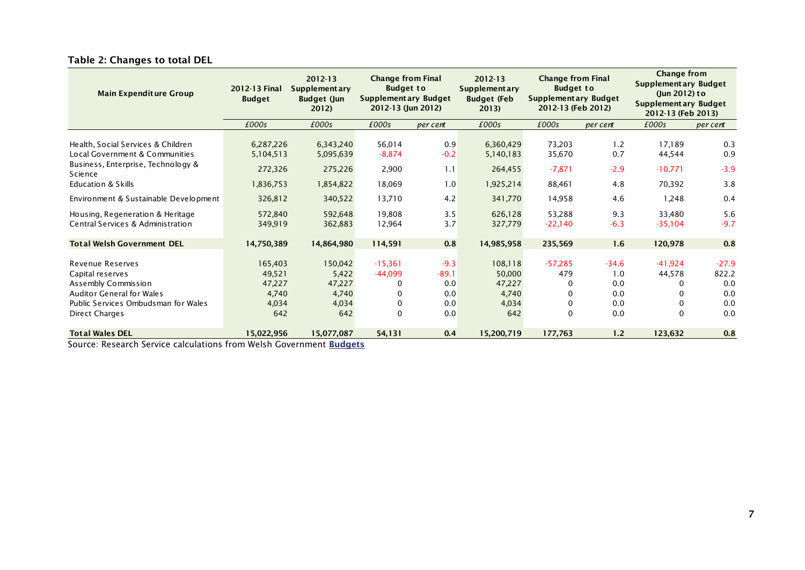<span id="page-14-0"></span>

| <b>Main Expenditure Group</b>                                                                                                                                   | 2012-13 Final<br><b>Budget</b>                       | <b>Change from Final</b><br>2012-13<br>$2012 - 13$<br><b>Budget to</b><br><b>Supplementary</b><br><b>Supplementary</b><br><b>Supplementary Budget</b><br><b>Budget (Feb</b><br><b>Budget (Jun</b><br>2012-13 (Jun 2012)<br>2013)<br>2012) |                                            | <b>Change from Final</b><br><b>Budget to</b><br>Supplementary Budget<br>2012-13 (Feb 2012) |                                                      |                                        |                                            | Change from<br><b>Supplementary Budget</b><br>(lun 2012) to<br><b>Supplementary Budget</b><br>2012-13 (Feb 2013) |                                              |
|-----------------------------------------------------------------------------------------------------------------------------------------------------------------|------------------------------------------------------|-------------------------------------------------------------------------------------------------------------------------------------------------------------------------------------------------------------------------------------------|--------------------------------------------|--------------------------------------------------------------------------------------------|------------------------------------------------------|----------------------------------------|--------------------------------------------|------------------------------------------------------------------------------------------------------------------|----------------------------------------------|
|                                                                                                                                                                 | £000s                                                | £000s                                                                                                                                                                                                                                     | £000s                                      | per cent                                                                                   | £000s                                                | £000s                                  | per cent                                   | £000s                                                                                                            | per cent                                     |
| Health, Social Services & Children<br>Local Government & Communities<br>Business, Enterprise, Technology &<br><b>Science</b><br><b>Education &amp; Skills</b>   | 6,287,226<br>5,104,513<br>272,326<br>1,836,753       | 6,343,240<br>5,095,639<br>275,226<br>1,854,822                                                                                                                                                                                            | 56,014<br>$-8,874$<br>2,900<br>18,069      | 0.9<br>$-0.2$<br>1.1<br>1.0                                                                | 6,360,429<br>5,140,183<br>264,455<br>1,925,214       | 73,203<br>35,670<br>$-7,871$<br>88,461 | 1.2<br>0.7<br>$-2.9$<br>4.8                | 17,189<br>44,544<br>$-10,771$<br>70,392                                                                          | 0.3<br>0.9<br>$-3.9$<br>3.8                  |
| Environment & Sustainable Development                                                                                                                           | 326,812                                              | 340,522                                                                                                                                                                                                                                   | 13,710                                     | 4.2                                                                                        | 341,770                                              | 14,958                                 | 4.6                                        | 1,248                                                                                                            | 0.4                                          |
| Housing, Regeneration & Heritage<br>Central Services & Administration                                                                                           | 572,840<br>349,919                                   | 592,648<br>362,883                                                                                                                                                                                                                        | 19,808<br>12,964                           | 3.5<br>3.7                                                                                 | 626,128<br>327,779                                   | 53,288<br>$-22,140$                    | 9.3<br>$-6.3$                              | 33,480<br>$-35,104$                                                                                              | 5.6<br>$-9.7$                                |
| <b>Total Welsh Government DEL</b>                                                                                                                               | 14,750,389                                           | 14,864,980                                                                                                                                                                                                                                | 114,591                                    | 0.8                                                                                        | 14,985,958                                           | 235,569                                | 1.6                                        | 120,978                                                                                                          | 0.8                                          |
| Revenue Reserves<br>Capital reserves<br>Assembly Commission<br><b>Auditor General for Wales</b><br>Public Services Ombudsman for Wales<br><b>Direct Charges</b> | 165,403<br>49,521<br>47,227<br>4,740<br>4,034<br>642 | 150,042<br>5,422<br>47,227<br>4,740<br>4,034<br>642                                                                                                                                                                                       | $-15,361$<br>$-44,099$<br>0<br>0<br>0<br>0 | $-9.3$<br>$-89.1$<br>0.0<br>0.0<br>0.0<br>0.0                                              | 108,118<br>50,000<br>47,227<br>4,740<br>4,034<br>642 | $-57,285$<br>479<br>0<br>0<br>0<br>0   | $-34.6$<br>1.0<br>0.0<br>0.0<br>0.0<br>0.0 | $-41,924$<br>44,578<br>0<br>0<br>0<br>$\Omega$                                                                   | $-27.9$<br>822.2<br>0.0<br>0.0<br>0.0<br>0.0 |
| <b>Total Wales DEL</b><br>Course Descende Comise seleulations from Welch Coursement Budnets                                                                     | 15,022,956                                           | 15,077,087                                                                                                                                                                                                                                | 54,131                                     | 0.4                                                                                        | 15,200,719                                           | 177,763                                | 1.2                                        | 123,632                                                                                                          | 0.8                                          |

#### **Table 2: Changes to total DEL**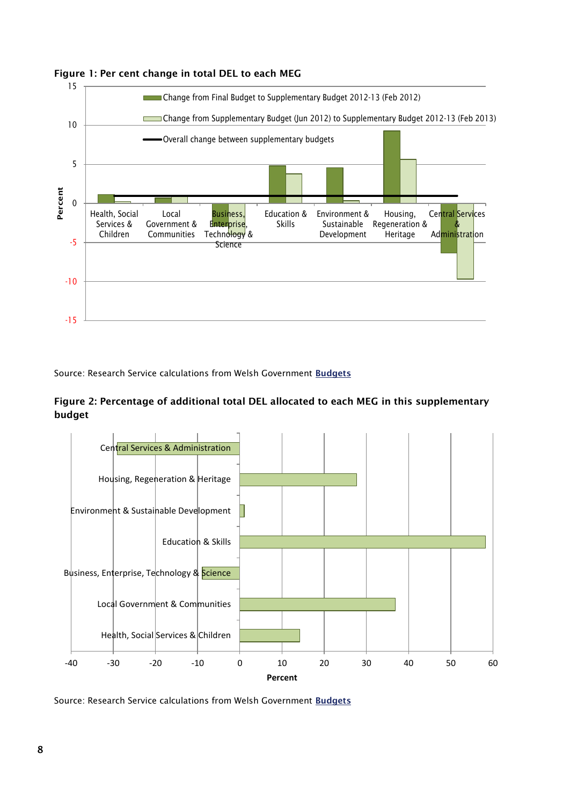

#### <span id="page-15-0"></span>**Figure 1: Per cent change in total DEL to each MEG**

Source: Research Service calculations from Welsh Government **[Budgets](http://wales.gov.uk/funding/budget/?lang=en)**

<span id="page-15-1"></span>

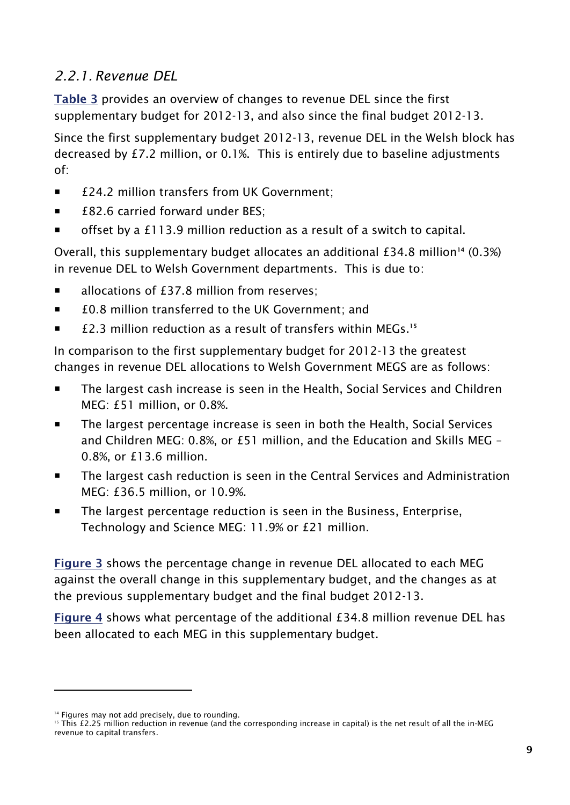### <span id="page-16-0"></span>*2.2.1. Revenue DEL*

**[Table 3](#page-18-0)** provides an overview of changes to revenue DEL since the first supplementary budget for 2012-13, and also since the final budget 2012-13.

Since the first supplementary budget 2012-13, revenue DEL in the Welsh block has decreased by £7.2 million, or 0.1%. This is entirely due to baseline adjustments of:

- £24.2 million transfers from UK Government;
- £82.6 carried forward under BES:
- **The Steam** offset by a £113.9 million reduction as a result of a switch to capital.

Overall, this supplementary budget allocates an additional £34.8 million**<sup>14</sup>** (0.3%) in revenue DEL to Welsh Government departments. This is due to:

- allocations of £37.8 million from reserves;
- £0.8 million transferred to the UK Government: and
- **£2.3 million reduction as a result of transfers within MEGs.**<sup>15</sup>

In comparison to the first supplementary budget for 2012-13 the greatest changes in revenue DEL allocations to Welsh Government MEGS are as follows:

- The largest cash increase is seen in the Health, Social Services and Children MEG: £51 million, or 0.8%.
- The largest percentage increase is seen in both the Health, Social Services and Children MEG: 0.8%, or £51 million, and the Education and Skills MEG – 0.8%, or £13.6 million.
- The largest cash reduction is seen in the Central Services and Administration MEG: £36.5 million, or 10.9%.
- **The largest percentage reduction is seen in the Business, Enterprise,** Technology and Science MEG: 11.9% or £21 million.

**[Figure 3](#page-16-1)** shows the percentage change in revenue DEL allocated to each MEG against the overall change in this supplementary budget, and the changes as at the previous supplementary budget and the final budget 2012-13.

<span id="page-16-1"></span>**[Figure 4](#page-17-0)** shows what percentage of the additional £34.8 million revenue DEL has been allocated to each MEG in this supplementary budget.

<sup>&</sup>lt;sup>14</sup> Figures may not add precisely, due to rounding.

<sup>&</sup>lt;sup>15</sup> This £2.25 million reduction in revenue (and the corresponding increase in capital) is the net result of all the in-MEG revenue to capital transfers.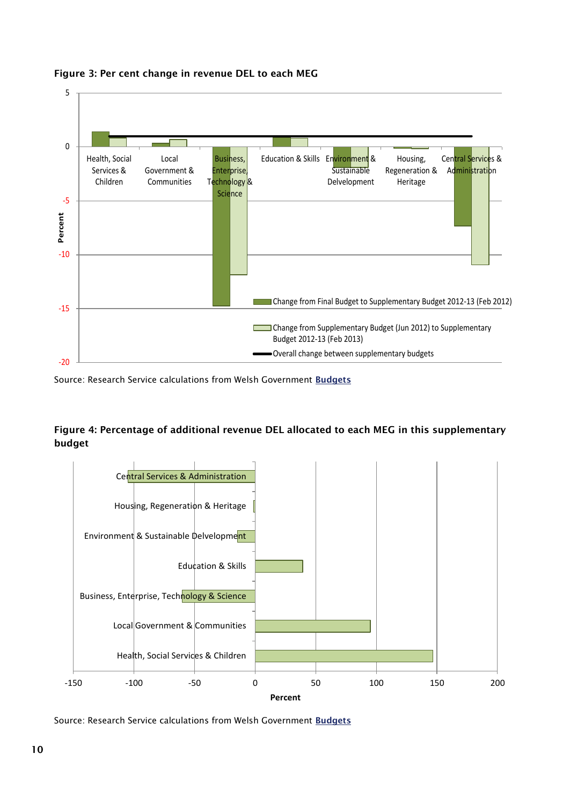

**Figure 3: Per cent change in revenue DEL to each MEG**

Source: Research Service calculations from Welsh Government **[Budgets](http://wales.gov.uk/funding/budget/?lang=en)**

#### <span id="page-17-0"></span>**Figure 4: Percentage of additional revenue DEL allocated to each MEG in this supplementary budget**



Source: Research Service calculations from Welsh Government **[Budgets](http://wales.gov.uk/funding/budget/?lang=en)**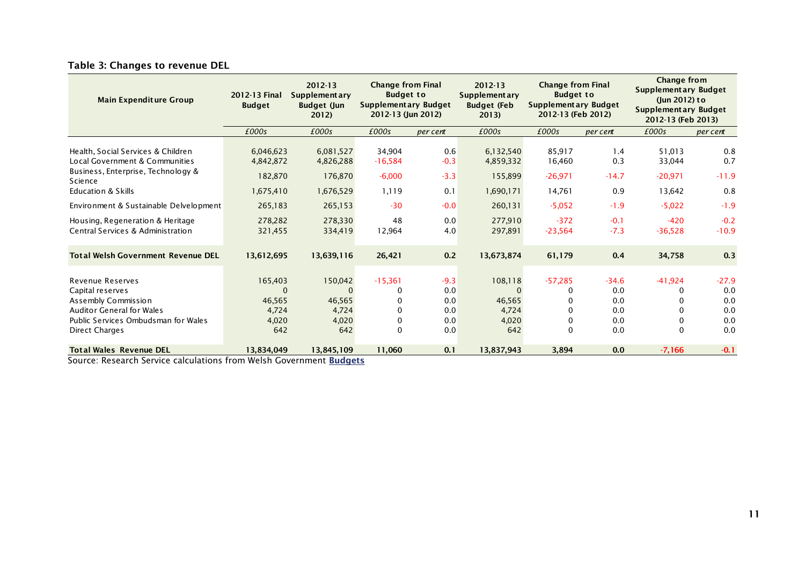<span id="page-18-0"></span>

| <b>Main Expenditure Group</b>                                                                                                                                                                    | 2012-13 Final<br><b>Budget</b>                            | 2012-13<br><b>Supplementary</b><br><b>Budget (Jun</b><br>2012) |                                                   | <b>Change from Final</b><br>$2012 - 13$<br><b>Budget to</b><br><b>Budget to</b><br><b>Supplementary</b><br><b>Supplementary Budget</b><br><b>Budget (Feb</b><br>2012-13 (Jun 2012)<br>2013 |                                                           | <b>Change from Final</b><br>Supplement ary Budget<br>2012-13 (Feb 2012) |                                            | <b>Change from</b><br><b>Supplementary Budget</b><br>(Jun 2012) to<br>Supplementary Budget<br>2012-13 (Feb 2013) |                                            |
|--------------------------------------------------------------------------------------------------------------------------------------------------------------------------------------------------|-----------------------------------------------------------|----------------------------------------------------------------|---------------------------------------------------|--------------------------------------------------------------------------------------------------------------------------------------------------------------------------------------------|-----------------------------------------------------------|-------------------------------------------------------------------------|--------------------------------------------|------------------------------------------------------------------------------------------------------------------|--------------------------------------------|
|                                                                                                                                                                                                  | £000s                                                     | £000s                                                          | £000s                                             | per cent                                                                                                                                                                                   | £000s                                                     | £000s                                                                   | per cent                                   | £000s                                                                                                            | per cent                                   |
| Health, Social Services & Children<br>Local Government & Communities<br>Business, Enterprise, Technology &<br>Science<br><b>Education &amp; Skills</b><br>Environment & Sustainable Delvelopment | 6,046,623<br>4,842,872<br>182,870<br>1,675,410<br>265,183 | 6,081,527<br>4,826,288<br>176,870<br>1,676,529<br>265,153      | 34,904<br>$-16,584$<br>$-6,000$<br>1,119<br>$-30$ | 0.6<br>$-0.3$<br>$-3.3$<br>0.1<br>$-0.0$                                                                                                                                                   | 6,132,540<br>4,859,332<br>155,899<br>1,690,171<br>260,131 | 85,917<br>16,460<br>$-26,971$<br>14,761<br>$-5,052$                     | 1.4<br>0.3<br>$-14.7$<br>0.9<br>$-1.9$     | 51,013<br>33,044<br>$-20,971$<br>13,642<br>$-5,022$                                                              | 0.8<br>0.7<br>$-11.9$<br>0.8<br>$-1.9$     |
| Housing, Regeneration & Heritage<br>Central Services & Administration                                                                                                                            | 278,282<br>321,455                                        | 278,330<br>334,419                                             | 48<br>12,964                                      | 0.0<br>4.0                                                                                                                                                                                 | 277,910<br>297,891                                        | $-372$<br>$-23,564$                                                     | $-0.1$<br>$-7.3$                           | $-420$<br>$-36,528$                                                                                              | $-0.2$<br>$-10.9$                          |
| <b>Total Welsh Government Revenue DEL</b>                                                                                                                                                        | 13,612,695                                                | 13,639,116                                                     | 26,421                                            | 0.2                                                                                                                                                                                        | 13,673,874                                                | 61,179                                                                  | 0.4                                        | 34,758                                                                                                           | 0.3                                        |
| Revenue Reserves<br>Capital reserves<br>Assembly Commission<br><b>Auditor General for Wales</b><br>Public Services Ombudsman for Wales<br><b>Direct Charges</b>                                  | 165,403<br>$\Omega$<br>46,565<br>4,724<br>4,020<br>642    | 150,042<br>$\Omega$<br>46,565<br>4,724<br>4,020<br>642         | $-15,361$<br>0<br>0<br>0<br>0<br>$\Omega$         | $-9.3$<br>0.0<br>0.0<br>0.0<br>0.0<br>0.0                                                                                                                                                  | 108,118<br>46,565<br>4,724<br>4,020<br>642                | $-57,285$<br>0<br>0<br>0<br>0                                           | $-34.6$<br>0.0<br>0.0<br>0.0<br>0.0<br>0.0 | $-41,924$<br>0<br>0<br>0                                                                                         | $-27.9$<br>0.0<br>0.0<br>0.0<br>0.0<br>0.0 |
| <b>Total Wales Revenue DEL</b>                                                                                                                                                                   | 13,834,049<br>$\mathcal{L}$ . The state of $\mathcal{L}$  | 13,845,109                                                     | 11,060                                            | 0.1                                                                                                                                                                                        | 13,837,943                                                | 3,894                                                                   | 0.0                                        | $-7,166$                                                                                                         | $-0.1$                                     |

#### **Table 3: Changes to revenue DEL**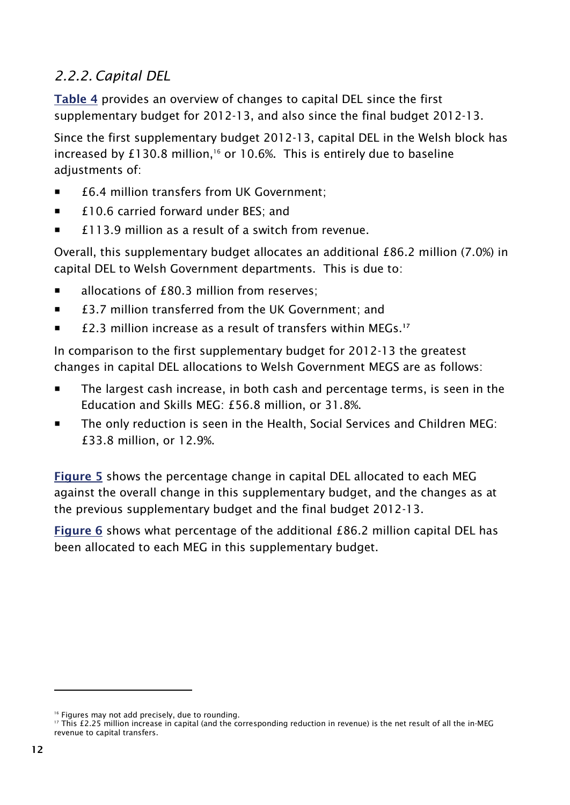### <span id="page-19-0"></span>*2.2.2. Capital DEL*

**[Table 4](#page-21-0)** provides an overview of changes to capital DEL since the first supplementary budget for 2012-13, and also since the final budget 2012-13.

Since the first supplementary budget 2012-13, capital DEL in the Welsh block has increased by £130.8 million,<sup>16</sup> or 10.6%. This is entirely due to baseline adjustments of:

- £6.4 million transfers from UK Government;
- £10.6 carried forward under BES; and
- £113.9 million as a result of a switch from revenue.

Overall, this supplementary budget allocates an additional £86.2 million (7.0%) in capital DEL to Welsh Government departments. This is due to:

- allocations of £80.3 million from reserves;
- £3.7 million transferred from the UK Government: and
- **£2.3 million increase as a result of transfers within MEGs.**<sup>17</sup>

In comparison to the first supplementary budget for 2012-13 the greatest changes in capital DEL allocations to Welsh Government MEGS are as follows:

- The largest cash increase, in both cash and percentage terms, is seen in the Education and Skills MEG: £56.8 million, or 31.8%.
- The only reduction is seen in the Health, Social Services and Children MEG: £33.8 million, or 12.9%.

**[Figure 5](#page-20-0)** shows the percentage change in capital DEL allocated to each MEG against the overall change in this supplementary budget, and the changes as at the previous supplementary budget and the final budget 2012-13.

**[Figure](#page-20-1) 6** shows what percentage of the additional £86.2 million capital DEL has been allocated to each MEG in this supplementary budget.

<sup>&</sup>lt;sup>16</sup> Figures may not add precisely, due to rounding.

<sup>&</sup>lt;sup>17</sup> This £2.25 million increase in capital (and the corresponding reduction in revenue) is the net result of all the in-MEG revenue to capital transfers.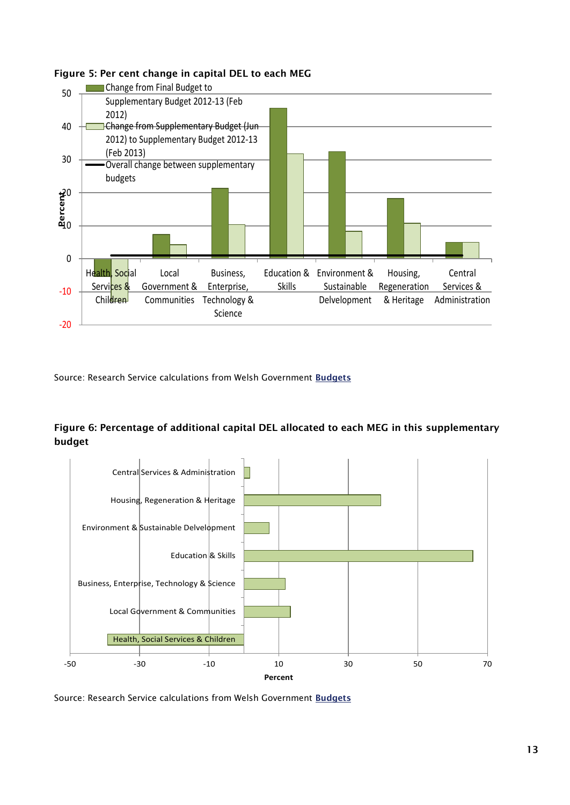

#### <span id="page-20-0"></span>**Figure 5: Per cent change in capital DEL to each MEG**

Source: Research Service calculations from Welsh Government **[Budgets](http://wales.gov.uk/funding/budget/?lang=en)**

#### <span id="page-20-1"></span>**Figure 6: Percentage of additional capital DEL allocated to each MEG in this supplementary budget**

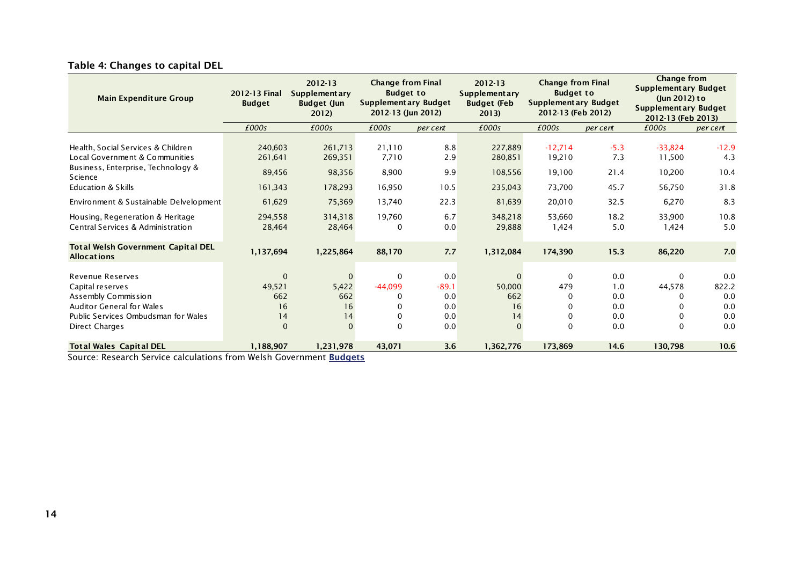<span id="page-21-0"></span>

| <b>Main Expenditure Group</b>                                                                                                                                                                    | 2012-13 Final<br><b>Budget</b>                            | 2012-13<br><b>Supplementary</b><br><b>Budget (Jun</b><br>2012 | <b>Change from Final</b><br><b>Budget to</b><br>Supplementary Budget<br>2012-13 (Jun 2012) |                                            | <b>Change from Final</b><br>$2012 - 13$<br><b>Budget to</b><br><b>Supplementary</b><br><b>Supplementary Budget</b><br><b>Budget (Feb</b><br>2012-13 (Feb 2012)<br>2013) |                                         |                                        |                                         | Change from<br><b>Supplementary Budget</b><br>(Jun 2012) to<br><b>Supplementary Budget</b><br>2012-13 (Feb 2013) |
|--------------------------------------------------------------------------------------------------------------------------------------------------------------------------------------------------|-----------------------------------------------------------|---------------------------------------------------------------|--------------------------------------------------------------------------------------------|--------------------------------------------|-------------------------------------------------------------------------------------------------------------------------------------------------------------------------|-----------------------------------------|----------------------------------------|-----------------------------------------|------------------------------------------------------------------------------------------------------------------|
|                                                                                                                                                                                                  | £000s                                                     | £000s                                                         | £000s                                                                                      | per cent                                   | £000s                                                                                                                                                                   | £000s                                   | per cent                               | £000s                                   | per cent                                                                                                         |
| Health, Social Services & Children<br>Local Government & Communities<br>Business, Enterprise, Technology &<br>Science<br><b>Education &amp; Skills</b><br>Environment & Sustainable Delvelopment | 240,603<br>261,641<br>89,456<br>161,343<br>61,629         | 261,713<br>269,351<br>98,356<br>178,293                       | 21,110<br>7,710<br>8,900<br>16,950                                                         | 8.8<br>2.9<br>9.9<br>10.5                  | 227,889<br>280,851<br>108,556<br>235,043                                                                                                                                | $-12,714$<br>19,210<br>19,100<br>73,700 | $-5.3$<br>7.3<br>21.4<br>45.7          | $-33,824$<br>11,500<br>10,200<br>56,750 | $-12.9$<br>4.3<br>10.4<br>31.8<br>8.3                                                                            |
| Housing, Regeneration & Heritage<br>Central Services & Administration                                                                                                                            | 294,558                                                   | 75,369<br>314,318                                             | 13,740<br>19,760                                                                           | 22.3<br>6.7<br>0.0                         | 81,639<br>348,218                                                                                                                                                       | 20,010<br>53,660                        | 32.5<br>18.2                           | 6,270<br>33,900                         | 10.8                                                                                                             |
| <b>Total Welsh Government Capital DEL</b><br><b>Allocations</b>                                                                                                                                  | 28,464<br>1,137,694                                       | 28,464<br>1,225,864                                           | 0<br>88,170                                                                                | 7.7                                        | 29,888<br>1,312,084                                                                                                                                                     | 1,424<br>174,390                        | 5.0<br>15.3                            | 1,424<br>86,220                         | 5.0<br>7.0                                                                                                       |
| Revenue Reserves<br>Capital reserves<br>Assembly Commission<br><b>Auditor General for Wales</b><br>Public Services Ombudsman for Wales<br><b>Direct Charges</b>                                  | $\mathbf{0}$<br>49,521<br>662<br>16<br>14<br>$\mathbf{0}$ | 5,422<br>662<br>16<br>14                                      | 0<br>$-44,099$<br>$\Omega$<br>0<br>$\Omega$<br>$\Omega$                                    | 0.0<br>$-89.1$<br>0.0<br>0.0<br>0.0<br>0.0 | 50,000<br>662<br>16<br>14<br>$\Omega$                                                                                                                                   | 0<br>479<br>0<br>∩<br>0<br>$\Omega$     | 0.0<br>1.0<br>0.0<br>0.0<br>0.0<br>0.0 | 0<br>44,578<br>0<br>0<br>0<br>$\Omega$  | 0.0<br>822.2<br>0.0<br>0.0<br>0.0<br>0.0                                                                         |
| <b>Total Wales Capital DEL</b>                                                                                                                                                                   | 1,188,907<br>$\mathcal{L}$ . The state of $\mathcal{L}$   | 1,231,978                                                     | 43,071                                                                                     | 3.6                                        | 1,362,776                                                                                                                                                               | 173,869                                 | 14.6                                   | 130,798                                 | 10.6                                                                                                             |

#### **Table 4: Changes to capital DEL**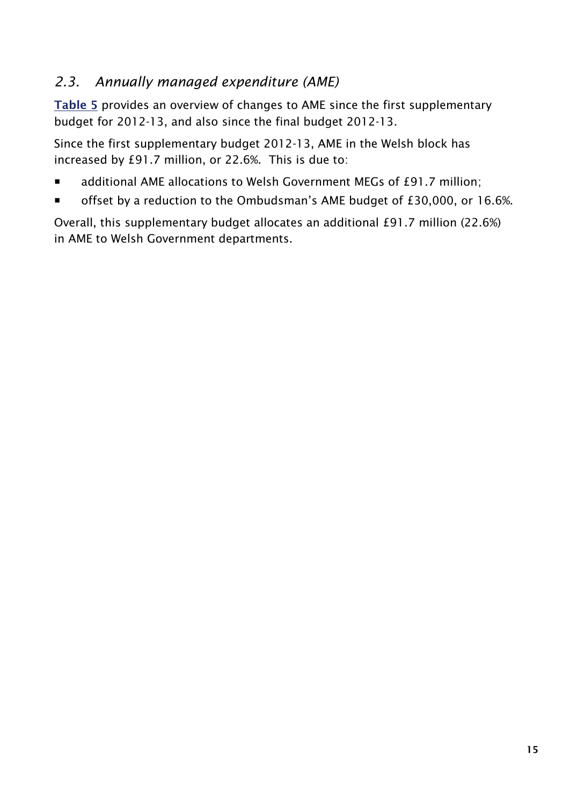# <span id="page-22-0"></span>*2.3. Annually managed expenditure (AME)*

**[Table 5](#page-23-0)** provides an overview of changes to AME since the first supplementary budget for 2012-13, and also since the final budget 2012-13.

Since the first supplementary budget 2012-13, AME in the Welsh block has increased by £91.7 million, or 22.6%. This is due to:

- additional AME allocations to Welsh Government MEGs of £91.7 million;
- offset by a reduction to the Ombudsman's AME budget of £30,000, or 16.6%.

Overall, this supplementary budget allocates an additional £91.7 million (22.6%) in AME to Welsh Government departments.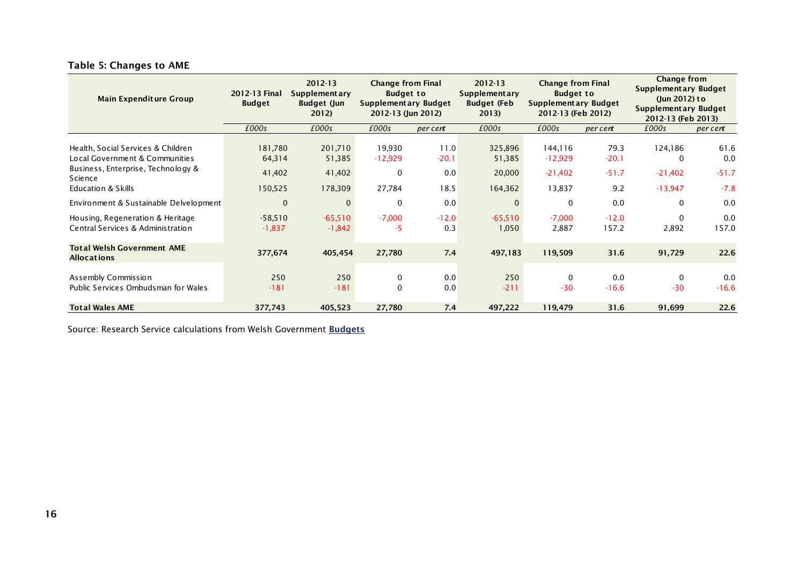<span id="page-23-0"></span>

| <b>Main Expenditure Group</b>                                                                                                                      | 2012-13 Final<br><b>Budget</b>         | 2012-13<br>Supplementary<br><b>Budget (Jun</b><br>2012) | <b>Change from Final</b><br><b>Budget to</b><br><b>Supplementary Budget</b><br>2012-13 (Jun 2012) |                                | $2012 - 13$<br><b>Supplementary</b><br><b>Budget (Feb</b><br>2013) | <b>Change from Final</b><br><b>Budget to</b><br>Supplementary Budget<br>2012-13 (Feb 2012) |                                   | Change from<br><b>Supplementary Budget</b><br>$(lun 2012)$ to<br><b>Supplementary Budget</b><br>2012-13 (Feb 2013) |                                  |
|----------------------------------------------------------------------------------------------------------------------------------------------------|----------------------------------------|---------------------------------------------------------|---------------------------------------------------------------------------------------------------|--------------------------------|--------------------------------------------------------------------|--------------------------------------------------------------------------------------------|-----------------------------------|--------------------------------------------------------------------------------------------------------------------|----------------------------------|
|                                                                                                                                                    | £000s                                  | £000s                                                   | £000s                                                                                             | per cent                       | £000s                                                              | £000s                                                                                      | per cent                          | £000s                                                                                                              | per cent                         |
| Health, Social Services & Children<br>Local Government & Communities<br>Business, Enterprise, Technology &<br><b>Science</b><br>Education & Skills | 181,780<br>64,314<br>41,402<br>150,525 | 201,710<br>51,385<br>41,402<br>178,309                  | 19,930<br>$-12,929$<br>$\Omega$<br>27,784                                                         | 11.0<br>$-20.1$<br>0.0<br>18.5 | 325,896<br>51,385<br>20,000<br>164,362                             | 144,116<br>$-12,929$<br>$-21,402$<br>13,837                                                | 79.3<br>$-20.1$<br>$-51.7$<br>9.2 | 124,186<br>$\mathbf{0}$<br>$-21,402$<br>$-13,947$                                                                  | 61.6<br>0.0<br>$-51.7$<br>$-7.8$ |
| Environment & Sustainable Delvelopment                                                                                                             | $\mathbf 0$                            | $\Omega$                                                | $\Omega$                                                                                          | 0.0                            | $\Omega$                                                           | 0                                                                                          | 0.0                               | $\Omega$                                                                                                           | 0.0                              |
| Housing, Regeneration & Heritage<br>Central Services & Administration                                                                              | $-58,510$<br>$-1,837$                  | $-65,510$<br>$-1,842$                                   | $-7,000$<br>-5                                                                                    | $-12.0$<br>0.3                 | $-65,510$<br>1,050                                                 | $-7,000$<br>2,887                                                                          | $-12.0$<br>157.2                  | $\Omega$<br>2,892                                                                                                  | 0.0<br>157.0                     |
| <b>Total Welsh Government AME</b><br><b>Allocations</b>                                                                                            | 377,674                                | 405,454                                                 | 27,780                                                                                            | 7.4                            | 497,183                                                            | 119,509                                                                                    | 31.6                              | 91,729                                                                                                             | 22.6                             |
| Assembly Commission<br>Public Services Ombudsman for Wales                                                                                         | 250<br>$-181$                          | 250<br>$-181$                                           | 0<br>$\Omega$                                                                                     | 0.0<br>0.0                     | 250<br>$-211$                                                      | 0<br>$-30$                                                                                 | 0.0<br>$-16.6$                    | 0<br>$-30$                                                                                                         | 0.0<br>$-16.6$                   |
| <b>Total Wales AME</b>                                                                                                                             | 377,743                                | 405,523                                                 | 27,780                                                                                            | 7.4                            | 497,222                                                            | 119,479                                                                                    | 31.6                              | 91,699                                                                                                             | 22.6                             |

#### **Table 5: Changes to AME**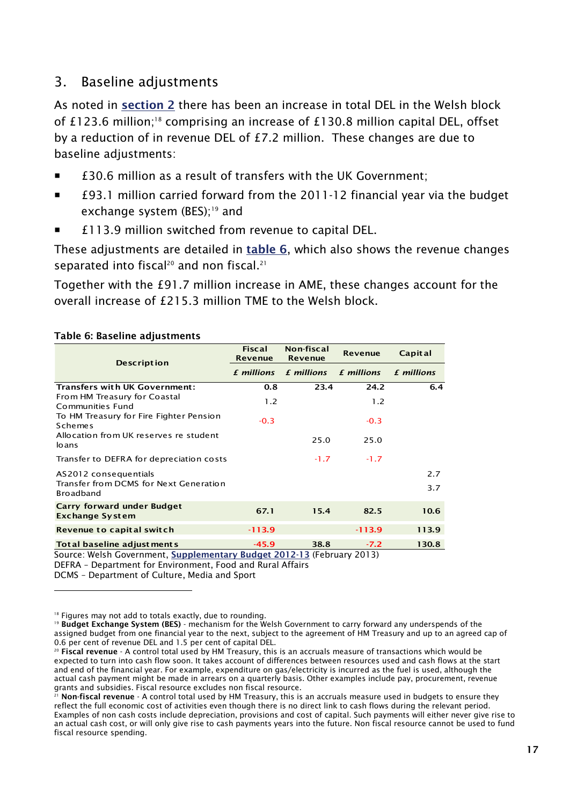### <span id="page-24-0"></span>3. Baseline adjustments

As noted in **[section 2](#page-10-0)** there has been an increase in total DEL in the Welsh block of £123.6 million:<sup>18</sup> comprising an increase of £130.8 million capital DEL, offset by a reduction of in revenue DEL of £7.2 million. These changes are due to baseline adiustments:

- £30.6 million as a result of transfers with the UK Government;
- £93.1 million carried forward from the 2011-12 financial year via the budget exchange system (BES);<sup>19</sup> and
- £113.9 million switched from revenue to capital DEL.

These adjustments are detailed in **[table 6](#page-24-1)**, which also shows the revenue changes separated into fiscal<sup>20</sup> and non fiscal.<sup>21</sup>

Together with the £91.7 million increase in AME, these changes account for the overall increase of £215.3 million TME to the Welsh block.

#### <span id="page-24-1"></span>**Table 6: Baseline adjustments**

| <b>Description</b>                                                                                    | <b>Fiscal</b><br><b>Revenue</b> | Non-fiscal<br><b>Revenue</b> | <b>Revenue</b>    | Capital           |
|-------------------------------------------------------------------------------------------------------|---------------------------------|------------------------------|-------------------|-------------------|
|                                                                                                       | £ millions                      | £ millions                   | <b>f</b> millions | <b>£</b> millions |
| <b>Transfers with UK Government:</b>                                                                  | 0.8                             | 23.4                         | 24.2              | 6.4               |
| From HM Treasury for Coastal<br>Communities Fund                                                      | 1.2                             |                              | 1.2               |                   |
| To HM Treasury for Fire Fighter Pension<br><b>Schemes</b>                                             | $-0.3$                          |                              | $-0.3$            |                   |
| Allocation from UK reserves re student<br>loans                                                       |                                 | 25.0                         | 25.0              |                   |
| Transfer to DEFRA for depreciation costs                                                              |                                 | $-1.7$                       | $-1.7$            |                   |
| AS2012 consequentials<br>Transfer from DCMS for Next Generation<br><b>Broadband</b>                   |                                 |                              |                   | 2.7<br>3.7        |
| Carry forward under Budget<br><b>Exchange System</b>                                                  | 67.1                            | 15.4                         | 82.5              | 10.6              |
| Revenue to capital switch                                                                             | $-113.9$                        |                              | $-113.9$          | 113.9             |
| Total baseline adjust ments<br>Source: Welsh Covernment, Sunnlementary Rudget 2012-13 (February 2013) | $-45.9$                         | 38.8                         | $-7.2$            | 130.8             |

<u>s</u> (February 2013) DEFRA – Department for Environment, Food and Rural Affairs

DCMS – Department of Culture, Media and Sport

<sup>&</sup>lt;sup>18</sup> Figures may not add to totals exactly, due to rounding.

<sup>19</sup> **Budget Exchange System (BES)** - mechanism for the Welsh Government to carry forward any underspends of the assigned budget from one financial year to the next, subject to the agreement of HM Treasury and up to an agreed cap of 0.6 per cent of revenue DEL and 1.5 per cent of capital DEL.

<sup>20</sup> **Fiscal revenue** - A control total used by HM Treasury, this is an accruals measure of transactions which would be expected to turn into cash flow soon. It takes account of differences between resources used and cash flows at the start and end of the financial year. For example, expenditure on gas/electricity is incurred as the fuel is used, although the actual cash payment might be made in arrears on a quarterly basis. Other examples include pay, procurement, revenue grants and subsidies. Fiscal resource excludes non fiscal resource.

<sup>21</sup> **Non-fiscal revenue** - A control total used by HM Treasury, this is an accruals measure used in budgets to ensure they reflect the full economic cost of activities even though there is no direct link to cash flows during the relevant period. Examples of non cash costs include depreciation, provisions and cost of capital. Such payments will either never give rise to an actual cash cost, or will only give rise to cash payments years into the future. Non fiscal resource cannot be used to fund fiscal resource spending.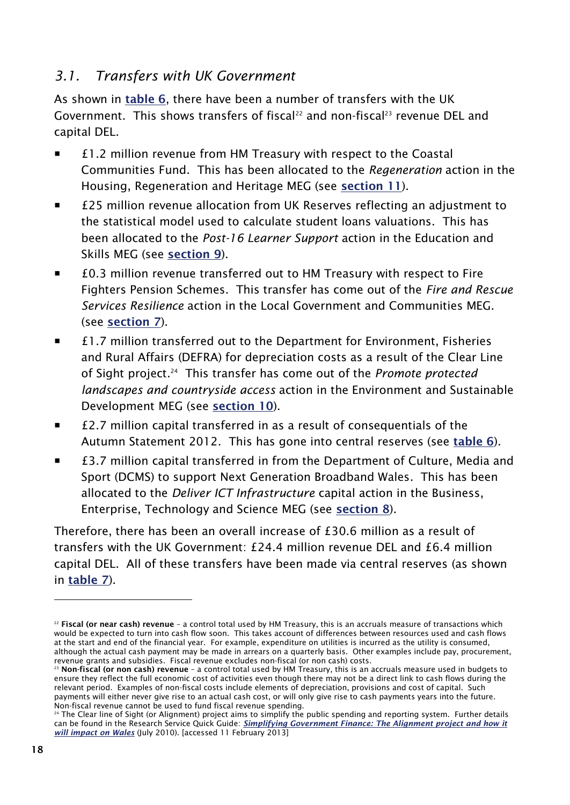### <span id="page-25-0"></span>*3.1. Transfers with UK Government*

As shown in **[table 6](#page-24-1)**, there have been a number of transfers with the UK Government. This shows transfers of fiscal<sup>22</sup> and non-fiscal<sup>23</sup> revenue DEL and capital DEL.

- £1.2 million revenue from HM Treasury with respect to the Coastal Communities Fund. This has been allocated to the *Regeneration* action in the Housing, Regeneration and Heritage MEG (see **[section 11](#page-51-0)**).
- £25 million revenue allocation from UK Reserves reflecting an adjustment to the statistical model used to calculate student loans valuations. This has been allocated to the *Post-16 Learner Support* action in the Education and Skills MEG (see **[section 9](#page-45-0)**).
- £0.3 million revenue transferred out to HM Treasury with respect to Fire Fighters Pension Schemes. This transfer has come out of the *Fire and Rescue Services Resilience* action in the Local Government and Communities MEG. (see **[section](#page-39-0) 7**).
- £1.7 million transferred out to the Department for Environment, Fisheries and Rural Affairs (DEFRA) for depreciation costs as a result of the Clear Line of Sight project. 24 This transfer has come out of the *Promote protected landscapes and countryside access* action in the Environment and Sustainable Development MEG (see **[section 10](#page-48-0)**).
- £2.7 million capital transferred in as a result of consequentials of the Autumn Statement 2012. This has gone into central reserves (see **[table 6](#page-24-1)**).
- £3.7 million capital transferred in from the Department of Culture, Media and Sport (DCMS) to support Next Generation Broadband Wales. This has been allocated to the *Deliver ICT Infrastructure* capital action in the Business, Enterprise, Technology and Science MEG (see **[section 8](#page-42-0)**).

Therefore, there has been an overall increase of £30.6 million as a result of transfers with the UK Government: £24.4 million revenue DEL and £6.4 million capital DEL. All of these transfers have been made via central reserves (as shown in **[table 7](#page-30-0)**).

<sup>22</sup> **Fiscal (or near cash) revenue** – a control total used by HM Treasury, this is an accruals measure of transactions which would be expected to turn into cash flow soon. This takes account of differences between resources used and cash flows at the start and end of the financial year. For example, expenditure on utilities is incurred as the utility is consumed, although the actual cash payment may be made in arrears on a quarterly basis. Other examples include pay, procurement, revenue grants and subsidies. Fiscal revenue excludes non-fiscal (or non cash) costs.

<sup>23</sup> **Non-fiscal (or non cash) revenue** – a control total used by HM Treasury, this is an accruals measure used in budgets to ensure they reflect the full economic cost of activities even though there may not be a direct link to cash flows during the relevant period. Examples of non-fiscal costs include elements of depreciation, provisions and cost of capital. Such payments will either never give rise to an actual cash cost, or will only give rise to cash payments years into the future. Non-fiscal revenue cannot be used to fund fiscal revenue spending.

<sup>&</sup>lt;sup>24</sup> The Clear line of Sight (or Alignment) project aims to simplify the public spending and reporting system. Further details can be found in the Research Service Quick Guide: *Simplifying [Government Finance: The Alignment project and how it](http://www.assemblywales.org/qg10-0015.pdf)  [will impact on Wales](http://www.assemblywales.org/qg10-0015.pdf)* (July 2010). [accessed 11 February 2013]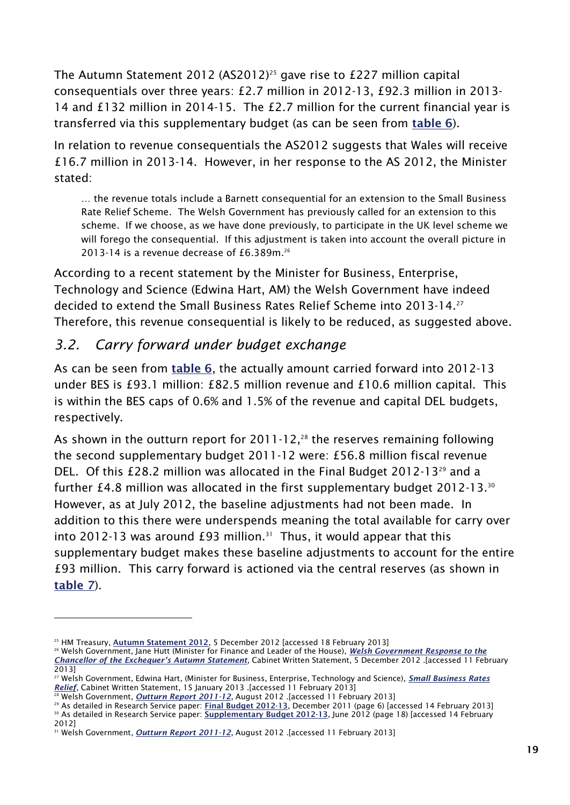The Autumn Statement 2012 (AS2012)<sup>25</sup> gave rise to £227 million capital consequentials over three years: £2.7 million in 2012-13, £92.3 million in 2013- 14 and £132 million in 2014-15. The £2.7 million for the current financial year is transferred via this supplementary budget (as can be seen from **[table 6](#page-24-1)**).

In relation to revenue consequentials the AS2012 suggests that Wales will receive £16.7 million in 2013-14. However, in her response to the AS 2012, the Minister stated:

… the revenue totals include a Barnett consequential for an extension to the Small Business Rate Relief Scheme. The Welsh Government has previously called for an extension to this scheme. If we choose, as we have done previously, to participate in the UK level scheme we will forego the consequential. If this adjustment is taken into account the overall picture in 2013-14 is a revenue decrease of £6.389m.<sup>26</sup>

According to a recent statement by the Minister for Business, Enterprise, Technology and Science (Edwina Hart, AM) the Welsh Government have indeed decided to extend the Small Business Rates Relief Scheme into 2013-14.<sup>27</sup> Therefore, this revenue consequential is likely to be reduced, as suggested above.

# <span id="page-26-0"></span>*3.2. Carry forward under budget exchange*

As can be seen from **[table 6](#page-24-1)**, the actually amount carried forward into 2012-13 under BES is £93.1 million: £82.5 million revenue and £10.6 million capital. This is within the BES caps of 0.6% and 1.5% of the revenue and capital DEL budgets, respectively.

As shown in the outturn report for  $2011-12$ ,<sup>28</sup> the reserves remaining following the second supplementary budget 2011-12 were: £56.8 million fiscal revenue DEL. Of this £28.2 million was allocated in the Final Budget 2012-13<sup>29</sup> and a further £4.8 million was allocated in the first supplementary budget 2012-13. 30 However, as at July 2012, the baseline adjustments had not been made. In addition to this there were underspends meaning the total available for carry over into 2012-13 was around £93 million.<sup>31</sup> Thus, it would appear that this supplementary budget makes these baseline adjustments to account for the entire £93 million. This carry forward is actioned via the central reserves (as shown in **[table 7](#page-30-0)**).

-

<sup>29</sup> As detailed in Research Service paper: **[Final Budget 2012-13](http://www.assemblywales.org/11-070.pdf)**, December 2011 (page 6) [accessed 14 February 2013] <sup>30</sup> As detailed in Research Service paper: **[Supplementary Budget 2012-13](http://www.assemblywales.org/12-033.pdf)**, June 2012 (page 18) [accessed 14 February

<sup>25</sup> HM Treasury, **[Autumn Statement 2012](http://www.hm-treasury.gov.uk/as2012_documents.htm)**, 5 December 2012 [accessed 18 February 2013]

<sup>26</sup> Welsh Government, Jane Hutt (Minister for Finance and Leader of the House), *[Welsh Government Response to the](http://wales.gov.uk/about/cabinet/cabinetstatements/2012/autumnstatement/?lang=en)  Chancellor of the [Exchequer's Autumn Statement](http://wales.gov.uk/about/cabinet/cabinetstatements/2012/autumnstatement/?lang=en)*, Cabinet Written Statement, 5 December 2012 .[accessed 11 February 2013]

<sup>27</sup> Welsh Government, Edwina Hart, (Minister for Business, Enterprise, Technology and Science), *[Small Business Rates](http://wales.gov.uk/about/cabinet/cabinetstatements/2013/smallbusinessratesrelief/?status=closed&lang=en)  [Relief](http://wales.gov.uk/about/cabinet/cabinetstatements/2013/smallbusinessratesrelief/?status=closed&lang=en)*, Cabinet Written Statement, 15 January 2013 .[accessed 11 February 2013]

<sup>28</sup> Welsh Government, *[Outturn Report 2011-12](http://abms/documents/s10059/Private%20paper%20-%20Consideration%20of%20changes%20to%202011-2012%20budgets%20-%20Outturn%20report%20-%20Annex.pdf)*, August 2012 .[accessed 11 February 2013]

<sup>2012]</sup> <sup>31</sup> Welsh Government, *[Outturn Report 2011-12](http://abms/documents/s10059/Private%20paper%20-%20Consideration%20of%20changes%20to%202011-2012%20budgets%20-%20Outturn%20report%20-%20Annex.pdf)*, August 2012 .[accessed 11 February 2013]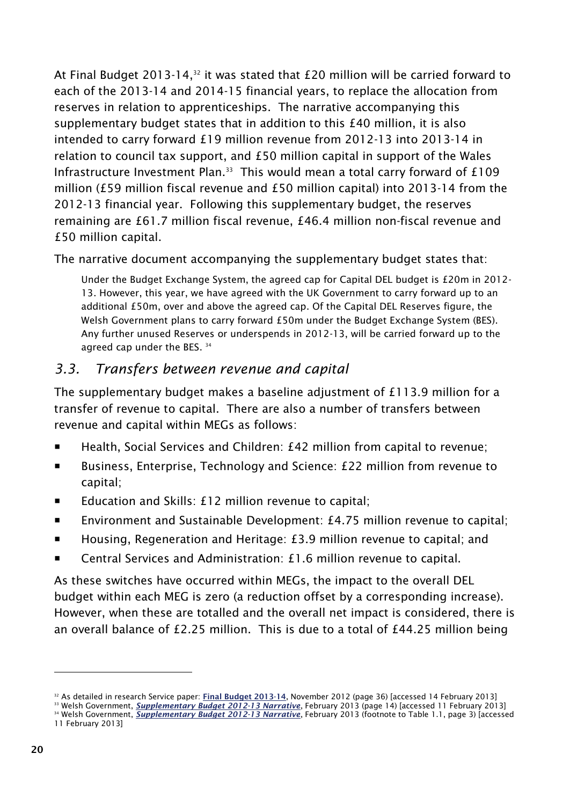At Final Budget 2013-14,<sup>32</sup> it was stated that  $£20$  million will be carried forward to each of the 2013-14 and 2014-15 financial years, to replace the allocation from reserves in relation to apprenticeships. The narrative accompanying this supplementary budget states that in addition to this £40 million, it is also intended to carry forward £19 million revenue from 2012-13 into 2013-14 in relation to council tax support, and £50 million capital in support of the Wales Infrastructure Investment Plan.<sup>33</sup> This would mean a total carry forward of  $£109$ million (£59 million fiscal revenue and £50 million capital) into 2013-14 from the 2012-13 financial year. Following this supplementary budget, the reserves remaining are £61.7 million fiscal revenue, £46.4 million non-fiscal revenue and £50 million capital.

The narrative document accompanying the supplementary budget states that:

Under the Budget Exchange System, the agreed cap for Capital DEL budget is £20m in 2012- 13. However, this year, we have agreed with the UK Government to carry forward up to an additional £50m, over and above the agreed cap. Of the Capital DEL Reserves figure, the Welsh Government plans to carry forward £50m under the Budget Exchange System (BES). Any further unused Reserves or underspends in 2012-13, will be carried forward up to the agreed cap under the BES. 34

### <span id="page-27-0"></span>*3.3. Transfers between revenue and capital*

The supplementary budget makes a baseline adjustment of £113.9 million for a transfer of revenue to capital. There are also a number of transfers between revenue and capital within MEGs as follows:

- Health, Social Services and Children: £42 million from capital to revenue;
- Business, Enterprise, Technology and Science: £22 million from revenue to capital;
- Education and Skills: £12 million revenue to capital;
- Environment and Sustainable Development: £4.75 million revenue to capital;
- Housing, Regeneration and Heritage: £3.9 million revenue to capital; and
- Central Services and Administration: £1.6 million revenue to capital.

As these switches have occurred within MEGs, the impact to the overall DEL budget within each MEG is zero (a reduction offset by a corresponding increase). However, when these are totalled and the overall net impact is considered, there is an overall balance of £2.25 million. This is due to a total of £44.25 million being

<sup>32</sup> As detailed in research Service paper: **[Final Budget 2013-14](http://www.assemblywales.org/12-053.pdf)**, November 2012 (page 36) [accessed 14 February 2013]

<sup>&</sup>lt;sup>33</sup> Welsh Government, **[Supplementary Budget 2012-13 Narrative](http://wales.gov.uk/docs/caecd/publications/130205explanatory2en.pdf)**, February 2013 (page 14) [accessed 11 February 2013]

<sup>34</sup> Welsh Government, *[Supplementary Budget 2012-13 Narrative](http://wales.gov.uk/docs/caecd/publications/130205explanatory2en.pdf)*, February 2013 (footnote to Table 1.1, page 3) [accessed 11 February 2013]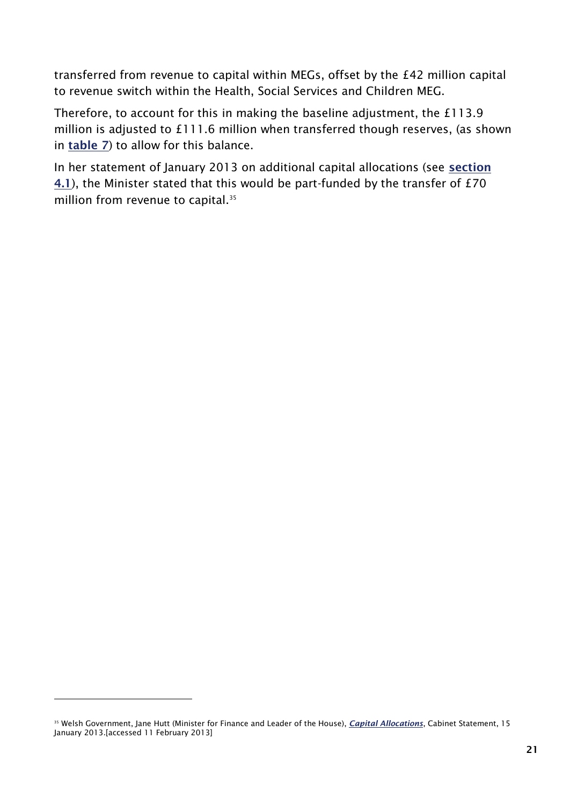transferred from revenue to capital within MEGs, offset by the £42 million capital to revenue switch within the Health, Social Services and Children MEG.

Therefore, to account for this in making the baseline adjustment, the £113.9 million is adjusted to £111.6 million when transferred though reserves, (as shown in **[table 7](#page-30-0)**) to allow for this balance.

In her statement of January 2013 on additional capital allocations (see **[section](#page-31-0)  [4.1](#page-31-0)**), the Minister stated that this would be part-funded by the transfer of £70 million from revenue to capital.<sup>35</sup>

<sup>35</sup> Welsh Government, Jane Hutt (Minister for Finance and Leader of the House), *[Capital Allocations](http://www.assemblywales.org/bus-home/bus-chamber-fourth-assembly-rop/rop20130115qv.pdf?langoption=3&ttl=The%20Record%20%28PDF%2C%201-23MB%29)*, Cabinet Statement, 15 January 2013.[accessed 11 February 2013]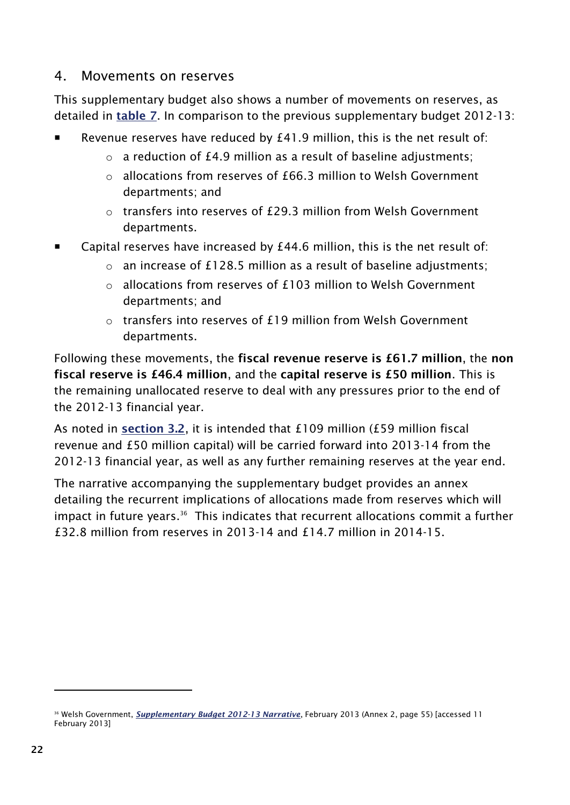### <span id="page-29-0"></span>4. Movements on reserves

This supplementary budget also shows a number of movements on reserves, as detailed in **[table 7](#page-30-0)**. In comparison to the previous supplementary budget 2012-13:

- Revenue reserves have reduced by £41.9 million, this is the net result of:
	- $\circ$  a reduction of £4.9 million as a result of baseline adjustments;
	- $\circ$  allocations from reserves of £66.3 million to Welsh Government departments; and
	- $\circ$  transfers into reserves of £29.3 million from Welsh Government departments.
- Capital reserves have increased by £44.6 million, this is the net result of:
	- $\circ$  an increase of £128.5 million as a result of baseline adjustments;
	- $\circ$  allocations from reserves of £103 million to Welsh Government departments; and
	- o transfers into reserves of £19 million from Welsh Government departments.

Following these movements, the **fiscal revenue reserve is £61.7 million**, the **non fiscal reserve is £46.4 million**, and the **capital reserve is £50 million**. This is the remaining unallocated reserve to deal with any pressures prior to the end of the 2012-13 financial year.

As noted in **[section 3.2](#page-26-0)**, it is intended that £109 million (£59 million fiscal revenue and £50 million capital) will be carried forward into 2013-14 from the 2012-13 financial year, as well as any further remaining reserves at the year end.

The narrative accompanying the supplementary budget provides an annex detailing the recurrent implications of allocations made from reserves which will impact in future years.<sup>36</sup> This indicates that recurrent allocations commit a further  $f$ 32.8 million from reserves in 2013-14 and  $f$ 14.7 million in 2014-15.

<sup>&</sup>lt;sup>36</sup> Welsh Government, **[Supplementary Budget 2012-13 Narrative](http://wales.gov.uk/docs/caecd/publications/130205explanatory2en.pdf)**, February 2013 (Annex 2, page 55) [accessed 11 February 2013]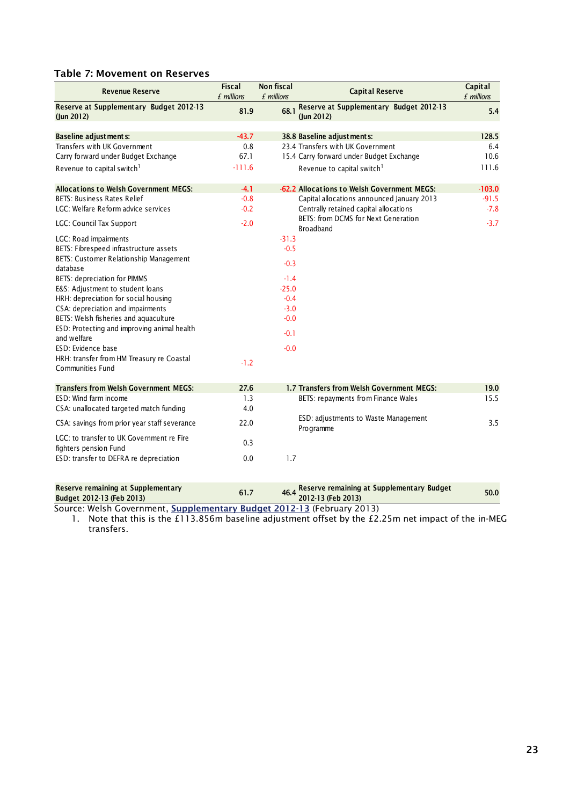#### <span id="page-30-0"></span>**Table 7: Movement on Reserves**

| <b>Revenue Reserve</b>                                             | <b>Fiscal</b><br>£ millions | <b>Non fiscal</b><br>£ millions | <b>Capital Reserve</b>                                      | Capital<br>£ millions |
|--------------------------------------------------------------------|-----------------------------|---------------------------------|-------------------------------------------------------------|-----------------------|
| Reserve at Supplementary Budget 2012-13<br>$($ lun 2012)           | 81.9                        | 68.1                            | Reserve at Supplementary Budget 2012-13<br>$($ lun 2012 $)$ | 5.4                   |
| <b>Baseline adjustments:</b>                                       | $-43.7$                     |                                 | 38.8 Baseline adjust ments:                                 | 128.5                 |
| Transfers with UK Government                                       | 0.8                         |                                 | 23.4 Transfers with UK Government                           | 6.4                   |
| Carry forward under Budget Exchange                                | 67.1                        |                                 | 15.4 Carry forward under Budget Exchange                    | 10.6                  |
| Revenue to capital switch <sup>1</sup>                             | $-111.6$                    |                                 | Revenue to capital switch <sup>1</sup>                      | 111.6                 |
| <b>Allocations to Welsh Government MEGS:</b>                       | $-4.1$                      |                                 | -62.2 Allocations to Welsh Government MEGS:                 | $-103.0$              |
| <b>BETS: Business Rates Relief</b>                                 | $-0.8$                      |                                 | Capital allocations announced January 2013                  | $-91.5$               |
| LGC: Welfare Reform advice services                                | $-0.2$                      |                                 | Centrally retained capital allocations                      | $-7.8$                |
| <b>LGC: Council Tax Support</b>                                    | $-2.0$                      |                                 | BETS: from DCMS for Next Generation<br><b>Broadband</b>     | $-3.7$                |
| LGC: Road impairments                                              |                             | $-31.3$                         |                                                             |                       |
| BETS: Fibrespeed infrastructure assets                             |                             | $-0.5$                          |                                                             |                       |
| BETS: Customer Relationship Management<br>database                 |                             | $-0.3$                          |                                                             |                       |
| BETS: depreciation for PIMMS                                       |                             | $-1.4$                          |                                                             |                       |
| E&S: Adjustment to student loans                                   |                             | $-25.0$                         |                                                             |                       |
| HRH: depreciation for social housing                               |                             | $-0.4$                          |                                                             |                       |
| CSA: depreciation and impairments                                  |                             | $-3.0$                          |                                                             |                       |
| BETS: Welsh fisheries and aquaculture                              |                             | $-0.0$                          |                                                             |                       |
| ESD: Protecting and improving animal health<br>and welfare         |                             | $-0.1$                          |                                                             |                       |
| ESD: Evidence base                                                 |                             | $-0.0$                          |                                                             |                       |
| HRH: transfer from HM Treasury re Coastal<br>Communities Fund      | $-1.2$                      |                                 |                                                             |                       |
| <b>Transfers from Welsh Government MEGS:</b>                       | 27.6                        |                                 | 1.7 Transfers from Welsh Government MEGS:                   | 19.0                  |
| ESD: Wind farm income                                              | 1.3                         |                                 | BETS: repayments from Finance Wales                         | 15.5                  |
| CSA: unallocated targeted match funding                            | 4.0                         |                                 |                                                             |                       |
| CSA: savings from prior year staff severance                       | 22.0                        |                                 | ESD: adjustments to Waste Management<br>Programme           | 3.5                   |
| LGC: to transfer to UK Government re Fire<br>fighters pension Fund | 0.3                         |                                 |                                                             |                       |
| ESD: transfer to DEFRA re depreciation                             | 0.0                         | 1.7                             |                                                             |                       |

| Reserve remaining at Supplementary | 61.7 | 46.4 Reserve remaining at Supplementary Budget<br>2012-13 (Feb 2013) | 50.0 |
|------------------------------------|------|----------------------------------------------------------------------|------|
| Budget 2012-13 (Feb 2013)          |      |                                                                      |      |

Source: Welsh Government, **[Supplementary Budget 2012-13](http://wales.gov.uk/funding/budget/2ndsuppbudget1213/?lang=en)** (February 2013)

1. Note that this is the £113.856m baseline adjustment offset by the £2.25m net impact of the in-MEG transfers.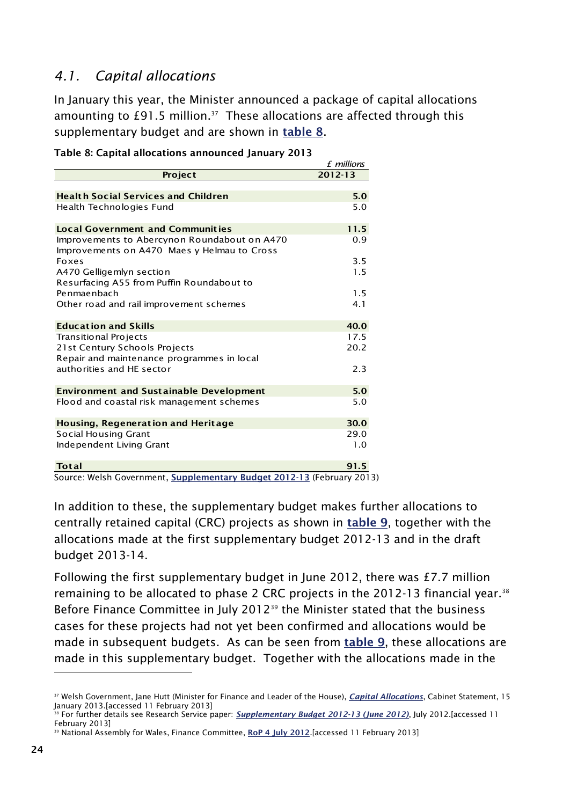### <span id="page-31-0"></span>*4.1. Capital allocations*

In January this year, the Minister announced a package of capital allocations amounting to  $£91.5$  million.<sup>37</sup> These allocations are affected through this supplementary budget and are shown in **[table 8](#page-31-1)**.

| $2012 - 13$<br>Project<br><b>Health Social Services and Children</b><br>5.0                  |
|----------------------------------------------------------------------------------------------|
|                                                                                              |
|                                                                                              |
|                                                                                              |
| 5.0<br>Health Technologies Fund                                                              |
| 11.5<br><b>Local Government and Communities</b>                                              |
| 0.9<br>Improvements to Abercynon Roundabout on A470                                          |
| Improvements on A470 Maes y Helmau to Cross                                                  |
| 3.5<br><b>Foxes</b>                                                                          |
| 1.5<br>A470 Gelligemlyn section                                                              |
| Resurfacing A55 from Puffin Roundabout to                                                    |
| Penmaenbach<br>1.5                                                                           |
| Other road and rail improvement schemes<br>4.1                                               |
| 40.0<br><b>Education and Skills</b>                                                          |
| 17.5<br>Transitional Projects                                                                |
| 21st Century Schools Projects<br>20.2                                                        |
| Repair and maintenance programmes in local                                                   |
| authorities and HE sector<br>2.3                                                             |
|                                                                                              |
| $5.0$<br><b>Environment and Sustainable Development</b>                                      |
| 5.0<br>Flood and coastal risk management schemes                                             |
| 30.0<br><b>Housing, Regeneration and Heritage</b>                                            |
| <b>Social Housing Grant</b><br>29.0                                                          |
| Independent Living Grant<br>1.0                                                              |
|                                                                                              |
| <b>Total</b><br>91.5<br>Course: Walsh Covernment, Sunnlementary Budget 2012 12 (Eebruary 201 |

<span id="page-31-1"></span>

|  | Table 8: Capital allocations announced January 2013 |  |
|--|-----------------------------------------------------|--|
|  |                                                     |  |

Source: Welsh Government, **[Supplementary Budget 2012-13](http://wales.gov.uk/funding/budget/2ndsuppbudget1213/?lang=en)** (February 2013)

In addition to these, the supplementary budget makes further allocations to centrally retained capital (CRC) projects as shown in **[table 9](#page-32-0)**, together with the allocations made at the first supplementary budget 2012-13 and in the draft budget 2013-14.

Following the first supplementary budget in June 2012, there was £7.7 million remaining to be allocated to phase 2 CRC projects in the 2012-13 financial year.<sup>38</sup> Before Finance Committee in July 2012<sup>39</sup> the Minister stated that the business cases for these projects had not yet been confirmed and allocations would be made in subsequent budgets. As can be seen from **[table 9](#page-32-0)**, these allocations are made in this supplementary budget. Together with the allocations made in the

<sup>37</sup> Welsh Government, Jane Hutt (Minister for Finance and Leader of the House), *[Capital Allocations](http://www.assemblywales.org/bus-home/bus-chamber-fourth-assembly-rop/rop20130115qv.pdf?langoption=3&ttl=The%20Record%20%28PDF%2C%201-23MB%29)*, Cabinet Statement, 15 January 2013.[accessed 11 February 2013]

<sup>38</sup> For further details see Research Service paper: *Supplementary [Budget 2012-13 \(June 2012\)](http://www.assemblywales.org/12-033.pdf)*, July 2012.[accessed 11 February 2013]

<sup>&</sup>lt;sup>39</sup> National Assembly for Wales, Finance Committee, [RoP 4 July 2012](http://www.senedd.assemblywales.org/documents/s9301/4%20July%202012.pdf) [accessed 11 February 2013]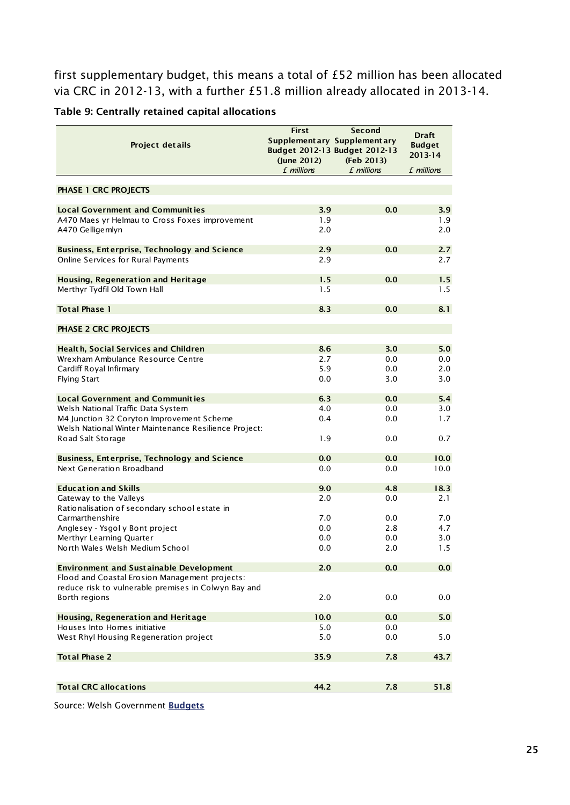first supplementary budget, this means a total of £52 million has been allocated via CRC in 2012-13, with a further £51.8 million already allocated in 2013-14.

<span id="page-32-0"></span>**Table 9: Centrally retained capital allocations**

| Project details                                                                                    | <b>First</b><br>(June 2012) | Second<br>Supplementary Supplementary<br>Budget 2012-13 Budget 2012-13<br>(Feb 2013) | <b>Draft</b><br><b>Budget</b><br>2013-14 |
|----------------------------------------------------------------------------------------------------|-----------------------------|--------------------------------------------------------------------------------------|------------------------------------------|
|                                                                                                    | £ millions                  | f millions                                                                           | £ millions                               |
|                                                                                                    |                             |                                                                                      |                                          |
| <b>PHASE 1 CRC PROJECTS</b>                                                                        |                             |                                                                                      |                                          |
| <b>Local Government and Communities</b>                                                            | 3.9                         | 0.0                                                                                  | 3.9                                      |
| A470 Maes yr Helmau to Cross Foxes improvement                                                     | 1.9                         |                                                                                      | 1.9                                      |
| A470 Gelligemlyn                                                                                   | 2.0                         |                                                                                      | 2.0                                      |
| <b>Business, Enterprise, Technology and Science</b>                                                | 2.9                         | 0.0                                                                                  | 2.7                                      |
| <b>Online Services for Rural Payments</b>                                                          | 2.9                         |                                                                                      | 2.7                                      |
|                                                                                                    |                             |                                                                                      |                                          |
| Housing, Regeneration and Heritage                                                                 | 1.5                         | 0.0                                                                                  | 1.5                                      |
| Merthyr Tydfil Old Town Hall                                                                       | 1.5                         |                                                                                      | 1.5                                      |
| <b>Total Phase 1</b>                                                                               | 8.3                         | 0.0                                                                                  | 8.1                                      |
| <b>PHASE 2 CRC PROJECTS</b>                                                                        |                             |                                                                                      |                                          |
|                                                                                                    |                             |                                                                                      |                                          |
| <b>Health, Social Services and Children</b>                                                        | 8.6                         | 3.0                                                                                  | 5.0                                      |
| Wrexham Ambulance Resource Centre                                                                  | 2.7                         | 0.0                                                                                  | 0.0                                      |
| Cardiff Royal Infirmary                                                                            | 5.9                         | 0.0                                                                                  | 2.0                                      |
| <b>Flying Start</b>                                                                                | 0.0                         | 3.0                                                                                  | 3.0                                      |
| <b>Local Government and Communities</b>                                                            | 6.3                         | 0.0                                                                                  | 5.4                                      |
| Welsh National Traffic Data System                                                                 | 4.0                         | 0.0                                                                                  | 3.0                                      |
| M4 Junction 32 Coryton Improvement Scheme<br>Welsh National Winter Maintenance Resilience Project: | 0.4                         | 0.0                                                                                  | 1.7                                      |
| Road Salt Storage                                                                                  | 1.9                         | 0.0                                                                                  | 0.7                                      |
| <b>Business, Enterprise, Technology and Science</b>                                                | 0.0                         | 0.0                                                                                  | 10.0                                     |
| Next Generation Broadband                                                                          | 0.0                         | 0.0                                                                                  | 10.0                                     |
|                                                                                                    |                             |                                                                                      |                                          |
| <b>Education and Skills</b>                                                                        | 9.0                         | 4.8                                                                                  | 18.3                                     |
| Gateway to the Valleys                                                                             | 2.0                         | 0.0                                                                                  | 2.1                                      |
| Rationalisation of secondary school estate in                                                      |                             |                                                                                      |                                          |
| Carmarthenshire                                                                                    | 7.0                         | 0.0                                                                                  | 7.0                                      |
| Anglesey - Ysgol y Bont project                                                                    | 0.0<br>0.0                  | 2.8                                                                                  | 4.7                                      |
| Merthyr Learning Quarter<br>North Wales Welsh Medium School                                        | 0.0                         | 0.0<br>2.0                                                                           | 3.0<br>1.5                               |
|                                                                                                    |                             |                                                                                      |                                          |
| <b>Environment and Sustainable Development</b>                                                     | 2.0                         | 0.0                                                                                  | 0.0                                      |
| Flood and Coastal Erosion Management projects:                                                     |                             |                                                                                      |                                          |
| reduce risk to vulnerable premises in Colwyn Bay and                                               |                             |                                                                                      |                                          |
| Borth regions                                                                                      | 2.0                         | 0.0                                                                                  | 0.0                                      |
| Housing, Regeneration and Heritage                                                                 | 10.0                        | 0.0                                                                                  | 5.0                                      |
| Houses Into Homes initiative                                                                       | 5.0                         | 0.0                                                                                  |                                          |
| West Rhyl Housing Regeneration project                                                             | 5.0                         | 0.0                                                                                  | 5.0                                      |
| <b>Total Phase 2</b>                                                                               | 35.9                        | 7.8                                                                                  | 43.7                                     |
|                                                                                                    |                             |                                                                                      |                                          |
| <b>Total CRC allocations</b>                                                                       | 44.2                        | 7.8                                                                                  | 51.8                                     |
|                                                                                                    |                             |                                                                                      |                                          |

Source: Welsh Government **[Budgets](http://wales.gov.uk/funding/budget/?lang=en)**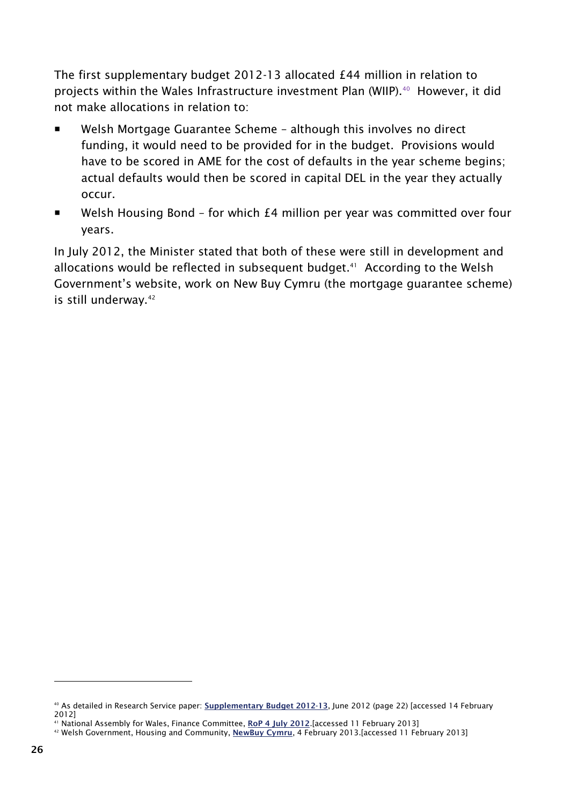The first supplementary budget 2012-13 allocated £44 million in relation to projects within the Wales Infrastructure investment Plan (WIIP).<sup>40</sup> However, it did not make allocations in relation to:

- Welsh Mortgage Guarantee Scheme although this involves no direct funding, it would need to be provided for in the budget. Provisions would have to be scored in AME for the cost of defaults in the year scheme begins; actual defaults would then be scored in capital DEL in the year they actually occur.
- Welsh Housing Bond for which £4 million per year was committed over four years.

In July 2012, the Minister stated that both of these were still in development and allocations would be reflected in subsequent budget.<sup>41</sup> According to the Welsh Government's website, work on New Buy Cymru (the mortgage guarantee scheme) is still underway.<sup>42</sup>

<sup>40</sup> As detailed in Research Service paper: **[Supplementary Budget 2012-13](http://www.assemblywales.org/12-033.pdf)**, June 2012 (page 22) [accessed 14 February 2012]

<sup>41</sup> National Assembly for Wales, Finance Committee, **[RoP 4 July 2012](http://www.senedd.assemblywales.org/documents/s9301/4%20July%202012.pdf)**.[accessed 11 February 2013]

<sup>42</sup> Welsh Government, Housing and Community, **[NewBuy Cymru](http://wales.gov.uk/topics/housingandcommunity/housing/private/buyingandselling/newbuycymru/?lang=en)**, 4 February 2013.[accessed 11 February 2013]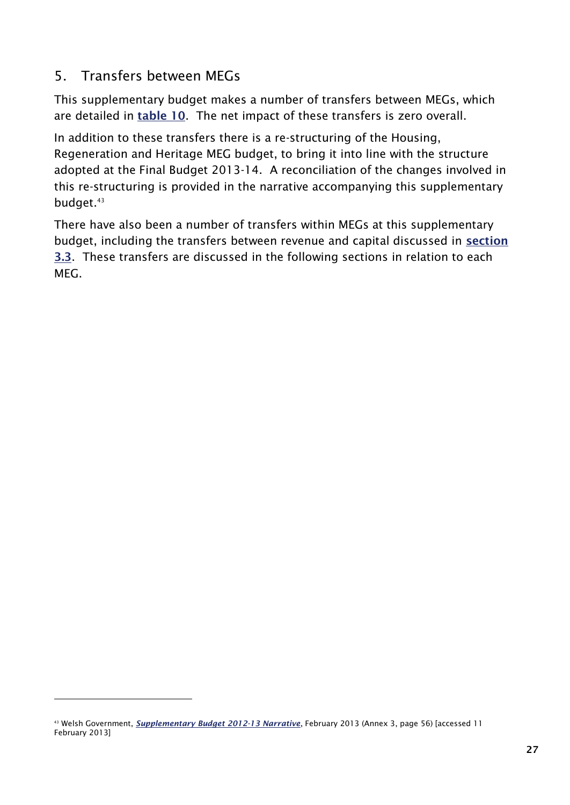### <span id="page-34-0"></span>5. Transfers between MEGs

-

This supplementary budget makes a number of transfers between MEGs, which are detailed in **[table 10](#page-34-1)**. The net impact of these transfers is zero overall.

In addition to these transfers there is a re-structuring of the Housing, Regeneration and Heritage MEG budget, to bring it into line with the structure adopted at the Final Budget 2013-14. A reconciliation of the changes involved in this re-structuring is provided in the narrative accompanying this supplementary budget.<sup>43</sup>

<span id="page-34-1"></span>There have also been a number of transfers within MEGs at this supplementary budget, including the transfers between revenue and capital discussed in **[section](#page-27-0)  [3.3](#page-27-0)**. These transfers are discussed in the following sections in relation to each MEG.

<sup>43</sup> Welsh Government, *[Supplementary Budget 2012-13 Narrative](http://wales.gov.uk/docs/caecd/publications/130205explanatory2en.pdf)*, February 2013 (Annex 3, page 56) [accessed 11 February 2013]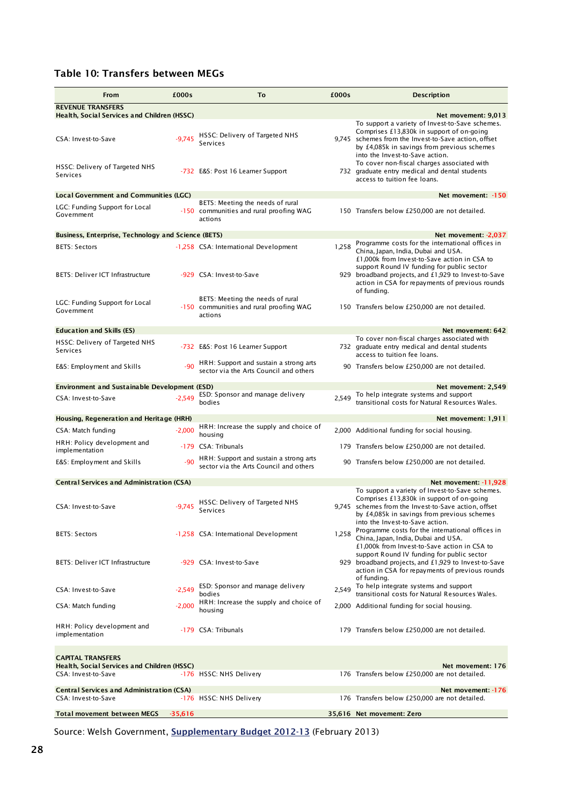#### **Table 10: Transfers between MEGs**

| From                                                                                           | £000s     | To                                                                                     | £000s | <b>Description</b>                                                                                                                                                                                                                                            |
|------------------------------------------------------------------------------------------------|-----------|----------------------------------------------------------------------------------------|-------|---------------------------------------------------------------------------------------------------------------------------------------------------------------------------------------------------------------------------------------------------------------|
| <b>REVENUE TRANSFERS</b>                                                                       |           |                                                                                        |       |                                                                                                                                                                                                                                                               |
| Health, Social Services and Children (HSSC)<br>CSA: Invest-to-Save                             | $-9.745$  | HSSC: Delivery of Targeted NHS<br>Services                                             |       | Net movement: 9,013<br>To support a variety of Invest-to-Save schemes.<br>Comprises £13,830k in support of on-going<br>9,745 schemes from the Invest-to-Save action, offset<br>by £4,085k in savings from previous schemes<br>into the Invest-to-Save action. |
| HSSC: Delivery of Targeted NHS<br>Services                                                     |           | -732 E&S: Post 16 Learner Support                                                      |       | To cover non-fiscal charges associated with<br>732 graduate entry medical and dental students<br>access to tuition fee loans.                                                                                                                                 |
| <b>Local Government and Communities (LGC)</b>                                                  |           |                                                                                        |       | Net movement: -150                                                                                                                                                                                                                                            |
| LGC: Funding Support for Local<br>Government                                                   |           | BETS: Meeting the needs of rural<br>-150 communities and rural proofing WAG<br>actions |       | 150 Transfers below £250,000 are not detailed.                                                                                                                                                                                                                |
| <b>Business, Enterprise, Technology and Science (BETS)</b>                                     |           |                                                                                        |       | Net movement: -2,037                                                                                                                                                                                                                                          |
| <b>BETS: Sectors</b><br><b>BETS: Deliver ICT Infrastructure</b>                                |           | -1,258 CSA: International Development<br>-929 CSA: Invest-to-Save                      | 1,258 | Programme costs for the international offices in<br>China, Japan, India, Dubai and USA.<br>£1,000k from Invest-to-Save action in CSA to<br>support Round IV funding for public sector<br>929 broadband projects, and £1,929 to Invest-to-Save                 |
|                                                                                                |           |                                                                                        |       | action in CSA for repayments of previous rounds<br>of funding.                                                                                                                                                                                                |
| LGC: Funding Support for Local<br>Government                                                   |           | BETS: Meeting the needs of rural<br>-150 communities and rural proofing WAG<br>actions |       | 150 Transfers below £250,000 are not detailed.                                                                                                                                                                                                                |
| <b>Education and Skills (ES)</b>                                                               |           |                                                                                        |       | Net movement: 642                                                                                                                                                                                                                                             |
| HSSC: Delivery of Targeted NHS<br>Services                                                     |           | -732 E&S: Post 16 Learner Support                                                      |       | To cover non-fiscal charges associated with<br>732 graduate entry medical and dental students<br>access to tuition fee loans.                                                                                                                                 |
| E&S: Employment and Skills                                                                     | $-90$     | HRH: Support and sustain a strong arts<br>sector via the Arts Council and others       |       | 90 Transfers below £250,000 are not detailed.                                                                                                                                                                                                                 |
| <b>Environment and Sustainable Development (ESD)</b>                                           |           |                                                                                        |       | Net movement: 2,549                                                                                                                                                                                                                                           |
| CSA: Invest-to-Save                                                                            | $-2,549$  | ESD: Sponsor and manage delivery<br>bodies                                             | 2.549 | To help integrate systems and support<br>transitional costs for Natural Resources Wales.                                                                                                                                                                      |
| Housing, Regeneration and Heritage (HRH)                                                       |           |                                                                                        |       | Net movement: 1,911                                                                                                                                                                                                                                           |
| CSA: Match funding                                                                             | $-2,000$  | HRH: Increase the supply and choice of<br>housing                                      |       | 2,000 Additional funding for social housing.                                                                                                                                                                                                                  |
| HRH: Policy development and<br>implementation                                                  |           | -179 CSA: Tribunals                                                                    |       | 179 Transfers below £250,000 are not detailed.                                                                                                                                                                                                                |
| E&S: Employment and Skills                                                                     | $-90$     | HRH: Support and sustain a strong arts<br>sector via the Arts Council and others       |       | 90 Transfers below £250,000 are not detailed.                                                                                                                                                                                                                 |
| <b>Central Services and Administration (CSA)</b>                                               |           |                                                                                        |       | Net movement: -11.928                                                                                                                                                                                                                                         |
| CSA: Invest-to-Save                                                                            | $-9,745$  | HSSC: Delivery of Targeted NHS<br>Services                                             |       | To support a variety of Invest-to-Save schemes.<br>Comprises £13,830k in support of on-going<br>9,745 schemes from the Invest-to-Save action, offset<br>by £4,085k in savings from previous schemes<br>into the Invest-to-Save action.                        |
| <b>BETS: Sectors</b>                                                                           |           | -1,258 CSA: International Development                                                  | 1,258 | Programme costs for the international offices in<br>China, Japan, India, Dubai and USA.<br>£1,000k from Invest-to-Save action in CSA to                                                                                                                       |
| <b>BETS: Deliver ICT Infrastructure</b>                                                        |           | -929 CSA: Invest-to-Save                                                               |       | support Round IV funding for public sector<br>929 broadband projects, and £1,929 to Invest-to-Save<br>action in CSA for repayments of previous rounds<br>of funding.                                                                                          |
| CSA: Invest-to-Save                                                                            | $-2.549$  | ESD: Sponsor and manage delivery<br>bodies                                             | 2.549 | To help integrate systems and support<br>transitional costs for Natural Resources Wales.                                                                                                                                                                      |
| CSA: Match funding                                                                             | $-2.000$  | HRH: Increase the supply and choice of<br>housing                                      |       | 2,000 Additional funding for social housing.                                                                                                                                                                                                                  |
| HRH: Policy development and<br>implementation                                                  |           | -179 CSA: Tribunals                                                                    |       | 179 Transfers below £250,000 are not detailed.                                                                                                                                                                                                                |
| <b>CAPITAL TRANSFERS</b><br>Health, Social Services and Children (HSSC)<br>CSA: Invest-to-Save |           | -176 HSSC: NHS Delivery                                                                |       | Net movement: 176<br>176 Transfers below £250,000 are not detailed.                                                                                                                                                                                           |
| <b>Central Services and Administration (CSA)</b><br>CSA: Invest-to-Save                        |           | -176 HSSC: NHS Delivery                                                                |       | Net movement: -176<br>176 Transfers below £250,000 are not detailed.                                                                                                                                                                                          |
| <b>Total movement between MEGS</b>                                                             | $-35,616$ |                                                                                        |       | 35,616 Net movement: Zero                                                                                                                                                                                                                                     |

Source: Welsh Government, **[Supplementary Budget 2012-13](http://wales.gov.uk/funding/budget/2ndsuppbudget1213/?lang=en)** (February 2013)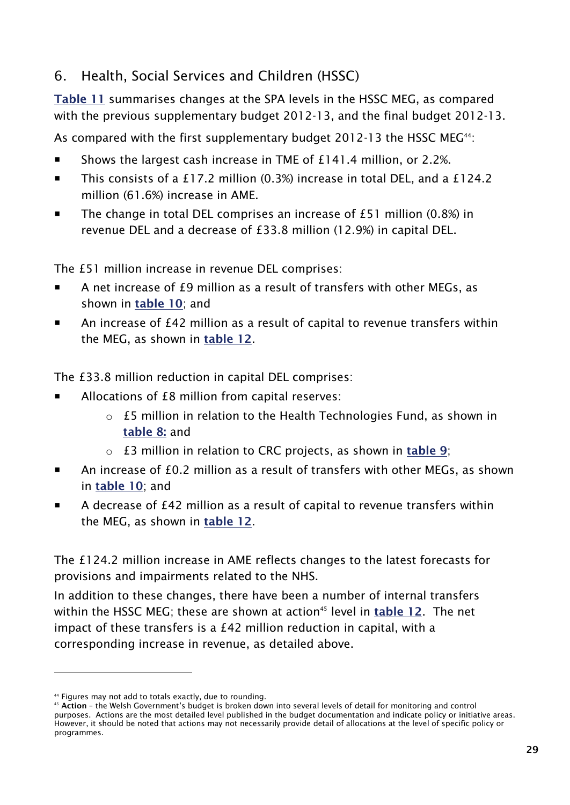## <span id="page-36-0"></span>6. Health, Social Services and Children (HSSC)

**Table 11** summarises changes at the SPA levels in the HSSC MEG, as compared with the previous supplementary budget 2012-13, and the final budget 2012-13.

As compared with the first supplementary budget 2012-13 the HSSC MEG<sup>44</sup>:

- Shows the largest cash increase in TME of £141.4 million, or 2.2%.
- This consists of a £17.2 million (0.3%) increase in total DEL, and a £124.2 million (61.6%) increase in AME.
- The change in total DEL comprises an increase of £51 million (0.8%) in revenue DEL and a decrease of £33.8 million (12.9%) in capital DEL.

The £51 million increase in revenue DEL comprises:

- A net increase of £9 million as a result of transfers with other MEGs, as shown in **[table 10](#page-34-1)**; and
- An increase of £42 million as a result of capital to revenue transfers within the MEG, as shown in **[table 12](#page-38-0)**.

The £33.8 million reduction in capital DEL comprises:

- Allocations of £8 million from capital reserves:
	- o £5 million in relation to the Health Technologies Fund, as shown in **[table 8:](#page-31-1)** and
	- o £3 million in relation to CRC projects, as shown in **[table 9](#page-32-0)**;
- An increase of £0.2 million as a result of transfers with other MEGs, as shown in **[table 10](#page-34-1)**; and
- A decrease of £42 million as a result of capital to revenue transfers within the MEG, as shown in **[table 12](#page-38-0)**.

The £124.2 million increase in AME reflects changes to the latest forecasts for provisions and impairments related to the NHS.

In addition to these changes, there have been a number of internal transfers within the HSSC MEG; these are shown at action<sup>45</sup> level in **[table 12](#page-38-0)**. The net impact of these transfers is a £42 million reduction in capital, with a corresponding increase in revenue, as detailed above.

<sup>44</sup> Figures may not add to totals exactly, due to rounding.

<sup>45</sup> **Action** – the Welsh Government's budget is broken down into several levels of detail for monitoring and control purposes. Actions are the most detailed level published in the budget documentation and indicate policy or initiative areas. However, it should be noted that actions may not necessarily provide detail of allocations at the level of specific policy or programmes.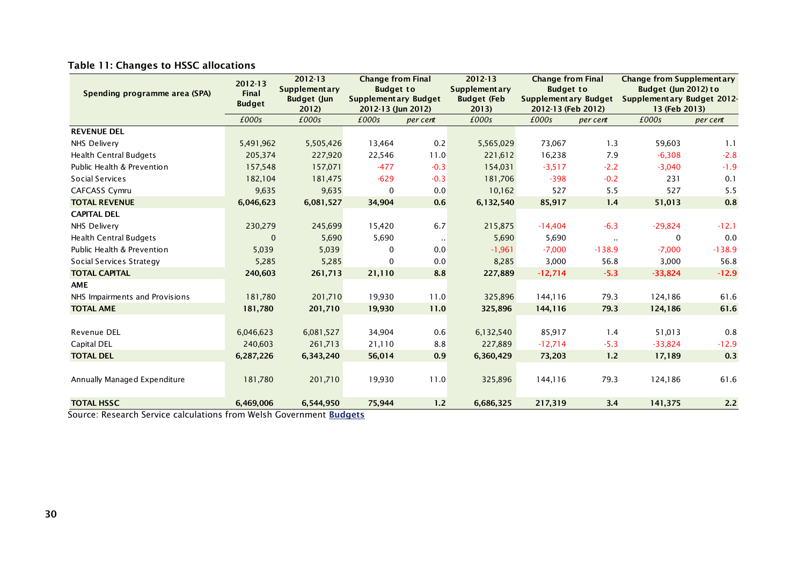| Spending programme area (SPA)  | 2012-13<br>Final<br><b>Budget</b> | 2012-13<br><b>Supplementary</b><br><b>Budget (Jun</b><br>2012) | <b>Change from Final</b><br><b>Budget to</b><br><b>Supplementary Budget</b><br>2012-13 (Jun 2012) |          | 2012-13<br><b>Supplementary</b><br><b>Budget (Feb</b><br>2013) | <b>Change from Final</b><br><b>Budget to</b><br><b>Supplementary Budget</b><br>2012-13 (Feb 2012) |               | <b>Change from Supplementary</b><br>Budget (Jun 2012) to<br>Supplementary Budget 2012-<br>13 (Feb 2013) |          |
|--------------------------------|-----------------------------------|----------------------------------------------------------------|---------------------------------------------------------------------------------------------------|----------|----------------------------------------------------------------|---------------------------------------------------------------------------------------------------|---------------|---------------------------------------------------------------------------------------------------------|----------|
|                                | £000s                             | £000s                                                          | £000s                                                                                             | per cent | £000s                                                          | £000s                                                                                             | per cent      | £000s                                                                                                   | per cent |
| <b>REVENUE DEL</b>             |                                   |                                                                |                                                                                                   |          |                                                                |                                                                                                   |               |                                                                                                         |          |
| NHS Delivery                   | 5,491,962                         | 5,505,426                                                      | 13,464                                                                                            | 0.2      | 5,565,029                                                      | 73,067                                                                                            | 1.3           | 59,603                                                                                                  | 1.1      |
| <b>Health Central Budgets</b>  | 205,374                           | 227,920                                                        | 22,546                                                                                            | 11.0     | 221,612                                                        | 16,238                                                                                            | 7.9           | $-6,308$                                                                                                | $-2.8$   |
| Public Health & Prevention     | 157,548                           | 157,071                                                        | $-477$                                                                                            | $-0.3$   | 154,031                                                        | $-3,517$                                                                                          | $-2.2$        | $-3,040$                                                                                                | $-1.9$   |
| Social Services                | 182,104                           | 181,475                                                        | $-629$                                                                                            | $-0.3$   | 181,706                                                        | $-398$                                                                                            | $-0.2$        | 231                                                                                                     | 0.1      |
| <b>CAFCASS Cymru</b>           | 9,635                             | 9,635                                                          | 0                                                                                                 | 0.0      | 10,162                                                         | 527                                                                                               | 5.5           | 527                                                                                                     | 5.5      |
| <b>TOTAL REVENUE</b>           | 6,046,623                         | 6,081,527                                                      | 34,904                                                                                            | 0.6      | 6,132,540                                                      | 85,917                                                                                            | 1.4           | 51,013                                                                                                  | 0.8      |
| <b>CAPITAL DEL</b>             |                                   |                                                                |                                                                                                   |          |                                                                |                                                                                                   |               |                                                                                                         |          |
| NHS Delivery                   | 230,279                           | 245,699                                                        | 15,420                                                                                            | 6.7      | 215,875                                                        | $-14,404$                                                                                         | $-6.3$        | $-29,824$                                                                                               | $-12.1$  |
| <b>Health Central Budgets</b>  | $\mathbf 0$                       | 5,690                                                          | 5,690                                                                                             |          | 5,690                                                          | 5,690                                                                                             | $\sim$ $\sim$ | 0                                                                                                       | 0.0      |
| Public Health & Prevention     | 5,039                             | 5,039                                                          | $\Omega$                                                                                          | 0.0      | $-1,961$                                                       | $-7,000$                                                                                          | $-138.9$      | $-7,000$                                                                                                | $-138.9$ |
| Social Services Strategy       | 5,285                             | 5,285                                                          | 0                                                                                                 | 0.0      | 8,285                                                          | 3,000                                                                                             | 56.8          | 3,000                                                                                                   | 56.8     |
| <b>TOTAL CAPITAL</b>           | 240,603                           | 261,713                                                        | 21,110                                                                                            | 8.8      | 227,889                                                        | $-12,714$                                                                                         | $-5.3$        | $-33,824$                                                                                               | $-12.9$  |
| <b>AME</b>                     |                                   |                                                                |                                                                                                   |          |                                                                |                                                                                                   |               |                                                                                                         |          |
| NHS Impairments and Provisions | 181,780                           | 201,710                                                        | 19,930                                                                                            | 11.0     | 325,896                                                        | 144,116                                                                                           | 79.3          | 124,186                                                                                                 | 61.6     |
| <b>TOTAL AME</b>               | 181,780                           | 201,710                                                        | 19,930                                                                                            | 11.0     | 325,896                                                        | 144,116                                                                                           | 79.3          | 124,186                                                                                                 | 61.6     |
|                                |                                   |                                                                |                                                                                                   |          |                                                                |                                                                                                   |               |                                                                                                         |          |
| <b>Revenue DEL</b>             | 6,046,623                         | 6,081,527                                                      | 34,904                                                                                            | 0.6      | 6,132,540                                                      | 85,917                                                                                            | 1.4           | 51,013                                                                                                  | 0.8      |
| Capital DEL                    | 240,603                           | 261,713                                                        | 21,110                                                                                            | 8.8      | 227,889                                                        | $-12,714$                                                                                         | $-5.3$        | $-33,824$                                                                                               | $-12.9$  |
| <b>TOTAL DEL</b>               | 6,287,226                         | 6,343,240                                                      | 56,014                                                                                            | 0.9      | 6,360,429                                                      | 73,203                                                                                            | 1.2           | 17,189                                                                                                  | 0.3      |
|                                |                                   |                                                                |                                                                                                   |          |                                                                |                                                                                                   |               |                                                                                                         |          |
| Annually Managed Expenditure   | 181,780                           | 201,710                                                        | 19,930                                                                                            | 11.0     | 325,896                                                        | 144,116                                                                                           | 79.3          | 124,186                                                                                                 | 61.6     |
| <b>TOTAL HSSC</b>              | 6,469,006                         | 6,544,950                                                      | 75,944                                                                                            | 1.2      | 6,686,325                                                      | 217,319                                                                                           | 3.4           | 141,375                                                                                                 | 2.2      |

#### **Table 11: Changes to HSSC allocations**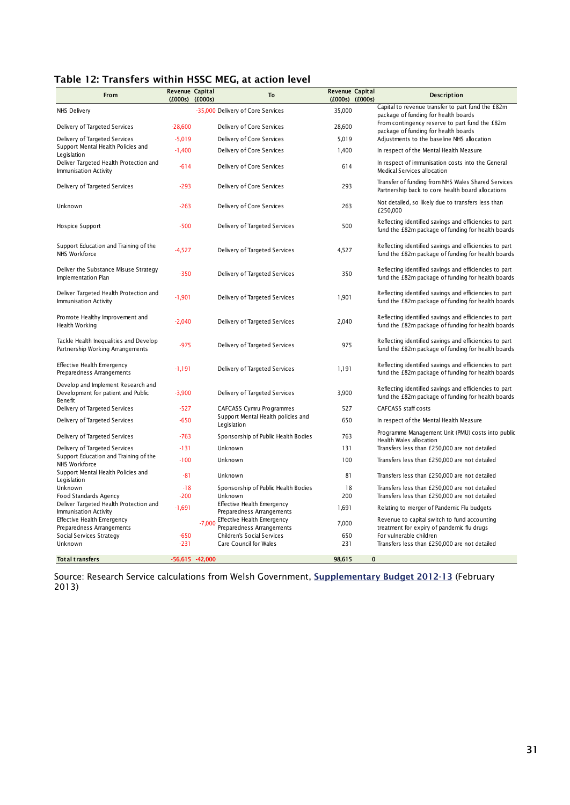#### <span id="page-38-0"></span>**Table 12: Transfers within HSSC MEG, at action level**

| From                                                                                       | Revenue Capital<br>$(£000s)$ $(£000s)$ |                   | To                                                      | Revenue Capital<br>$(£000s)$ $(£000s)$ |          | <b>Description</b>                                                                                           |
|--------------------------------------------------------------------------------------------|----------------------------------------|-------------------|---------------------------------------------------------|----------------------------------------|----------|--------------------------------------------------------------------------------------------------------------|
| NHS Delivery                                                                               |                                        |                   | -35,000 Delivery of Core Services                       | 35,000                                 |          | Capital to revenue transfer to part fund the £82m<br>package of funding for health boards                    |
| Delivery of Targeted Services                                                              | $-28,600$                              |                   | Delivery of Core Services                               | 28,600                                 |          | From contingency reserve to part fund the £82m<br>package of funding for health boards                       |
| Delivery of Targeted Services                                                              | $-5,019$                               |                   | Delivery of Core Services                               | 5,019                                  |          | Adjustments to the baseline NHS allocation                                                                   |
| Support Mental Health Policies and<br>Legislation                                          | $-1,400$                               |                   | Delivery of Core Services                               | 1,400                                  |          | In respect of the Mental Health Measure                                                                      |
| Deliver Targeted Health Protection and<br>Immunisation Activity                            | $-614$                                 |                   | Delivery of Core Services                               | 614                                    |          | In respect of immunisation costs into the General<br>Medical Services allocation                             |
| Delivery of Targeted Services                                                              | $-293$                                 |                   | Delivery of Core Services                               | 293                                    |          | Transfer of funding from NHS Wales Shared Services<br>Partnership back to core health board allocations      |
| Unknown                                                                                    | $-263$                                 |                   | Delivery of Core Services                               | 263                                    |          | Not detailed, so likely due to transfers less than<br>£250,000                                               |
| Hospice Support                                                                            | $-500$                                 |                   | Delivery of Targeted Services                           | 500                                    |          | Reflecting identified savings and efficiencies to part<br>fund the £82m package of funding for health boards |
| Support Education and Training of the<br>NHS Workforce                                     | $-4,527$                               |                   | Delivery of Targeted Services                           | 4,527                                  |          | Reflecting identified savings and efficiencies to part<br>fund the £82m package of funding for health boards |
| Deliver the Substance Misuse Strategy<br>Implementation Plan                               | $-350$                                 |                   | Delivery of Targeted Services                           | 350                                    |          | Reflecting identified savings and efficiencies to part<br>fund the £82m package of funding for health boards |
| Deliver Targeted Health Protection and<br>Immunisation Activity                            | $-1,901$                               |                   | Delivery of Targeted Services                           | 1,901                                  |          | Reflecting identified savings and efficiencies to part<br>fund the £82m package of funding for health boards |
| Promote Healthy Improvement and<br>Health Working                                          | $-2,040$                               |                   | Delivery of Targeted Services                           | 2,040                                  |          | Reflecting identified savings and efficiencies to part<br>fund the £82m package of funding for health boards |
| Tackle Health Inequalities and Develop<br>Partnership Working Arrangements                 | $-975$                                 |                   | Delivery of Targeted Services                           | 975                                    |          | Reflecting identified savings and efficiencies to part<br>fund the £82m package of funding for health boards |
| Effective Health Emergency<br>Preparedness Arrangements                                    | $-1,191$                               |                   | Delivery of Targeted Services                           | 1,191                                  |          | Reflecting identified savings and efficiencies to part<br>fund the £82m package of funding for health boards |
| Develop and Implement Research and<br>Development for patient and Public<br><b>Benefit</b> | $-3,900$                               |                   | Delivery of Targeted Services                           | 3,900                                  |          | Reflecting identified savings and efficiencies to part<br>fund the £82m package of funding for health boards |
| Delivery of Targeted Services                                                              | $-527$                                 |                   | CAFCASS Cymru Programmes                                | 527                                    |          | CAFCASS staff costs                                                                                          |
| Delivery of Targeted Services                                                              | $-650$                                 |                   | Support Mental Health policies and<br>Legislation       | 650                                    |          | In respect of the Mental Health Measure                                                                      |
| Delivery of Targeted Services                                                              | $-763$                                 |                   | Sponsorship of Public Health Bodies                     | 763                                    |          | Programme Management Unit (PMU) costs into public<br>Health Wales allocation                                 |
| Delivery of Targeted Services                                                              | $-131$                                 |                   | Unknown                                                 | 131                                    |          | Transfers less than £250,000 are not detailed                                                                |
| Support Education and Training of the<br>NHS Workforce                                     | $-100$                                 |                   | Unknown                                                 | 100                                    |          | Transfers less than £250,000 are not detailed                                                                |
| Support Mental Health Policies and<br>Legislation                                          | $-81$                                  |                   | Unknown                                                 | 81                                     |          | Transfers less than £250,000 are not detailed                                                                |
| Unknown<br>Food Standards Agency                                                           | $-18$<br>$-200$                        |                   | Sponsorship of Public Health Bodies<br>Unknown          | 18<br>200                              |          | Transfers less than £250,000 are not detailed<br>Transfers less than £250,000 are not detailed               |
| Deliver Targeted Health Protection and                                                     | $-1,691$                               |                   | Effective Health Emergency                              | 1,691                                  |          | Relating to merger of Pandemic Flu budgets                                                                   |
| Immunisation Activity<br>Effective Health Emergency                                        |                                        |                   | Preparedness Arrangements<br>Effective Health Emergency |                                        |          | Revenue to capital switch to fund accounting                                                                 |
| Preparedness Arrangements                                                                  |                                        | $-7.000$          | Preparedness Arrangements                               | 7,000                                  |          | treatment for expiry of pandemic flu drugs                                                                   |
| Social Services Strategy<br>Unknown                                                        | $-650$<br>$-231$                       |                   | Children's Social Services<br>Care Council for Wales    | 650<br>231                             |          | For vulnerable children<br>Transfers less than £250,000 are not detailed                                     |
| Tot al transfers                                                                           |                                        | $-56,615 -42,000$ |                                                         | 98,615                                 | $\bf{0}$ |                                                                                                              |

Source: Research Service calculations from Welsh Government, **[Supplementary Budget 2012-13](http://wales.gov.uk/funding/budget/2ndsuppbudget1213/?lang=en)** (February 2013)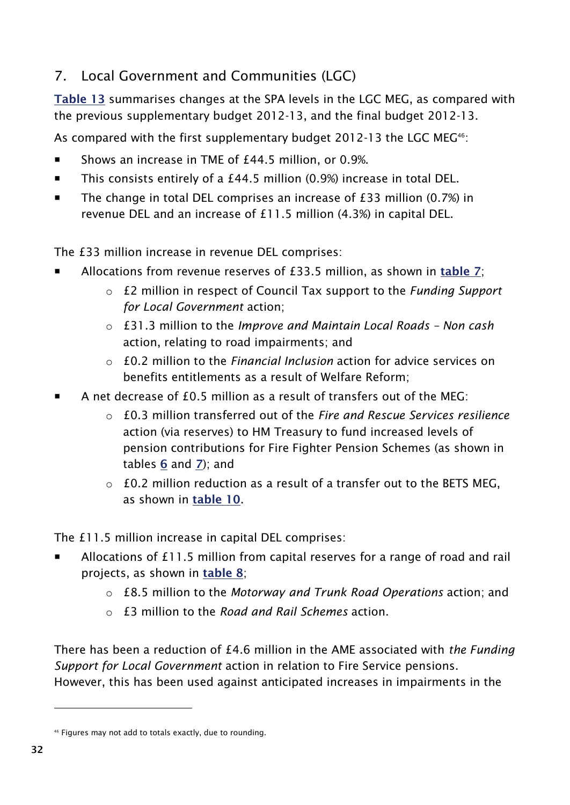# <span id="page-39-0"></span>7. Local Government and Communities (LGC)

**Table 13** summarises changes at the SPA levels in the LGC MEG, as compared with the previous supplementary budget 2012-13, and the final budget 2012-13.

As compared with the first supplementary budget 2012-13 the LGC MEG<sup>46</sup>:

- Shows an increase in TME of £44.5 million, or 0.9%.
- This consists entirely of a £44.5 million (0.9%) increase in total DEL.
- The change in total DEL comprises an increase of  $£33$  million (0.7%) in revenue DEL and an increase of £11.5 million (4.3%) in capital DEL.

The £33 million increase in revenue DEL comprises:

- Allocations from revenue reserves of £33.5 million, as shown in **[table 7](#page-30-0)**;
	- o £2 million in respect of Council Tax support to the *Funding Support for Local Government* action;
	- o £31.3 million to the *Improve and Maintain Local Roads – Non cash* action, relating to road impairments; and
	- o £0.2 million to the *Financial Inclusion* action for advice services on benefits entitlements as a result of Welfare Reform;
- A net decrease of £0.5 million as a result of transfers out of the MEG:
	- o £0.3 million transferred out of the *Fire and Rescue Services resilience* action (via reserves) to HM Treasury to fund increased levels of pension contributions for Fire Fighter Pension Schemes (as shown in tables **[6](#page-24-1)** and **[7](#page-30-0)**); and
	- $\circ$  £0.2 million reduction as a result of a transfer out to the BETS MEG, as shown in **[table 10](#page-34-1)**.

The £11.5 million increase in capital DEL comprises:

- Allocations of £11.5 million from capital reserves for a range of road and rail projects, as shown in **[table 8](#page-31-1)**;
	- o £8.5 million to the *Motorway and Trunk Road Operations* action; and
	- o £3 million to the *Road and Rail Schemes* action.

There has been a reduction of £4.6 million in the AME associated with *the Funding Support for Local Government* action in relation to Fire Service pensions. However, this has been used against anticipated increases in impairments in the

<sup>46</sup> Figures may not add to totals exactly, due to rounding.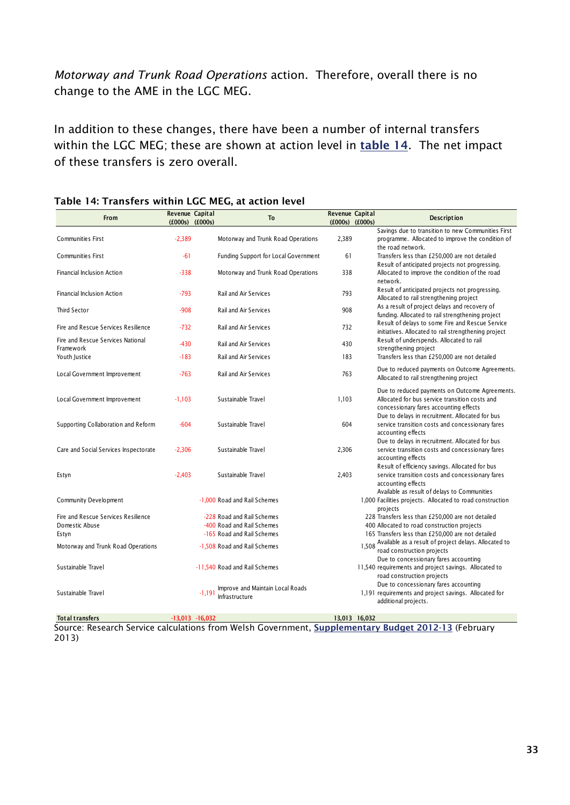*Motorway and Trunk Road Operations* action. Therefore, overall there is no change to the AME in the LGC MEG.

In addition to these changes, there have been a number of internal transfers within the LGC MEG; these are shown at action level in **[table 14](#page-40-0)**. The net impact of these transfers is zero overall.

| From                                                           | Revenue Capital | $(f000s)$ $(f000s)$ | <b>To</b>                                                                              | Revenue Capital<br>$(f000s)$ $(f000s)$ | <b>Description</b>                                                                                                                                                                            |  |  |
|----------------------------------------------------------------|-----------------|---------------------|----------------------------------------------------------------------------------------|----------------------------------------|-----------------------------------------------------------------------------------------------------------------------------------------------------------------------------------------------|--|--|
|                                                                |                 |                     |                                                                                        |                                        | Savings due to transition to new Communities First                                                                                                                                            |  |  |
| <b>Communities First</b>                                       | $-2,389$        |                     | Motorway and Trunk Road Operations                                                     | 2,389                                  | programme. Allocated to improve the condition of<br>the road network.                                                                                                                         |  |  |
| <b>Communities First</b>                                       | $-61$           |                     | <b>Funding Support for Local Government</b>                                            | 61                                     | Transfers less than £250,000 are not detailed<br>Result of anticipated projects not progressing.                                                                                              |  |  |
| <b>Financial Inclusion Action</b>                              | $-338$          |                     | Motorway and Trunk Road Operations                                                     | 338                                    | Allocated to improve the condition of the road<br>network.                                                                                                                                    |  |  |
| <b>Financial Inclusion Action</b>                              | $-793$          |                     | <b>Rail and Air Services</b>                                                           | 793                                    | Result of anticipated projects not progressing.<br>Allocated to rail strengthening project                                                                                                    |  |  |
| <b>Third Sector</b>                                            | $-908$          |                     | <b>Rail and Air Services</b>                                                           | 908                                    | As a result of project delays and recovery of<br>funding. Allocated to rail strengthening project                                                                                             |  |  |
| Fire and Rescue Services Resilience                            | $-732$          |                     | <b>Rail and Air Services</b>                                                           | 732                                    | Result of delays to some Fire and Rescue Service<br>initiatives. Allocated to rail strengthening project                                                                                      |  |  |
| Fire and Rescue Services National<br>Framework                 | $-430$          |                     | <b>Rail and Air Services</b>                                                           | 430                                    | Result of underspends. Allocated to rail<br>strengthening project                                                                                                                             |  |  |
| Youth Justice                                                  | $-183$          |                     | <b>Rail and Air Services</b>                                                           | 183                                    | Transfers less than £250,000 are not detailed                                                                                                                                                 |  |  |
| Local Government Improvement                                   | $-763$          |                     | <b>Rail and Air Services</b>                                                           | 763                                    | Due to reduced payments on Outcome Agreements.<br>Allocated to rail strengthening project                                                                                                     |  |  |
| Local Government Improvement                                   | $-1,103$        |                     | Sustainable Travel                                                                     | 1,103                                  | Due to reduced payments on Outcome Agreements.<br>Allocated for bus service transition costs and<br>concessionary fares accounting effects<br>Due to delays in recruitment. Allocated for bus |  |  |
| Supporting Collaboration and Reform                            | $-604$          |                     | Sustainable Travel                                                                     | 604                                    | service transition costs and concessionary fares<br>accounting effects<br>Due to delays in recruitment. Allocated for bus                                                                     |  |  |
| Care and Social Services Inspectorate                          | $-2,306$        |                     | Sustainable Travel                                                                     | 2,306                                  | service transition costs and concessionary fares<br>accounting effects                                                                                                                        |  |  |
| Estyn                                                          | $-2,403$        |                     | Sustainable Travel                                                                     | 2,403                                  | Result of efficiency savings. Allocated for bus<br>service transition costs and concessionary fares<br>accounting effects<br>Available as result of delays to Communities                     |  |  |
| Community Development                                          |                 |                     | -1.000 Road and Rail Schemes                                                           |                                        | 1,000 Facilities projects. Allocated to road construction<br>projects                                                                                                                         |  |  |
| Fire and Rescue Services Resilience<br>Domestic Abuse<br>Estyn |                 |                     | -228 Road and Rail Schemes<br>-400 Road and Rail Schemes<br>-165 Road and Rail Schemes |                                        | 228 Transfers less than £250,000 are not detailed<br>400 Allocated to road construction projects<br>165 Transfers less than £250,000 are not detailed                                         |  |  |
| Motorway and Trunk Road Operations                             |                 |                     | -1,508 Road and Rail Schemes                                                           |                                        | 1,508 Available as a result of project delays. Allocated to<br>road construction projects                                                                                                     |  |  |
| Sustainable Travel                                             |                 |                     | -11,540 Road and Rail Schemes                                                          |                                        | Due to concessionary fares accounting<br>11,540 requirements and project savings. Allocated to<br>road construction projects                                                                  |  |  |
| Sustainable Travel                                             |                 | $-1,191$            | Improve and Maintain Local Roads<br>Infrastructure                                     |                                        | Due to concessionary fares accounting<br>1,191 requirements and project savings. Allocated for<br>additional projects.                                                                        |  |  |

#### <span id="page-40-0"></span>**Table 14: Transfers within LGC MEG, at action level**

**Total transfers -13,013 -16,032 13,013 16,032** 

Source: Research Service calculations from Welsh Government, **[Supplementary Budget 2012-13](http://wales.gov.uk/funding/budget/2ndsuppbudget1213/?lang=en)** (February 2013)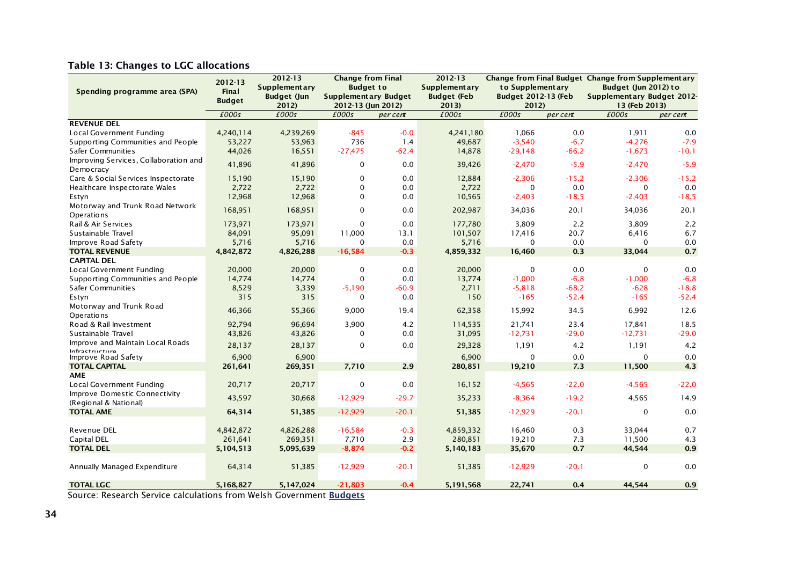#### **Table 13: Changes to LGC allocations**

|                                                        | 2012-13       | 2012-13                     | <b>Change from Final</b>                          |          | 2012-13                     |                                     |          | Change from Final Budget Change from Supplementary |          |
|--------------------------------------------------------|---------------|-----------------------------|---------------------------------------------------|----------|-----------------------------|-------------------------------------|----------|----------------------------------------------------|----------|
| Spending programme area (SPA)                          | <b>Final</b>  | <b>Supplementary</b>        | <b>Budget to</b>                                  |          | <b>Supplementary</b>        | to Supplementary                    |          | Budget (Jun 2012) to                               |          |
|                                                        | <b>Budget</b> | <b>Budget (Jun</b><br>2012) | <b>Supplementary Budget</b><br>2012-13 (Jun 2012) |          | <b>Budget (Feb</b><br>2013) | <b>Budget 2012-13 (Feb</b><br>2012) |          | Supplementary Budget 2012-<br>13 (Feb 2013)        |          |
|                                                        | £000s         | £000s                       | £000s                                             | per cent | £000s                       | £000s                               | per cent | £000s                                              | per cent |
| <b>REVENUE DEL</b>                                     |               |                             |                                                   |          |                             |                                     |          |                                                    |          |
| Local Government Funding                               | 4,240,114     | 4,239,269                   | $-845$                                            | $-0.0$   | 4,241,180                   | 1.066                               | 0.0      | 1.911                                              | 0.0      |
| Supporting Communities and People                      | 53,227        | 53,963                      | 736                                               | 1.4      | 49,687                      | $-3,540$                            | $-6.7$   | $-4,276$                                           | $-7.9$   |
| Safer Communities                                      | 44,026        | 16,551                      | $-27,475$                                         | $-62.4$  | 14,878                      | $-29,148$                           | $-66.2$  | $-1,673$                                           | $-10.1$  |
| Improving Services, Collaboration and<br>Democracy     | 41,896        | 41,896                      | $\mathbf 0$                                       | 0.0      | 39,426                      | $-2,470$                            | $-5.9$   | $-2,470$                                           | $-5.9$   |
| Care & Social Services Inspectorate                    | 15,190        | 15,190                      | $\mathbf 0$                                       | 0.0      | 12,884                      | $-2,306$                            | $-15.2$  | $-2,306$                                           | $-15.2$  |
| Healthcare Inspectorate Wales                          | 2,722         | 2,722                       | $\mathbf 0$                                       | 0.0      | 2,722                       | $\mathbf 0$                         | 0.0      | $\mathbf 0$                                        | 0.0      |
| Estyn                                                  | 12,968        | 12,968                      | $\Omega$                                          | 0.0      | 10,565                      | $-2,403$                            | $-18.5$  | $-2,403$                                           | $-18.5$  |
| Motorway and Trunk Road Network<br>Operations          | 168,951       | 168,951                     | $\Omega$                                          | 0.0      | 202,987                     | 34,036                              | 20.1     | 34,036                                             | 20.1     |
| Rail & Air Services                                    | 173,971       | 173,971                     | $\mathbf 0$                                       | 0.0      | 177,780                     | 3.809                               | 2.2      | 3,809                                              | 2.2      |
| Sustainable Travel                                     | 84,091        | 95,091                      | 11,000                                            | 13.1     | 101,507                     | 17,416                              | 20.7     | 6,416                                              | 6.7      |
| Improve Road Safety                                    | 5,716         | 5,716                       | $\Omega$                                          | 0.0      | 5,716                       | $\Omega$                            | 0.0      | $\Omega$                                           | 0.0      |
| <b>TOTAL REVENUE</b>                                   | 4,842,872     | 4,826,288                   | $-16,584$                                         | $-0.3$   | 4,859,332                   | 16,460                              | 0.3      | 33,044                                             | 0.7      |
| <b>CAPITAL DEL</b>                                     |               |                             |                                                   |          |                             |                                     |          |                                                    |          |
| Local Government Funding                               | 20,000        | 20,000                      | 0                                                 | 0.0      | 20,000                      | $\mathbf 0$                         | 0.0      | $\mathbf 0$                                        | 0.0      |
| Supporting Communities and People                      | 14,774        | 14,774                      | $\mathbf 0$                                       | 0.0      | 13,774                      | $-1,000$                            | $-6.8$   | $-1,000$                                           | $-6.8$   |
| Safer Communities                                      | 8,529         | 3,339                       | $-5,190$                                          | $-60.9$  | 2,711                       | $-5,818$                            | $-68.2$  | $-628$                                             | $-18.8$  |
| Estyn                                                  | 315           | 315                         | $\mathbf 0$                                       | 0.0      | 150                         | $-165$                              | $-52.4$  | $-165$                                             | $-52.4$  |
| Motorway and Trunk Road<br>Operations                  | 46,366        | 55,366                      | 9,000                                             | 19.4     | 62,358                      | 15,992                              | 34.5     | 6,992                                              | 12.6     |
| Road & Rail Investment                                 | 92,794        | 96,694                      | 3,900                                             | 4.2      | 114,535                     | 21,741                              | 23.4     | 17,841                                             | 18.5     |
| Sustainable Travel                                     | 43,826        | 43,826                      | $\Omega$                                          | 0.0      | 31,095                      | $-12,731$                           | $-29.0$  | $-12,731$                                          | $-29.0$  |
| Improve and Maintain Local Roads<br>Infractructura     | 28,137        | 28,137                      | $\mathbf 0$                                       | 0.0      | 29,328                      | 1,191                               | 4.2      | 1,191                                              | 4.2      |
| Improve Road Safety                                    | 6,900         | 6,900                       |                                                   |          | 6,900                       | $\mathbf 0$                         | 0.0      | $\mathbf 0$                                        | 0.0      |
| <b>TOTAL CAPITAL</b>                                   | 261,641       | 269,351                     | 7,710                                             | 2.9      | 280,851                     | 19,210                              | 7.3      | 11,500                                             | 4.3      |
| <b>AME</b>                                             |               |                             |                                                   |          |                             |                                     |          |                                                    |          |
| Local Government Funding                               | 20,717        | 20,717                      | 0                                                 | 0.0      | 16,152                      | $-4,565$                            | $-22.0$  | $-4,565$                                           | $-22.0$  |
| Improve Domestic Connectivity<br>(Regional & National) | 43,597        | 30,668                      | $-12,929$                                         | $-29.7$  | 35,233                      | $-8,364$                            | $-19.2$  | 4,565                                              | 14.9     |
| <b>TOTAL AME</b>                                       | 64,314        | 51,385                      | $-12,929$                                         | $-20.1$  | 51,385                      | $-12,929$                           | $-20.1$  | $\mathbf 0$                                        | 0.0      |
| Revenue DEL                                            | 4,842,872     | 4,826,288                   | $-16,584$                                         | $-0.3$   | 4,859,332                   | 16,460                              | 0.3      | 33,044                                             | 0.7      |
| Capital DEL                                            | 261,641       | 269,351                     | 7,710                                             | 2.9      | 280,851                     | 19,210                              | 7.3      | 11,500                                             | 4.3      |
| <b>TOTAL DEL</b>                                       | 5,104,513     | 5,095,639                   | $-8,874$                                          | $-0.2$   | 5,140,183                   | 35,670                              | 0.7      | 44,544                                             | 0.9      |
| Annually Managed Expenditure                           | 64,314        | 51,385                      | $-12,929$                                         | $-20.1$  | 51,385                      | $-12,929$                           | $-20.1$  | 0                                                  | 0.0      |
| <b>TOTAL LGC</b>                                       | 5,168,827     | 5,147,024                   | $-21,803$                                         | $-0.4$   | 5,191,568                   | 22,741                              | 0.4      | 44,544                                             | 0.9      |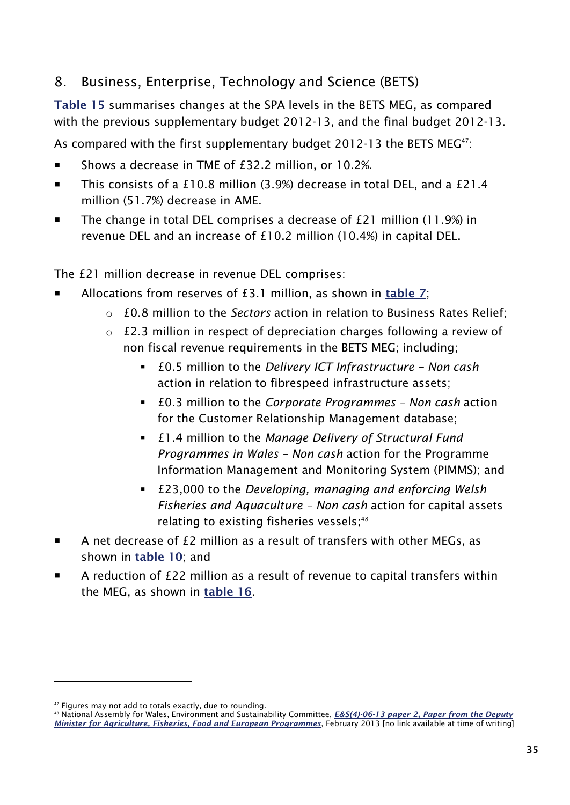## <span id="page-42-0"></span>8. Business, Enterprise, Technology and Science (BETS)

**Table 15** summarises changes at the SPA levels in the BETS MEG, as compared with the previous supplementary budget 2012-13, and the final budget 2012-13.

As compared with the first supplementary budget 2012-13 the BETS MEG<sup>47</sup>:

- Shows a decrease in TME of £32.2 million, or 10.2%.
- This consists of a £10.8 million (3.9%) decrease in total DEL, and a £21.4 million (51.7%) decrease in AME.
- The change in total DEL comprises a decrease of £21 million (11.9%) in revenue DEL and an increase of £10.2 million (10.4%) in capital DEL.

The £21 million decrease in revenue DEL comprises:

- Allocations from reserves of £3.1 million, as shown in **[table 7](#page-30-0)**;
	- o £0.8 million to the *Sectors* action in relation to Business Rates Relief;
	- o £2.3 million in respect of depreciation charges following a review of non fiscal revenue requirements in the BETS MEG; including;
		- £0.5 million to the *Delivery ICT Infrastructure – Non cash* action in relation to fibrespeed infrastructure assets;
		- £0.3 million to the *Corporate Programmes – Non cash* action for the Customer Relationship Management database;
		- £1.4 million to the *Manage Delivery of Structural Fund Programmes in Wales – Non cash* action for the Programme Information Management and Monitoring System (PIMMS); and
		- £23,000 to the *Developing, managing and enforcing Welsh Fisheries and Aquaculture – Non cash* action for capital assets relating to existing fisheries vessels; 48
- A net decrease of £2 million as a result of transfers with other MEGs, as shown in **[table 10](#page-34-1)**; and
- A reduction of £22 million as a result of revenue to capital transfers within the MEG, as shown in **[table 16](#page-43-0)**.

<sup>&</sup>lt;sup>47</sup> Figures may not add to totals exactly, due to rounding.

<sup>48</sup> National Assembly for Wales, Environment and Sustainability Committee, *[E&S\(4\)-06-13 paper 2, Paper from the Deputy](http://www.senedd.assemblywales.org/documents/s14347/Paper%202.pdf) [Minister for Agriculture, Fisheries, Food and European Programmes](http://www.senedd.assemblywales.org/documents/s14347/Paper%202.pdf)*, February 2013 [no link available at time of writing]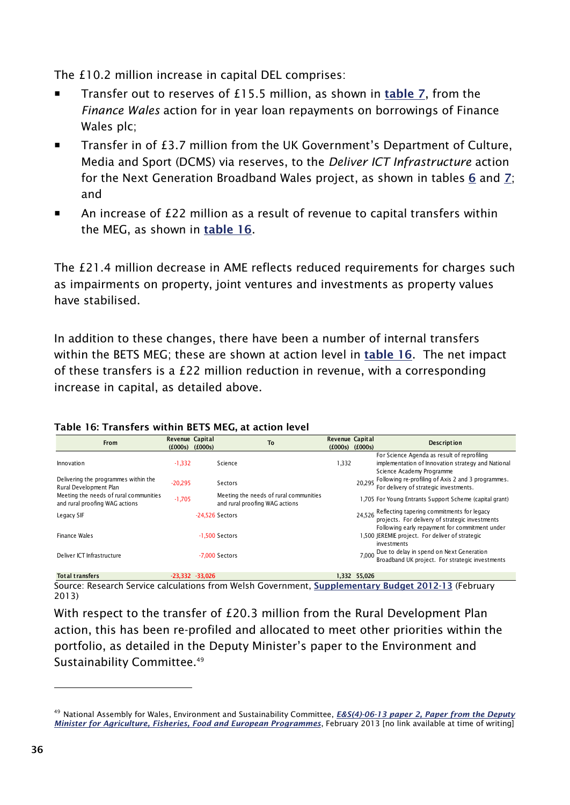The £10.2 million increase in capital DEL comprises:

- Transfer out to reserves of £15.5 million, as shown in **[table 7](#page-30-0)**, from the *Finance Wales* action for in year loan repayments on borrowings of Finance Wales plc;
- Transfer in of £3.7 million from the UK Government's Department of Culture, Media and Sport (DCMS) via reserves, to the *Deliver ICT Infrastructure* action for the Next Generation Broadband Wales project, as shown in tables **[6](#page-24-1)** and **[7](#page-30-0)**; and
- An increase of £22 million as a result of revenue to capital transfers within the MEG, as shown in **[table 16](#page-43-0)**.

The £21.4 million decrease in AME reflects reduced requirements for charges such as impairments on property, joint ventures and investments as property values have stabilised.

In addition to these changes, there have been a number of internal transfers within the BETS MEG; these are shown at action level in **[table 16](#page-43-0)**. The net impact of these transfers is a £22 million reduction in revenue, with a corresponding increase in capital, as detailed above.

| From                                                                     | Revenue Capital<br>(£000s) | (£000s)           | To                                                                       | <b>Revenue Capital</b><br>(£000s) | (£000s)      | <b>Description</b>                                                                                                                                     |
|--------------------------------------------------------------------------|----------------------------|-------------------|--------------------------------------------------------------------------|-----------------------------------|--------------|--------------------------------------------------------------------------------------------------------------------------------------------------------|
| Innovation                                                               | $-1,332$                   |                   | Science                                                                  | .332                              |              | For Science Agenda as result of reprofiling<br>implementation of Innovation strategy and National<br>Science Academy Programme                         |
| Delivering the programmes within the<br>Rural Development Plan           | $-20,295$                  |                   | Sectors                                                                  |                                   | 20.295       | Following re-profiling of Axis 2 and 3 programmes.<br>For delivery of strategic investments.                                                           |
| Meeting the needs of rural communities<br>and rural proofing WAG actions | $-1,705$                   |                   | Meeting the needs of rural communities<br>and rural proofing WAG actions |                                   |              | 1,705 For Young Entrants Support Scheme (capital grant)                                                                                                |
| Legacy SIF                                                               |                            |                   | $-24.526$ Sectors                                                        |                                   |              | 24,526 Reflecting tapering commitments for legacy<br>projects. For delivery of strategic investments<br>Following early repayment for commitment under |
| Finance Wales                                                            |                            |                   | $-1.500$ Sectors                                                         |                                   |              | 1,500 JEREMIE project. For deliver of strategic<br>investments                                                                                         |
| Deliver ICT Infrastructure                                               |                            |                   | -7.000 Sectors                                                           |                                   | 7.000        | Due to delay in spend on Next Generation<br>Broadband UK project. For strategic investments                                                            |
| <b>Total transfers</b>                                                   |                            | $-23,332 -33,026$ |                                                                          |                                   | 1,332 55,026 |                                                                                                                                                        |

#### <span id="page-43-0"></span>**Table 16: Transfers within BETS MEG, at action level**

Source: Research Service calculations from Welsh Government, **[Supplementary Budget 2012-13](http://wales.gov.uk/funding/budget/2ndsuppbudget1213/?lang=en)** (February 2013)

With respect to the transfer of £20.3 million from the Rural Development Plan action, this has been re-profiled and allocated to meet other priorities within the portfolio, as detailed in the Deputy Minister's paper to the Environment and Sustainability Committee.<sup>49</sup>

<sup>49</sup> National Assembly for Wales, Environment and Sustainability Committee, *[E&S\(4\)-06-13 paper 2, Paper from the Deputy](http://www.senedd.assemblywales.org/documents/s14347/Paper%202.pdf)  [Minister for Agriculture, Fisheries, Food and European Programmes](http://www.senedd.assemblywales.org/documents/s14347/Paper%202.pdf)*, February 2013 [no link available at time of writing]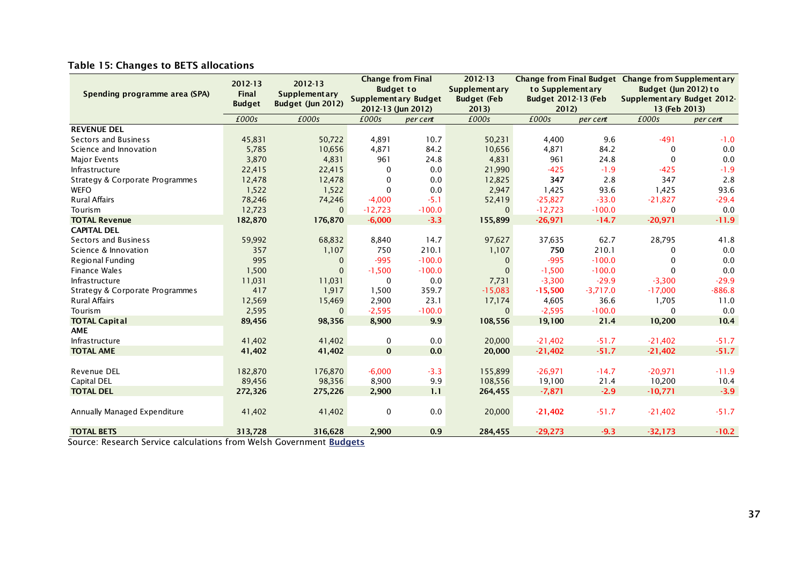|  |  | Table 15: Changes to BETS allocations |  |
|--|--|---------------------------------------|--|
|--|--|---------------------------------------|--|

|                                                                                         | 2012-13       | 2012-13              |              | <b>Change from Final</b>    | 2012-13              |                     |            | Change from Final Budget Change from Supplementary |          |
|-----------------------------------------------------------------------------------------|---------------|----------------------|--------------|-----------------------------|----------------------|---------------------|------------|----------------------------------------------------|----------|
| Spending programme area (SPA)                                                           | <b>Final</b>  | <b>Supplementary</b> |              | <b>Budget to</b>            | <b>Supplementary</b> | to Supplementary    |            | Budget (Jun 2012) to                               |          |
|                                                                                         | <b>Budget</b> | Budget (Jun 2012)    |              | <b>Supplementary Budget</b> | <b>Budget (Feb</b>   | Budget 2012-13 (Feb |            | Supplementary Budget 2012-                         |          |
|                                                                                         |               |                      |              | 2012-13 (Jun 2012)          | 2013                 | 2012                |            | 13 (Feb 2013)                                      |          |
|                                                                                         | £000s         | £000s                | £000s        | per cent                    | £000s                | £000s               | per cent   | £000s                                              | per cent |
| <b>REVENUE DEL</b>                                                                      |               |                      |              |                             |                      |                     |            |                                                    |          |
| <b>Sectors and Business</b>                                                             | 45,831        | 50,722               | 4,891        | 10.7                        | 50,231               | 4,400               | 9.6        | $-491$                                             | $-1.0$   |
| Science and Innovation                                                                  | 5,785         | 10,656               | 4,871        | 84.2                        | 10,656               | 4,871               | 84.2       | 0                                                  | 0.0      |
| Major Events                                                                            | 3,870         | 4,831                | 961          | 24.8                        | 4,831                | 961                 | 24.8       | $\Omega$                                           | 0.0      |
| Infrastructure                                                                          | 22,415        | 22,415               | 0            | 0.0                         | 21,990               | $-425$              | $-1.9$     | $-425$                                             | $-1.9$   |
| Strategy & Corporate Programmes                                                         | 12,478        | 12,478               | $\Omega$     | 0.0                         | 12,825               | 347                 | 2.8        | 347                                                | 2.8      |
| <b>WEFO</b>                                                                             | 1,522         | 1,522                | $\Omega$     | 0.0                         | 2,947                | 1,425               | 93.6       | 1,425                                              | 93.6     |
| <b>Rural Affairs</b>                                                                    | 78,246        | 74,246               | $-4,000$     | $-5.1$                      | 52,419               | $-25,827$           | $-33.0$    | $-21,827$                                          | $-29.4$  |
| Tourism                                                                                 | 12,723        | $\mathbf{0}$         | $-12,723$    | $-100.0$                    | $\mathbf{0}$         | $-12,723$           | $-100.0$   | 0                                                  | 0.0      |
| <b>TOTAL Revenue</b>                                                                    | 182,870       | 176,870              | $-6,000$     | $-3.3$                      | 155,899              | $-26,971$           | $-14.7$    | $-20,971$                                          | $-11.9$  |
| <b>CAPITAL DEL</b>                                                                      |               |                      |              |                             |                      |                     |            |                                                    |          |
| <b>Sectors and Business</b>                                                             | 59,992        | 68,832               | 8,840        | 14.7                        | 97,627               | 37,635              | 62.7       | 28,795                                             | 41.8     |
| Science & Innovation                                                                    | 357           | 1,107                | 750          | 210.1                       | 1,107                | 750                 | 210.1      | 0                                                  | 0.0      |
| Regional Funding                                                                        | 995           | $\mathbf{0}$         | $-995$       | $-100.0$                    | $\mathbf{0}$         | $-995$              | $-100.0$   |                                                    | 0.0      |
| <b>Finance Wales</b>                                                                    | 1,500         | $\mathbf{0}$         | $-1,500$     | $-100.0$                    | $\Omega$             | $-1,500$            | $-100.0$   | $\Omega$                                           | 0.0      |
| Infrastructure                                                                          | 11,031        | 11,031               | $\Omega$     | 0.0                         | 7,731                | $-3,300$            | $-29.9$    | $-3,300$                                           | $-29.9$  |
| Strategy & Corporate Programmes                                                         | 417           | 1,917                | 1,500        | 359.7                       | $-15,083$            | $-15,500$           | $-3,717.0$ | $-17,000$                                          | $-886.8$ |
| <b>Rural Affairs</b>                                                                    | 12,569        | 15,469               | 2,900        | 23.1                        | 17,174               | 4,605               | 36.6       | 1,705                                              | 11.0     |
| Tourism                                                                                 | 2,595         | $\mathbf{0}$         | $-2,595$     | $-100.0$                    | $\Omega$             | $-2,595$            | $-100.0$   | 0                                                  | 0.0      |
| <b>TOTAL Capital</b>                                                                    | 89,456        | 98,356               | 8,900        | 9.9                         | 108,556              | 19,100              | 21.4       | 10,200                                             | 10.4     |
| <b>AME</b>                                                                              |               |                      |              |                             |                      |                     |            |                                                    |          |
| Infrastructure                                                                          | 41,402        | 41,402               | 0            | 0.0                         | 20,000               | $-21,402$           | $-51.7$    | $-21,402$                                          | $-51.7$  |
| <b>TOTAL AME</b>                                                                        | 41,402        | 41,402               | $\mathbf{0}$ | 0.0                         | 20,000               | $-21,402$           | $-51.7$    | $-21,402$                                          | $-51.7$  |
|                                                                                         |               |                      |              |                             |                      |                     |            |                                                    |          |
| Revenue DEL                                                                             | 182,870       | 176,870              | $-6,000$     | $-3.3$                      | 155,899              | $-26,971$           | $-14.7$    | $-20,971$                                          | $-11.9$  |
| Capital DEL                                                                             | 89,456        | 98,356               | 8,900        | 9.9                         | 108,556              | 19,100              | 21.4       | 10,200                                             | 10.4     |
| <b>TOTAL DEL</b>                                                                        | 272,326       | 275,226              | 2,900        | 1.1                         | 264,455              | $-7,871$            | $-2.9$     | $-10,771$                                          | $-3.9$   |
|                                                                                         |               |                      |              |                             |                      |                     |            |                                                    |          |
| Annually Managed Expenditure                                                            | 41,402        | 41,402               | $\mathbf 0$  | $0.0\,$                     | 20,000               | $-21,402$           | $-51.7$    | $-21,402$                                          | $-51.7$  |
|                                                                                         |               |                      |              |                             |                      |                     |            |                                                    |          |
| <b>TOTAL BETS</b><br>Course: Desearch Comise solaulations from Welch Coursement Budnets | 313,728       | 316,628              | 2,900        | 0.9                         | 284,455              | $-29,273$           | $-9.3$     | $-32,173$                                          | $-10.2$  |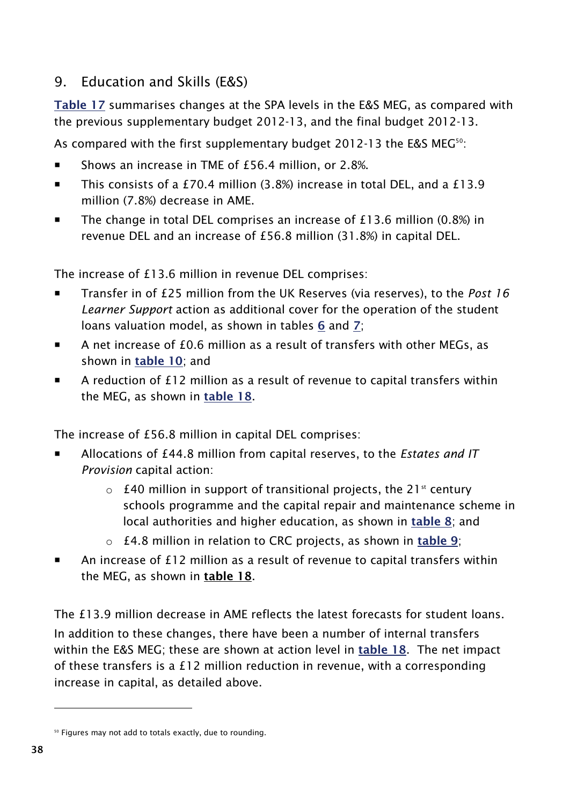## <span id="page-45-0"></span>9. Education and Skills (E&S)

**Table 17** summarises changes at the SPA levels in the E&S MEG, as compared with the previous supplementary budget 2012-13, and the final budget 2012-13.

As compared with the first supplementary budget 2012-13 the E&S MEG<sup>50</sup>:

- Shows an increase in TME of £56.4 million, or 2.8%.
- This consists of a £70.4 million (3.8%) increase in total DEL, and a £13.9 million (7.8%) decrease in AME.
- The change in total DEL comprises an increase of  $£13.6$  million (0.8%) in revenue DEL and an increase of £56.8 million (31.8%) in capital DEL.

The increase of £13.6 million in revenue DEL comprises:

- Transfer in of £25 million from the UK Reserves (via reserves), to the *Post 16 Learner Support* action as additional cover for the operation of the student loans valuation model, as shown in tables **[6](#page-24-1)** and **[7](#page-30-0)**;
- A net increase of £0.6 million as a result of transfers with other MEGs, as shown in **[table 10](#page-34-1)**; and
- A reduction of £12 million as a result of revenue to capital transfers within the MEG, as shown in **[table 18](#page-47-0)**.

The increase of £56.8 million in capital DEL comprises:

- Allocations of £44.8 million from capital reserves, to the *Estates and IT Provision* capital action:
	- $\circ$  £40 million in support of transitional projects, the 21<sup>st</sup> century schools programme and the capital repair and maintenance scheme in local authorities and higher education, as shown in **[table 8](#page-31-1)**; and
	- o £4.8 million in relation to CRC projects, as shown in **[table 9](#page-32-0)**;
- An increase of £12 million as a result of revenue to capital transfers within the MEG, as shown in **[table 18](#page-47-0)**.

The £13.9 million decrease in AME reflects the latest forecasts for student loans. In addition to these changes, there have been a number of internal transfers within the E&S MEG; these are shown at action level in **[table 18](#page-47-0)**. The net impact of these transfers is a £12 million reduction in revenue, with a corresponding increase in capital, as detailed above.

<sup>&</sup>lt;sup>50</sup> Figures may not add to totals exactly, due to rounding.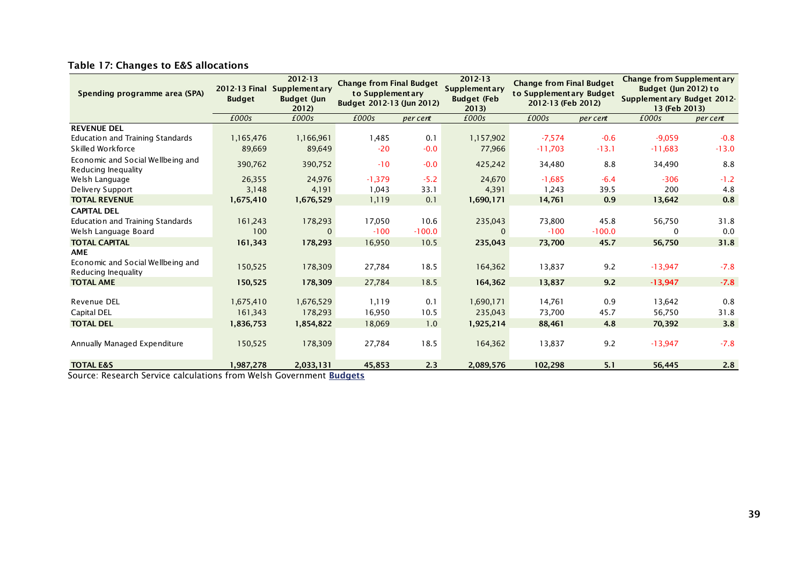| Spending programme area (SPA)                            | 2012-13 Final<br><b>Budget</b> | 2012-13<br><b>Supplementary</b><br><b>Budget (Jun</b><br>2012) |          | <b>Change from Final Budget</b><br><b>Supplementary</b><br>to Supplementary<br>Budget 2012-13 (Jun 2012) |              | <b>Change from Final Budget</b><br>to Supplementary Budget<br>2012-13 (Feb 2012) |          | <b>Change from Supplementary</b><br>Budget (Jun 2012) to<br>Supplementary Budget 2012-<br>13 (Feb 2013) |          |  |
|----------------------------------------------------------|--------------------------------|----------------------------------------------------------------|----------|----------------------------------------------------------------------------------------------------------|--------------|----------------------------------------------------------------------------------|----------|---------------------------------------------------------------------------------------------------------|----------|--|
|                                                          | £000s                          | £000s                                                          | £000s    | per cent                                                                                                 | £000s        | £000s                                                                            | per cent | £000s                                                                                                   | per cent |  |
| <b>REVENUE DEL</b>                                       |                                |                                                                |          |                                                                                                          |              |                                                                                  |          |                                                                                                         |          |  |
| <b>Education and Training Standards</b>                  | 1,165,476                      | 1,166,961                                                      | 1,485    | 0.1                                                                                                      | 1,157,902    | $-7,574$                                                                         | $-0.6$   | $-9,059$                                                                                                | $-0.8$   |  |
| Skilled Workforce                                        | 89,669                         | 89,649                                                         | $-20$    | $-0.0$                                                                                                   | 77,966       | $-11,703$                                                                        | $-13.1$  | $-11,683$                                                                                               | $-13.0$  |  |
| Economic and Social Wellbeing and<br>Reducing Inequality | 390,762                        | 390,752                                                        | $-10$    | $-0.0$                                                                                                   | 425,242      | 34,480                                                                           | 8.8      | 34,490                                                                                                  | 8.8      |  |
| Welsh Language                                           | 26,355                         | 24,976                                                         | $-1,379$ | $-5.2$                                                                                                   | 24,670       | $-1,685$                                                                         | $-6.4$   | $-306$                                                                                                  | $-1.2$   |  |
| Delivery Support                                         | 3,148                          | 4,191                                                          | 1,043    | 33.1                                                                                                     | 4,391        | 1,243                                                                            | 39.5     | 200                                                                                                     | 4.8      |  |
| <b>TOTAL REVENUE</b>                                     | 1,675,410                      | 1,676,529                                                      | 1,119    | 0.1                                                                                                      | 1,690,171    | 14,761                                                                           | 0.9      | 13,642                                                                                                  | 0.8      |  |
| <b>CAPITAL DEL</b>                                       |                                |                                                                |          |                                                                                                          |              |                                                                                  |          |                                                                                                         |          |  |
| <b>Education and Training Standards</b>                  | 161,243                        | 178,293                                                        | 17,050   | 10.6                                                                                                     | 235,043      | 73,800                                                                           | 45.8     | 56,750                                                                                                  | 31.8     |  |
| Welsh Language Board                                     | 100                            | $\mathbf{0}$                                                   | $-100$   | $-100.0$                                                                                                 | $\mathbf{0}$ | $-100$                                                                           | $-100.0$ | 0                                                                                                       | 0.0      |  |
| <b>TOTAL CAPITAL</b>                                     | 161,343                        | 178,293                                                        | 16,950   | 10.5                                                                                                     | 235,043      | 73,700                                                                           | 45.7     | 56,750                                                                                                  | 31.8     |  |
| <b>AME</b>                                               |                                |                                                                |          |                                                                                                          |              |                                                                                  |          |                                                                                                         |          |  |
| Economic and Social Wellbeing and<br>Reducing Inequality | 150,525                        | 178,309                                                        | 27,784   | 18.5                                                                                                     | 164,362      | 13,837                                                                           | 9.2      | $-13,947$                                                                                               | $-7.8$   |  |
| <b>TOTAL AME</b>                                         | 150,525                        | 178,309                                                        | 27,784   | 18.5                                                                                                     | 164,362      | 13,837                                                                           | 9.2      | $-13,947$                                                                                               | $-7.8$   |  |
|                                                          |                                |                                                                |          |                                                                                                          |              |                                                                                  |          |                                                                                                         |          |  |
| Revenue DEL                                              | 1,675,410                      | 1,676,529                                                      | 1,119    | 0.1                                                                                                      | 1,690,171    | 14,761                                                                           | 0.9      | 13,642                                                                                                  | 0.8      |  |
| Capital DEL                                              | 161,343                        | 178,293                                                        | 16,950   | 10.5                                                                                                     | 235,043      | 73,700                                                                           | 45.7     | 56,750                                                                                                  | 31.8     |  |
| <b>TOTAL DEL</b>                                         | 1,836,753                      | 1,854,822                                                      | 18,069   | 1.0                                                                                                      | 1,925,214    | 88,461                                                                           | 4.8      | 70,392                                                                                                  | 3.8      |  |
| Annually Managed Expenditure                             | 150,525                        | 178,309                                                        | 27,784   | 18.5                                                                                                     | 164,362      | 13,837                                                                           | 9.2      | $-13,947$                                                                                               | $-7.8$   |  |
| <b>TOTAL E&amp;S</b><br>$\sim$                           | 1,987,278                      | 2,033,131                                                      | 45,853   | 2.3                                                                                                      | 2,089,576    | 102,298                                                                          | 5.1      | 56,445                                                                                                  | 2.8      |  |

#### **Table 17: Changes to E&S allocations**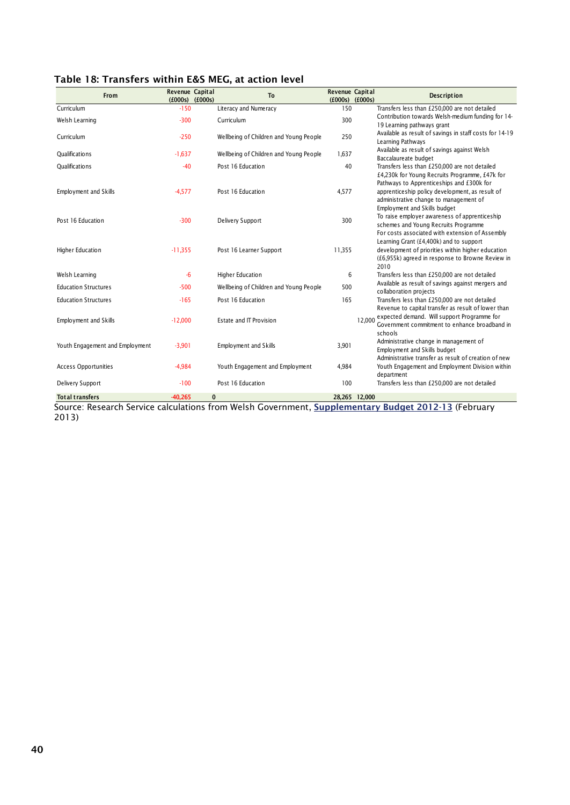| From                            | Revenue Capital | $(£000s)$ $(£000s)$ | <b>To</b>                              | Revenue Capital<br>$(£000s)$ $(£000s)$ |               | <b>Description</b>                                                                                                                                                     |
|---------------------------------|-----------------|---------------------|----------------------------------------|----------------------------------------|---------------|------------------------------------------------------------------------------------------------------------------------------------------------------------------------|
| Curriculum                      | $-150$          |                     | Literacy and Numeracy                  | 150                                    |               | Transfers less than £250,000 are not detailed                                                                                                                          |
| Welsh Learning                  | $-300$          |                     | Curriculum                             | 300                                    |               | Contribution towards Welsh-medium funding for 14-<br>19 Learning pathways grant                                                                                        |
| Curriculum                      | $-250$          |                     | Wellbeing of Children and Young People | 250                                    |               | Available as result of savings in staff costs for 14-19<br>Learning Pathways                                                                                           |
| Qualifications                  | $-1,637$        |                     | Wellbeing of Children and Young People | 1,637                                  |               | Available as result of savings against Welsh<br>Baccalaureate budget                                                                                                   |
| <b>Oualifications</b>           | $-40$           |                     | Post 16 Education                      | 40                                     |               | Transfers less than £250,000 are not detailed<br>£4,230k for Young Recruits Programme, £47k for                                                                        |
| <b>Employment and Skills</b>    | $-4,577$        |                     | Post 16 Education                      | 4,577                                  |               | Pathways to Apprenticeships and £300k for<br>apprenticeship policy development, as result of<br>administrative change to management of<br>Employment and Skills budget |
| Post 16 Education               | $-300$          |                     | Delivery Support                       | 300                                    |               | To raise employer awareness of apprenticeship<br>schemes and Young Recruits Programme<br>For costs associated with extension of Assembly                               |
| Higher Education                | $-11,355$       |                     | Post 16 Learner Support                | 11,355                                 |               | Learning Grant (£4,400k) and to support<br>development of priorities within higher education<br>(£6,955k) agreed in response to Browne Review in<br>2010               |
| Welsh Learning                  | $-6$            |                     | Higher Education                       | 6                                      |               | Transfers less than £250,000 are not detailed                                                                                                                          |
| <b>Education Structures</b>     | $-500$          |                     | Wellbeing of Children and Young People | 500                                    |               | Available as result of savings against mergers and<br>collaboration projects                                                                                           |
| <b>Education Structures</b>     | $-165$          |                     | Post 16 Education                      | 165                                    |               | Transfers less than £250,000 are not detailed<br>Revenue to capital transfer as result of lower than                                                                   |
| Employment and Skills           | $-12,000$       |                     | Estate and IT Provision                |                                        | 12.000        | expected demand. Will support Programme for<br>Government commitment to enhance broadband in<br>schools                                                                |
| Youth Engagement and Employment | $-3,901$        |                     | Employment and Skills                  | 3,901                                  |               | Administrative change in management of<br>Employment and Skills budget<br>Administrative transfer as result of creation of new                                         |
| <b>Access Opportunities</b>     | $-4,984$        |                     | Youth Engagement and Employment        | 4,984                                  |               | Youth Engagement and Employment Division within<br>department                                                                                                          |
| Delivery Support                | $-100$          |                     | Post 16 Education                      | 100                                    |               | Transfers less than £250,000 are not detailed                                                                                                                          |
| <b>Total transfers</b>          | $-40.265$       | $\bf{0}$            |                                        |                                        | 28,265 12,000 |                                                                                                                                                                        |

#### <span id="page-47-0"></span>**Table 18: Transfers within E&S MEG, at action level**

Source: Research Service calculations from Welsh Government, **[Supplementary Budget 2012-13](http://wales.gov.uk/funding/budget/2ndsuppbudget1213/?lang=en)** (February 2013)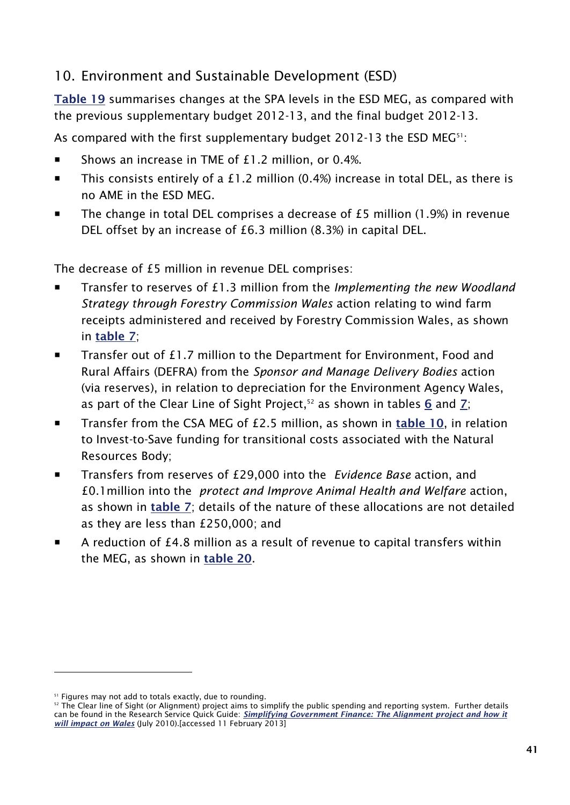## <span id="page-48-0"></span>10. Environment and Sustainable Development (ESD)

**[Table 19](#page-49-0)** summarises changes at the SPA levels in the ESD MEG, as compared with the previous supplementary budget 2012-13, and the final budget 2012-13.

As compared with the first supplementary budget 2012-13 the ESD MEG<sup>51</sup>:

- Shows an increase in TME of  $£1.2$  million, or 0.4%.
- This consists entirely of a £1.2 million (0.4%) increase in total DEL, as there is no AME in the ESD MEG.
- The change in total DEL comprises a decrease of  $£5$  million (1.9%) in revenue DEL offset by an increase of £6.3 million (8.3%) in capital DEL.

The decrease of £5 million in revenue DEL comprises:

- Transfer to reserves of £1.3 million from the *Implementing the new Woodland Strategy through Forestry Commission Wales* action relating to wind farm receipts administered and received by Forestry Commission Wales, as shown in **[table 7](#page-30-0)**;
- Transfer out of £1.7 million to the Department for Environment, Food and Rural Affairs (DEFRA) from the *Sponsor and Manage Delivery Bodies* action (via reserves), in relation to depreciation for the Environment Agency Wales, as part of the Clear Line of Sight Project,<sup>52</sup> as shown in tables [6](#page-24-1) and [7](#page-30-0);
- Transfer from the CSA MEG of £2.5 million, as shown in **[table 10](#page-34-1)**, in relation to Invest-to-Save funding for transitional costs associated with the Natural Resources Body;
- Transfers from reserves of £29,000 into the *Evidence Base* action, and £0.1million into the *protect and Improve Animal Health and Welfare* action, as shown in **[table 7](#page-30-0)**; details of the nature of these allocations are not detailed as they are less than £250,000; and
- A reduction of £4.8 million as a result of revenue to capital transfers within the MEG, as shown in **[table 20](#page-49-0)**.

<sup>&</sup>lt;sup>51</sup> Figures may not add to totals exactly, due to rounding.

 $52$  The Clear line of Sight (or Alignment) project aims to simplify the public spending and reporting system. Further details can be found in the Research Service Quick Guide: *[Simplifying Government Finance: The Alignment project and how it](http://www.assemblywales.org/qg10-0015.pdf)  [will impact on Wales](http://www.assemblywales.org/qg10-0015.pdf)* (July 2010).[accessed 11 February 2013]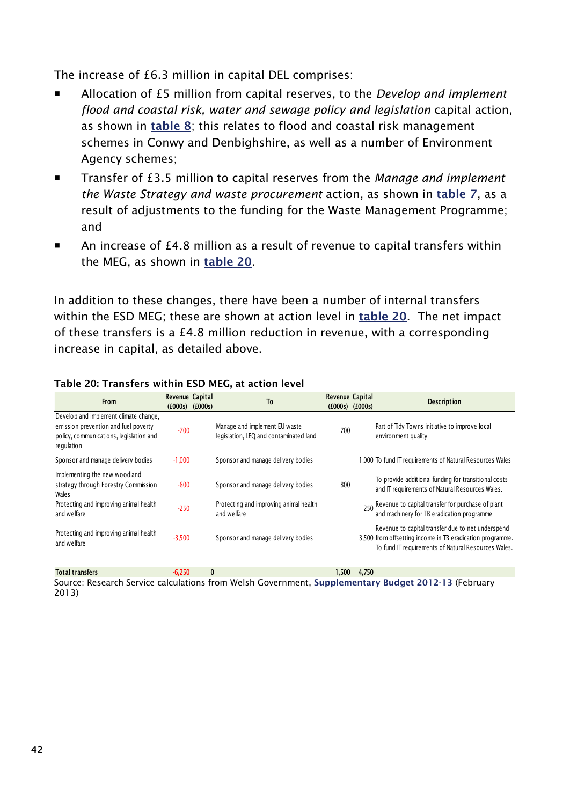The increase of £6.3 million in capital DEL comprises:

- Allocation of £5 million from capital reserves, to the *Develop and implement flood and coastal risk, water and sewage policy and legislation* capital action, as shown in **[table 8](#page-31-1)**; this relates to flood and coastal risk management schemes in Conwy and Denbighshire, as well as a number of Environment Agency schemes;
- Transfer of £3.5 million to capital reserves from the *Manage and implement the Waste Strategy and waste procurement* action, as shown in **[table 7](#page-30-0)**, as a result of adjustments to the funding for the Waste Management Programme; and
- An increase of £4.8 million as a result of revenue to capital transfers within the MEG, as shown in **[table 20](#page-49-0)**.

In addition to these changes, there have been a number of internal transfers within the ESD MEG; these are shown at action level in **[table 20](#page-49-0)**. The net impact of these transfers is a £4.8 million reduction in revenue, with a corresponding increase in capital, as detailed above.

| From                                                                                                                                   | Revenue Capital<br>(£000s) | (f000s)      | T <sub>0</sub>                                                          | Revenue Capital<br>(f000s) | (f000s) | <b>Description</b>                                                                                                                                                    |
|----------------------------------------------------------------------------------------------------------------------------------------|----------------------------|--------------|-------------------------------------------------------------------------|----------------------------|---------|-----------------------------------------------------------------------------------------------------------------------------------------------------------------------|
| Develop and implement climate change,<br>emission prevention and fuel poverty<br>policy, communications, legislation and<br>regulation | $-700$                     |              | Manage and implement EU waste<br>legislation, LEQ and contaminated land | 700                        |         | Part of Tidy Towns initiative to improve local<br>environment quality                                                                                                 |
| Sponsor and manage delivery bodies                                                                                                     | $-1,000$                   |              | Sponsor and manage delivery bodies                                      |                            |         | .000 To fund IT requirements of Natural Resources Wales                                                                                                               |
| Implementing the new woodland<br>strategy through Forestry Commission<br><b>Wales</b>                                                  | $-800$                     |              | Sponsor and manage delivery bodies                                      | 800                        |         | To provide additional funding for transitional costs<br>and IT requirements of Natural Resources Wales.                                                               |
| Protecting and improving animal health<br>and welfare                                                                                  | $-250$                     |              | Protecting and improving animal health<br>and welfare                   |                            |         | 250 Revenue to capital transfer for purchase of plant<br>and machinery for TB eradication programme                                                                   |
| Protecting and improving animal health<br>and welfare                                                                                  | $-3,500$                   |              | Sponsor and manage delivery bodies                                      |                            |         | Revenue to capital transfer due to net underspend<br>3,500 from offsetting income in TB eradication programme.<br>To fund IT requirements of Natural Resources Wales. |
| Total transfers                                                                                                                        | $-6.250$                   | $\mathbf{0}$ |                                                                         | 1.500.                     | 4.750   |                                                                                                                                                                       |

#### <span id="page-49-0"></span>**Table 20: Transfers within ESD MEG, at action level**

Source: Research Service calculations from Welsh Government, **[Supplementary Budget 2012-13](http://wales.gov.uk/funding/budget/2ndsuppbudget1213/?lang=en)** (February 2013)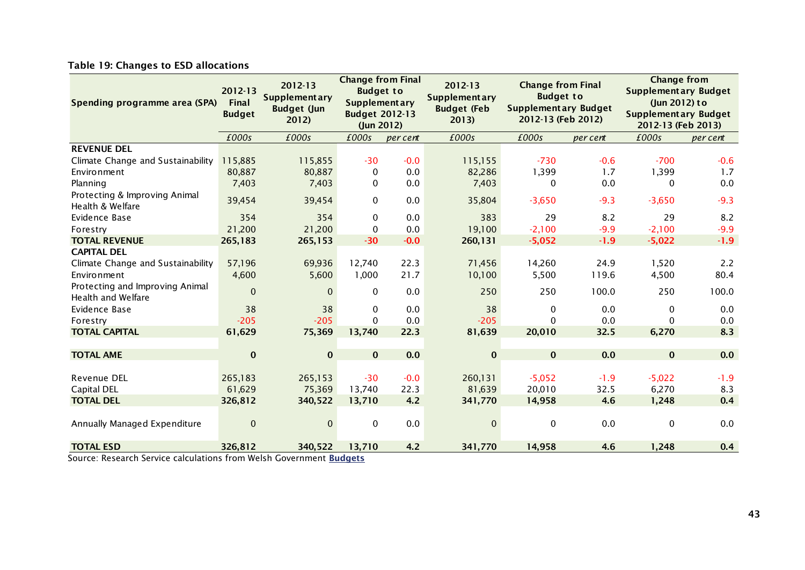#### **Table 19: Changes to ESD allocations**

| Spending programme area (SPA)                         | 2012-13<br><b>Final</b><br><b>Budget</b> | 2012-13<br><b>Supplementary</b><br><b>Budget (Jun</b><br>2012) | <b>Change from Final</b><br><b>Budget to</b><br><b>Supplementary</b><br><b>Budget 2012-13</b><br>(Jun 2012) |          | 2012-13<br><b>Supplementary</b><br><b>Budget (Feb</b><br>2013 | <b>Change from Final</b><br><b>Budget to</b><br><b>Supplementary Budget</b><br>2012-13 (Feb 2012) |          | <b>Change from</b><br><b>Supplementary Budget</b><br>(Jun 2012) to<br><b>Supplementary Budget</b><br>2012-13 (Feb 2013) |          |  |
|-------------------------------------------------------|------------------------------------------|----------------------------------------------------------------|-------------------------------------------------------------------------------------------------------------|----------|---------------------------------------------------------------|---------------------------------------------------------------------------------------------------|----------|-------------------------------------------------------------------------------------------------------------------------|----------|--|
|                                                       | £000s                                    | £000s                                                          | £000s                                                                                                       | per cent | £000s                                                         | £000s                                                                                             | per cent | £000s                                                                                                                   | per cent |  |
| <b>REVENUE DEL</b>                                    |                                          |                                                                |                                                                                                             |          |                                                               |                                                                                                   |          |                                                                                                                         |          |  |
| Climate Change and Sustainability                     | 115,885                                  | 115,855                                                        | $-30$                                                                                                       | $-0.0$   | 115,155                                                       | $-730$                                                                                            | $-0.6$   | $-700$                                                                                                                  | $-0.6$   |  |
| Environment                                           | 80,887                                   | 80,887                                                         | $\mathbf{0}$                                                                                                | 0.0      | 82,286                                                        | 1,399                                                                                             | 1.7      | 1,399                                                                                                                   | 1.7      |  |
| Planning                                              | 7,403                                    | 7,403                                                          | 0                                                                                                           | 0.0      | 7,403                                                         | 0                                                                                                 | 0.0      | 0                                                                                                                       | 0.0      |  |
| Protecting & Improving Animal<br>Health & Welfare     | 39,454                                   | 39,454                                                         | $\mathbf 0$                                                                                                 | 0.0      | 35,804                                                        | $-3,650$                                                                                          | $-9.3$   | $-3,650$                                                                                                                | $-9.3$   |  |
| Evidence Base                                         | 354                                      | 354                                                            | $\mathbf{0}$                                                                                                | 0.0      | 383                                                           | 29                                                                                                | 8.2      | 29                                                                                                                      | 8.2      |  |
| Forestry                                              | 21,200                                   | 21,200                                                         | $\mathbf{0}$                                                                                                | 0.0      | 19,100                                                        | $-2,100$                                                                                          | $-9.9$   | $-2,100$                                                                                                                | $-9.9$   |  |
| <b>TOTAL REVENUE</b>                                  | 265,183                                  | 265,153                                                        | $-30$                                                                                                       | $-0.0$   | 260,131                                                       | $-5,052$                                                                                          | $-1.9$   | $-5,022$                                                                                                                | $-1.9$   |  |
| <b>CAPITAL DEL</b>                                    |                                          |                                                                |                                                                                                             |          |                                                               |                                                                                                   |          |                                                                                                                         |          |  |
| Climate Change and Sustainability                     | 57,196                                   | 69,936                                                         | 12,740                                                                                                      | 22.3     | 71,456                                                        | 14,260                                                                                            | 24.9     | 1,520                                                                                                                   | 2.2      |  |
| Environment                                           | 4,600                                    | 5,600                                                          | 1,000                                                                                                       | 21.7     | 10,100                                                        | 5,500                                                                                             | 119.6    | 4,500                                                                                                                   | 80.4     |  |
| Protecting and Improving Animal<br>Health and Welfare | $\mathbf{0}$                             | $\Omega$                                                       | $\mathbf{0}$                                                                                                | 0.0      | 250                                                           | 250                                                                                               | 100.0    | 250                                                                                                                     | 100.0    |  |
| Evidence Base                                         | 38                                       | 38                                                             | 0                                                                                                           | 0.0      | 38                                                            | 0                                                                                                 | 0.0      | $\Omega$                                                                                                                | 0.0      |  |
| Forestry                                              | $-205$                                   | $-205$                                                         | $\mathbf{0}$                                                                                                | 0.0      | $-205$                                                        | 0                                                                                                 | 0.0      | $\Omega$                                                                                                                | 0.0      |  |
| <b>TOTAL CAPITAL</b>                                  | 61,629                                   | 75,369                                                         | 13,740                                                                                                      | 22.3     | 81,639                                                        | 20,010                                                                                            | 32.5     | 6,270                                                                                                                   | 8.3      |  |
|                                                       |                                          |                                                                |                                                                                                             |          |                                                               |                                                                                                   |          |                                                                                                                         |          |  |
| <b>TOTAL AME</b>                                      | $\bf{0}$                                 | $\bf{0}$                                                       | $\mathbf{0}$                                                                                                | 0.0      | $\bf{0}$                                                      | $\mathbf{0}$                                                                                      | 0.0      | $\mathbf{0}$                                                                                                            | 0.0      |  |
|                                                       |                                          |                                                                |                                                                                                             |          |                                                               |                                                                                                   |          |                                                                                                                         |          |  |
| Revenue DEL                                           | 265,183                                  | 265,153                                                        | $-30$                                                                                                       | $-0.0$   | 260,131                                                       | $-5,052$                                                                                          | $-1.9$   | $-5,022$                                                                                                                | $-1.9$   |  |
| <b>Capital DEL</b>                                    | 61,629                                   | 75,369                                                         | 13,740                                                                                                      | 22.3     | 81,639                                                        | 20,010                                                                                            | 32.5     | 6,270                                                                                                                   | 8.3      |  |
| <b>TOTAL DEL</b>                                      | 326,812                                  | 340,522                                                        | 13,710                                                                                                      | 4.2      | 341,770                                                       | 14,958                                                                                            | 4.6      | 1,248                                                                                                                   | 0.4      |  |
|                                                       |                                          |                                                                |                                                                                                             |          |                                                               |                                                                                                   |          |                                                                                                                         |          |  |
| Annually Managed Expenditure                          | $\Omega$                                 | $\Omega$                                                       | $\mathbf{0}$                                                                                                | 0.0      | $\Omega$                                                      | $\mathbf{0}$                                                                                      | 0.0      | $\Omega$                                                                                                                | 0.0      |  |
| <b>TOTAL ESD</b>                                      | 326,812<br>$\epsilon$                    | 340,522<br>$341.11 \times 10^{-1}$                             | 13,710<br><b>Profit</b>                                                                                     | 4.2      | 341,770                                                       | 14,958                                                                                            | 4.6      | 1,248                                                                                                                   | 0.4      |  |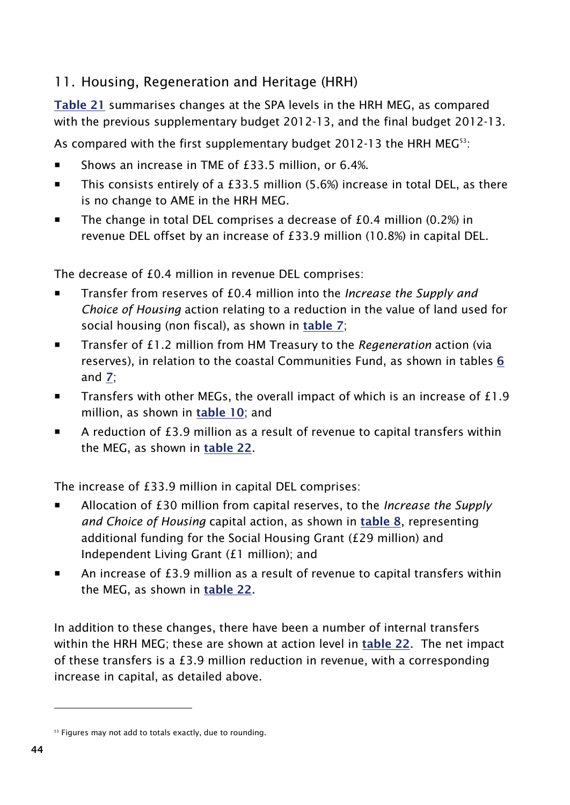# <span id="page-51-0"></span>11. Housing, Regeneration and Heritage (HRH)

**Table 21** summarises changes at the SPA levels in the HRH MEG, as compared with the previous supplementary budget 2012-13, and the final budget 2012-13.

As compared with the first supplementary budget 2012-13 the HRH MEG<sup>53</sup>:

- Shows an increase in TME of £33.5 million, or 6.4%.
- This consists entirely of a £33.5 million (5.6%) increase in total DEL, as there is no change to AME in the HRH MEG.
- $\blacksquare$  The change in total DEL comprises a decrease of £0.4 million (0.2%) in revenue DEL offset by an increase of £33.9 million (10.8%) in capital DEL.

The decrease of £0.4 million in revenue DEL comprises:

- Transfer from reserves of £0.4 million into the *Increase the Supply and Choice of Housing* action relating to a reduction in the value of land used for social housing (non fiscal), as shown in **[table 7](#page-30-0)**;
- Transfer of £1.2 million from HM Treasury to the *Regeneration* action (via reserves), in relation to the coastal Communities Fund, as shown in tables **[6](#page-24-1)** and **[7](#page-30-0)**;
- **Transfers with other MEGs, the overall impact of which is an increase of £1.9** million, as shown in **[table 10](#page-34-1)**; and
- A reduction of £3.9 million as a result of revenue to capital transfers within the MEG, as shown in **[table 22](#page-53-0)**.

The increase of £33.9 million in capital DEL comprises:

- Allocation of £30 million from capital reserves, to the *Increase the Supply and Choice of Housing* capital action, as shown in **[table 8](#page-31-1)**, representing additional funding for the Social Housing Grant (£29 million) and Independent Living Grant (£1 million); and
- An increase of £3.9 million as a result of revenue to capital transfers within the MEG, as shown in **[table 22](#page-53-0)**.

In addition to these changes, there have been a number of internal transfers within the HRH MEG; these are shown at action level in **[table 22](#page-53-0)**. The net impact of these transfers is a £3.9 million reduction in revenue, with a corresponding increase in capital, as detailed above.

<sup>&</sup>lt;sup>53</sup> Figures may not add to totals exactly, due to rounding.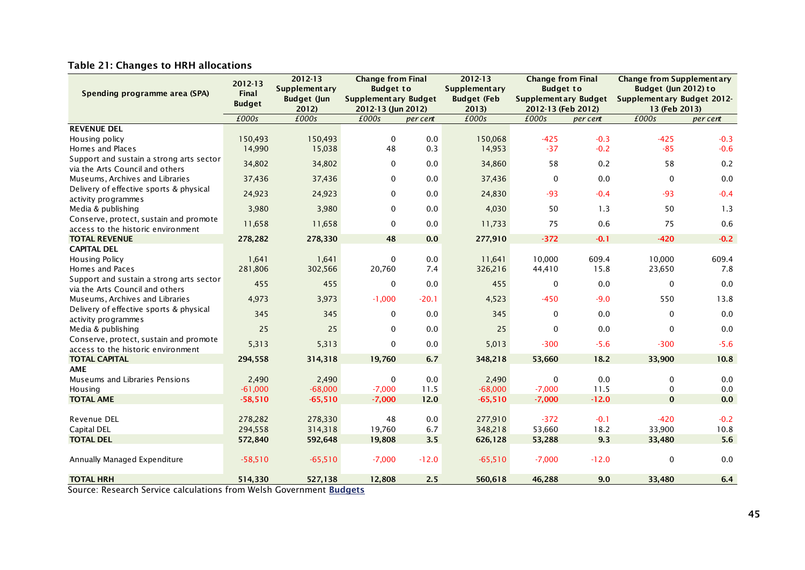#### **Table 21: Changes to HRH allocations**

|                                          | 2012-13<br>2012-13 |                    | <b>Change from Final</b>    |          | 2012-13              | <b>Change from Final</b>    |          | <b>Change from Supplementary</b> |          |
|------------------------------------------|--------------------|--------------------|-----------------------------|----------|----------------------|-----------------------------|----------|----------------------------------|----------|
| Spending programme area (SPA)            | Final              | Supplement ary     | <b>Budget to</b>            |          | <b>Supplementary</b> | <b>Budget to</b>            |          | Budget (Jun 2012) to             |          |
|                                          | <b>Budget</b>      | <b>Budget (Jun</b> | <b>Supplementary Budget</b> |          | <b>Budget (Feb</b>   | <b>Supplementary Budget</b> |          | Supplementary Budget 2012-       |          |
|                                          |                    | 2012)              | 2012-13 (Jun 2012)          |          | 2013                 | 2012-13 (Feb 2012)          |          | 13 (Feb 2013)                    |          |
|                                          | £000s              | £000s              | £000s                       | per cent | £000s                | £000s                       | per cent | £000s                            | per cent |
| <b>REVENUE DEL</b>                       |                    |                    |                             |          |                      |                             |          |                                  |          |
| Housing policy                           | 150,493            | 150,493            | $\Omega$                    | 0.0      | 150,068              | $-425$                      | $-0.3$   | $-425$                           | $-0.3$   |
| Homes and Places                         | 14,990             | 15,038             | 48                          | 0.3      | 14,953               | $-37$                       | $-0.2$   | $-85$                            | $-0.6$   |
| Support and sustain a strong arts sector | 34,802             | 34,802             | $\mathbf 0$                 | $0.0\,$  | 34,860               | 58                          | 0.2      | 58                               | 0.2      |
| via the Arts Council and others          |                    |                    |                             |          |                      |                             |          |                                  |          |
| Museums, Archives and Libraries          | 37,436             | 37,436             | $\mathbf 0$                 | 0.0      | 37,436               | $\mathbf 0$                 | 0.0      | $\mathbf{0}$                     | 0.0      |
| Delivery of effective sports & physical  | 24,923             | 24,923             | 0                           | 0.0      | 24,830               | $-93$                       | $-0.4$   | $-93$                            | $-0.4$   |
| activity programmes                      |                    |                    |                             |          |                      |                             |          |                                  |          |
| Media & publishing                       | 3,980              | 3,980              | $\mathbf 0$                 | 0.0      | 4,030                | 50                          | 1.3      | 50                               | 1.3      |
| Conserve, protect, sustain and promote   | 11,658             | 11,658             | $\mathbf 0$                 | 0.0      | 11,733               | 75                          | 0.6      | 75                               | 0.6      |
| access to the historic environment       |                    |                    |                             |          |                      |                             |          |                                  |          |
| <b>TOTAL REVENUE</b>                     | 278,282            | 278,330            | 48                          | 0.0      | 277,910              | $-372$                      | $-0.1$   | $-420$                           | $-0.2$   |
| <b>CAPITAL DEL</b>                       |                    |                    |                             |          |                      |                             |          |                                  |          |
| Housing Policy                           | 1,641              | 1,641              | $\mathbf 0$                 | 0.0      | 11,641               | 10,000                      | 609.4    | 10,000                           | 609.4    |
| Homes and Paces                          | 281,806            | 302,566            | 20,760                      | 7.4      | 326,216              | 44,410                      | 15.8     | 23,650                           | 7.8      |
| Support and sustain a strong arts sector | 455                | 455                | $\mathbf 0$                 | 0.0      | 455                  | 0                           | 0.0      | $\mathbf 0$                      | 0.0      |
| via the Arts Council and others          |                    |                    |                             |          |                      |                             |          |                                  |          |
| Museums, Archives and Libraries          | 4,973              | 3,973              | $-1,000$                    | $-20.1$  | 4,523                | $-450$                      | $-9.0$   | 550                              | 13.8     |
| Delivery of effective sports & physical  | 345                | 345                | $\mathbf 0$                 | 0.0      | 345                  | 0                           | 0.0      | $\mathbf 0$                      | 0.0      |
| activity programmes                      |                    |                    |                             |          |                      |                             |          |                                  |          |
| Media & publishing                       | 25                 | 25                 | $\mathbf 0$                 | 0.0      | 25                   | $\mathbf 0$                 | 0.0      | $\mathbf 0$                      | 0.0      |
| Conserve, protect, sustain and promote   | 5,313              | 5,313              | $\mathbf 0$                 | 0.0      | 5,013                | $-300$                      | $-5.6$   | $-300$                           | $-5.6$   |
| access to the historic environment       |                    |                    |                             |          |                      |                             |          |                                  |          |
| <b>TOTAL CAPITAL</b>                     | 294,558            | 314,318            | 19,760                      | 6.7      | 348,218              | 53,660                      | 18.2     | 33,900                           | 10.8     |
| <b>AME</b>                               |                    |                    |                             |          |                      |                             |          |                                  |          |
| Museums and Libraries Pensions           | 2,490              | 2,490              | $\mathbf 0$                 | 0.0      | 2,490                | $\mathbf 0$                 | 0.0      | $\Omega$                         | 0.0      |
| Housing                                  | $-61,000$          | $-68,000$          | $-7,000$                    | 11.5     | $-68,000$            | $-7,000$                    | 11.5     | $\mathbf 0$                      | 0.0      |
| <b>TOTAL AME</b>                         | $-58,510$          | $-65,510$          | $-7,000$                    | 12.0     | $-65,510$            | $-7,000$                    | $-12.0$  | $\mathbf{0}$                     | 0.0      |
|                                          |                    |                    |                             |          |                      |                             |          |                                  |          |
| <b>Revenue DEL</b>                       | 278,282            | 278,330            | 48                          | 0.0      | 277,910              | $-372$                      | $-0.1$   | $-420$                           | $-0.2$   |
| <b>Capital DEL</b>                       | 294,558            | 314,318            | 19,760                      | 6.7      | 348,218              | 53,660                      | 18.2     | 33,900                           | 10.8     |
| <b>TOTAL DEL</b>                         | 572,840            | 592,648            | 19,808                      | 3.5      | 626,128              | 53,288                      | 9.3      | 33,480                           | 5.6      |
|                                          |                    |                    |                             |          |                      |                             |          |                                  |          |
| Annually Managed Expenditure             | $-58,510$          | $-65,510$          | $-7,000$                    | $-12.0$  | $-65,510$            | $-7,000$                    | $-12.0$  | 0                                | 0.0      |
| <b>TOTAL HRH</b>                         | 514,330            | 527,138            | 12,808                      | 2.5      | 560,618              | 46,288                      | 9.0      | 33,480                           | 6.4      |
|                                          |                    |                    |                             |          |                      |                             |          |                                  |          |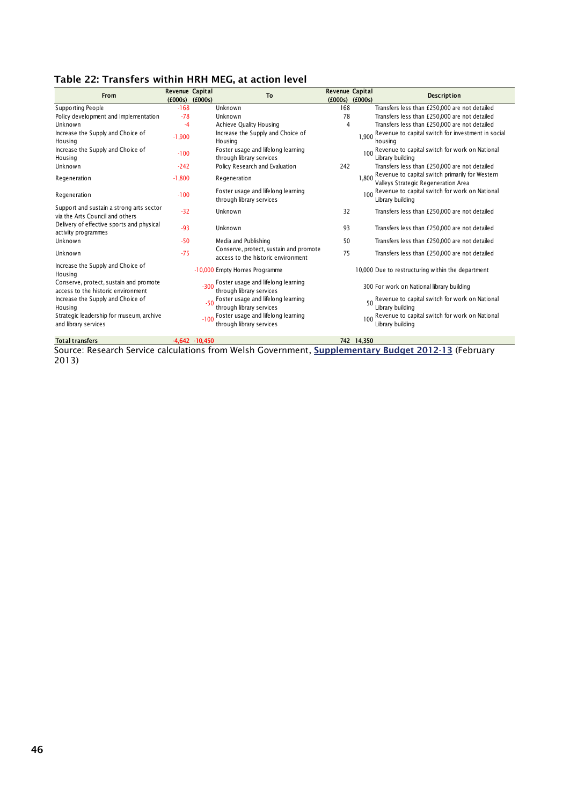#### <span id="page-53-0"></span>**Table 22: Transfers within HRH MEG, at action level**

| From                                                                         | Revenue Capital<br>(£000s) | (£000s)           | To                                                                           | Revenue Capital<br>(£000s) | (£000s)    | <b>Description</b>                                                                     |
|------------------------------------------------------------------------------|----------------------------|-------------------|------------------------------------------------------------------------------|----------------------------|------------|----------------------------------------------------------------------------------------|
| Supporting People                                                            | $-168$                     |                   | Unknown                                                                      | 168                        |            | Transfers less than £250,000 are not detailed                                          |
| Policy development and Implementation                                        | $-78$                      |                   | Unknown                                                                      | 78                         |            | Transfers less than £250,000 are not detailed                                          |
| Unknown                                                                      | -4                         |                   | Achieve Quality Housing                                                      | 4                          |            | Transfers less than £250,000 are not detailed                                          |
| Increase the Supply and Choice of<br>Housing                                 | $-1,900$                   |                   | Increase the Supply and Choice of<br>Housing                                 |                            | 1.900      | Revenue to capital switch for investment in social<br>housing                          |
| Increase the Supply and Choice of<br>Housing                                 | $-100$                     |                   | Foster usage and lifelong learning<br>through library services               |                            | 100        | Revenue to capital switch for work on National<br>Library building                     |
| Unknown                                                                      | $-242$                     |                   | Policy Research and Evaluation                                               | 242                        |            | Transfers less than £250,000 are not detailed                                          |
| Regeneration                                                                 | $-1,800$                   |                   | Regeneration                                                                 |                            | 1.800      | Revenue to capital switch primarily for Western<br>Valleys Strategic Regeneration Area |
| Regeneration                                                                 | $-100$                     |                   | Foster usage and lifelong learning<br>through library services               |                            | 100        | Revenue to capital switch for work on National<br>Library building                     |
| Support and sustain a strong arts sector<br>via the Arts Council and others  | $-32$                      |                   | Unknown                                                                      | 32                         |            | Transfers less than £250,000 are not detailed                                          |
| Delivery of effective sports and physical<br>activity programmes             | $-93$                      |                   | Unknown                                                                      | 93                         |            | Transfers less than £250,000 are not detailed                                          |
| Unknown                                                                      | $-50$                      |                   | Media and Publishing                                                         | 50                         |            | Transfers less than £250,000 are not detailed                                          |
| Unknown                                                                      | $-75$                      |                   | Conserve, protect, sustain and promote<br>access to the historic environment | 75                         |            | Transfers less than £250,000 are not detailed                                          |
| Increase the Supply and Choice of<br>Housing                                 |                            |                   | -10,000 Empty Homes Programme                                                |                            |            | 10,000 Due to restructuring within the department                                      |
| Conserve, protect, sustain and promote<br>access to the historic environment |                            | $-300$            | Foster usage and lifelong learning<br>through library services               |                            |            | 300 For work on National library building                                              |
| Increase the Supply and Choice of<br>Housing                                 |                            | $-50$             | Foster usage and lifelong learning<br>through library services               |                            |            | Revenue to capital switch for work on National<br>Library building                     |
| Strategic leadership for museum, archive<br>and library services             |                            | $-100$            | Foster usage and lifelong learning<br>through library services               |                            | 100        | Revenue to capital switch for work on National<br>Library building                     |
| <b>Total transfers</b>                                                       |                            | $-4.642 - 10.450$ |                                                                              |                            | 742 14.350 |                                                                                        |

Source: Research Service calculations from Welsh Government, **[Supplementary Budget 2012-13](http://wales.gov.uk/funding/budget/2ndsuppbudget1213/?lang=en)** (February 2013)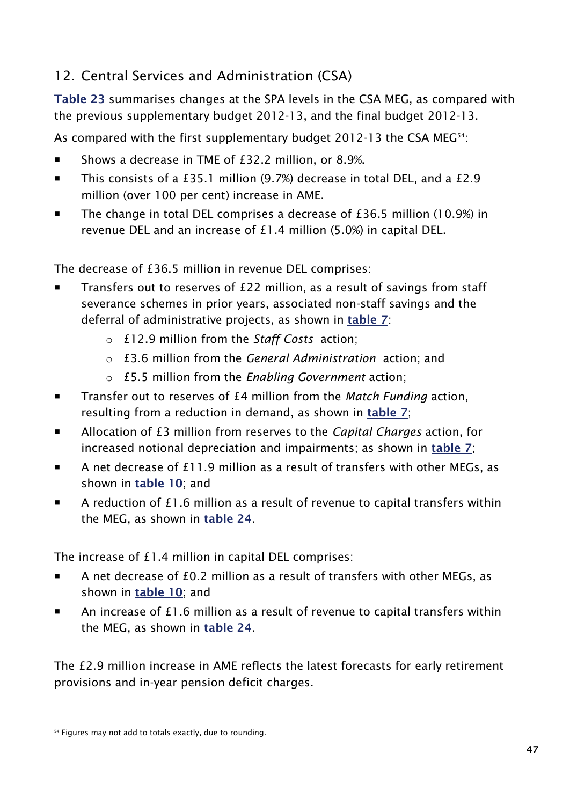# <span id="page-54-0"></span>12. Central Services and Administration (CSA)

**Table 23** summarises changes at the SPA levels in the CSA MEG, as compared with the previous supplementary budget 2012-13, and the final budget 2012-13.

As compared with the first supplementary budget 2012-13 the CSA MEG<sup>54</sup>:

- Shows a decrease in TME of £32.2 million, or 8.9%.
- This consists of a £35.1 million (9.7%) decrease in total DEL, and a £2.9 million (over 100 per cent) increase in AME.
- The change in total DEL comprises a decrease of £36.5 million (10.9%) in revenue DEL and an increase of £1.4 million (5.0%) in capital DEL.

The decrease of £36.5 million in revenue DEL comprises:

- **Transfers out to reserves of £22 million, as a result of savings from staff** severance schemes in prior years, associated non-staff savings and the deferral of administrative projects, as shown in **[table 7](#page-30-0)**:
	- o £12.9 million from the *Staff Costs* action;
	- o £3.6 million from the *General Administration* action; and
	- o £5.5 million from the *Enabling Government* action;
- Transfer out to reserves of £4 million from the *Match Funding* action, resulting from a reduction in demand, as shown in **[table 7](#page-30-0)**;
- Allocation of £3 million from reserves to the *Capital Charges* action, for increased notional depreciation and impairments; as shown in **[table 7](#page-30-0)**;
- A net decrease of £11.9 million as a result of transfers with other MEGs, as shown in **[table 10](#page-34-1)**; and
- A reduction of £1.6 million as a result of revenue to capital transfers within the MEG, as shown in **[table 24](#page-55-0)**.

The increase of £1.4 million in capital DEL comprises:

- A net decrease of £0.2 million as a result of transfers with other MEGs, as shown in **[table 10](#page-34-1)**; and
- An increase of £1.6 million as a result of revenue to capital transfers within the MEG, as shown in **[table 24](#page-55-0)**.

The £2.9 million increase in AME reflects the latest forecasts for early retirement provisions and in-year pension deficit charges.

<sup>&</sup>lt;sup>54</sup> Figures may not add to totals exactly, due to rounding.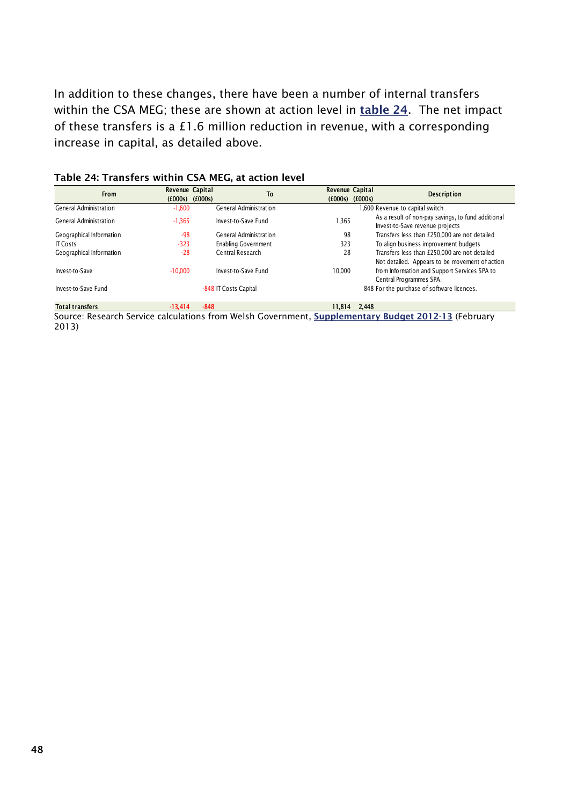In addition to these changes, there have been a number of internal transfers within the CSA MEG; these are shown at action level in **[table 24](#page-55-0)**. The net impact of these transfers is a £1.6 million reduction in revenue, with a corresponding increase in capital, as detailed above.

| <b>From</b>              | Revenue Capital<br>(£000s) | <b>To</b><br>(£000s)   | Revenue Capital<br>$(£000s)$ $(£000s)$ |       | <b>Description</b>                                                                              |
|--------------------------|----------------------------|------------------------|----------------------------------------|-------|-------------------------------------------------------------------------------------------------|
| General Administration   | $-1,600$                   | General Administration |                                        |       | 1,600 Revenue to capital switch                                                                 |
| General Administration   | $-1,365$                   | Invest-to-Save Fund    | 1,365                                  |       | As a result of non-pay savings, to fund additional<br>Invest-to-Save revenue projects           |
| Geographical Information | $-98$                      | General Administration | 98                                     |       | Transfers less than £250,000 are not detailed                                                   |
| <b>IT Costs</b>          | $-323$                     | Enabling Government    | 323                                    |       | To align business improvement budgets                                                           |
| Geographical Information | $-28$                      | Central Research       | 28                                     |       | Transfers less than £250,000 are not detailed<br>Not detailed. Appears to be movement of action |
| Invest-to-Save           | $-10.000$                  | Invest-to-Save Fund    | 10.000                                 |       | from Information and Support Services SPA to<br>Central Programmes SPA.                         |
| Invest-to-Save Fund      |                            | -848 IT Costs Capital  |                                        |       | 848 For the purchase of software licences.                                                      |
| <b>Total transfers</b>   | $-13.414$                  | $-848$                 | 11.814                                 | 2.448 |                                                                                                 |

#### <span id="page-55-0"></span>**Table 24: Transfers within CSA MEG, at action level**

Source: Research Service calculations from Welsh Government, **[Supplementary Budget 2012-13](http://wales.gov.uk/funding/budget/2ndsuppbudget1213/?lang=en)** (February 2013)